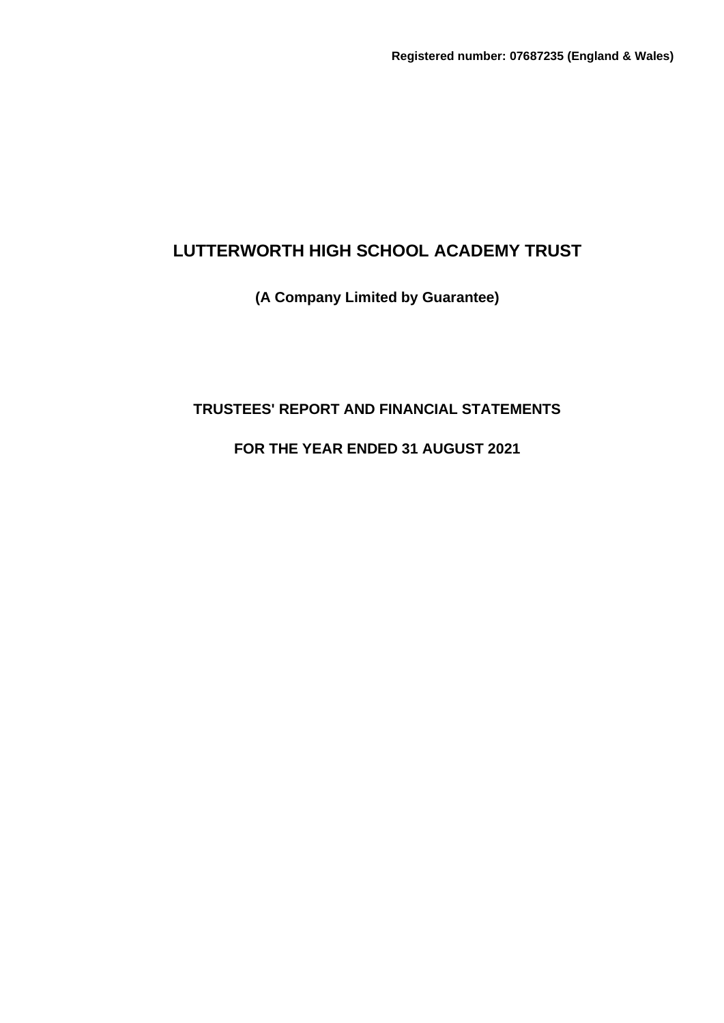# **(A Company Limited by Guarantee)**

# **TRUSTEES' REPORT AND FINANCIAL STATEMENTS**

# **FOR THE YEAR ENDED 31 AUGUST 2021**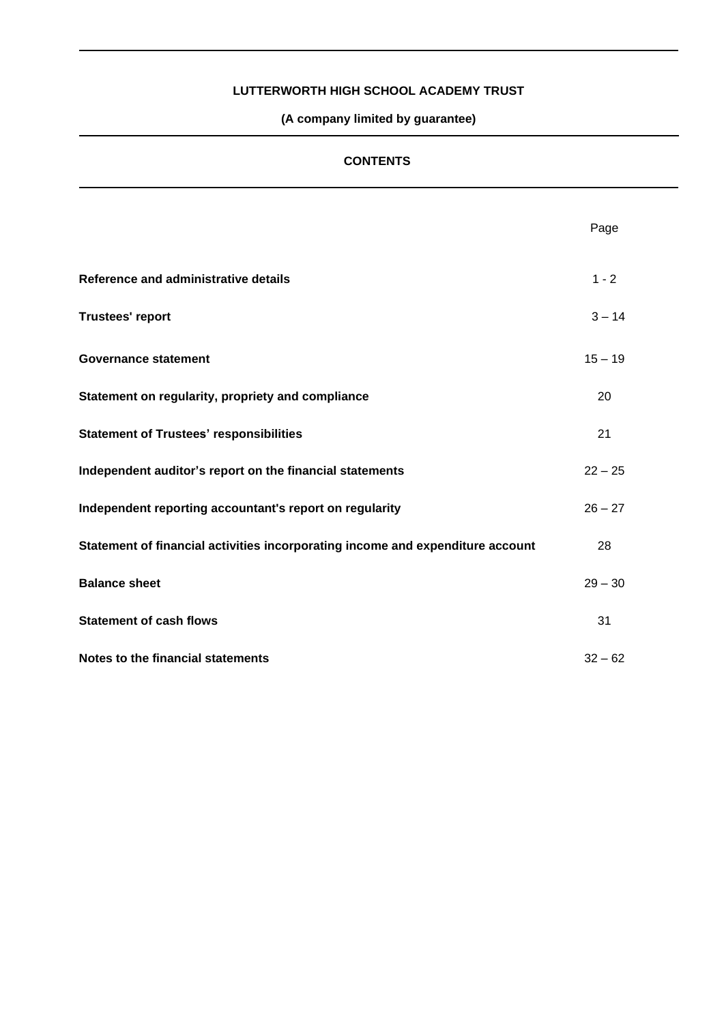**(A company limited by guarantee)**

# **CONTENTS**

|                                                                                | Page      |
|--------------------------------------------------------------------------------|-----------|
| Reference and administrative details                                           | $1 - 2$   |
| <b>Trustees' report</b>                                                        | $3 - 14$  |
| <b>Governance statement</b>                                                    | $15 - 19$ |
| Statement on regularity, propriety and compliance                              | 20        |
| <b>Statement of Trustees' responsibilities</b>                                 | 21        |
| Independent auditor's report on the financial statements                       | $22 - 25$ |
| Independent reporting accountant's report on regularity                        | $26 - 27$ |
| Statement of financial activities incorporating income and expenditure account | 28        |
| <b>Balance sheet</b>                                                           | $29 - 30$ |
| <b>Statement of cash flows</b>                                                 | 31        |
| Notes to the financial statements                                              | $32 - 62$ |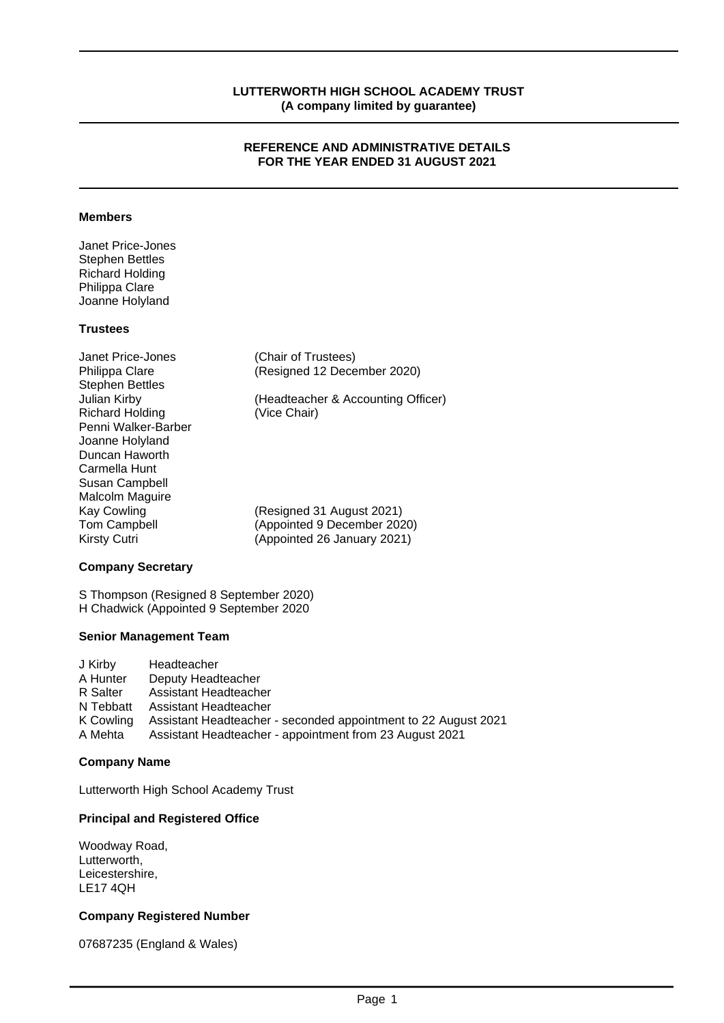#### **REFERENCE AND ADMINISTRATIVE DETAILS FOR THE YEAR ENDED 31 AUGUST 2021**

#### **Members**

Janet Price-Jones Stephen Bettles Richard Holding Philippa Clare Joanne Holyland

# **Trustees**

| Janet Price-Jones      | (Chair of Trustees)                |
|------------------------|------------------------------------|
| Philippa Clare         | (Resigned 12 December 2020)        |
| <b>Stephen Bettles</b> |                                    |
| Julian Kirby           | (Headteacher & Accounting Officer) |
| <b>Richard Holding</b> | (Vice Chair)                       |
| Penni Walker-Barber    |                                    |
| Joanne Holyland        |                                    |
| Duncan Haworth         |                                    |
| Carmella Hunt          |                                    |
| Susan Campbell         |                                    |
| Malcolm Maguire        |                                    |
| Kay Cowling            | (Resigned 31 August 2021)          |
| <b>Tom Campbell</b>    | (Appointed 9 December 2020)        |
| Kirsty Cutri           | (Appointed 26 January 2021)        |

### **Company Secretary**

S Thompson (Resigned 8 September 2020) H Chadwick (Appointed 9 September 2020

#### **Senior Management Team**

| J Kirby   | Headteacher                                                    |
|-----------|----------------------------------------------------------------|
| A Hunter  | Deputy Headteacher                                             |
| R Salter  | Assistant Headteacher                                          |
| N Tebbatt | Assistant Headteacher                                          |
| K Cowling | Assistant Headteacher - seconded appointment to 22 August 2021 |
| A Mehta   | Assistant Headteacher - appointment from 23 August 2021        |

#### **Company Name**

Lutterworth High School Academy Trust

#### **Principal and Registered Office**

Woodway Road, Lutterworth, Leicestershire, LE17 4QH

#### **Company Registered Number**

07687235 (England & Wales)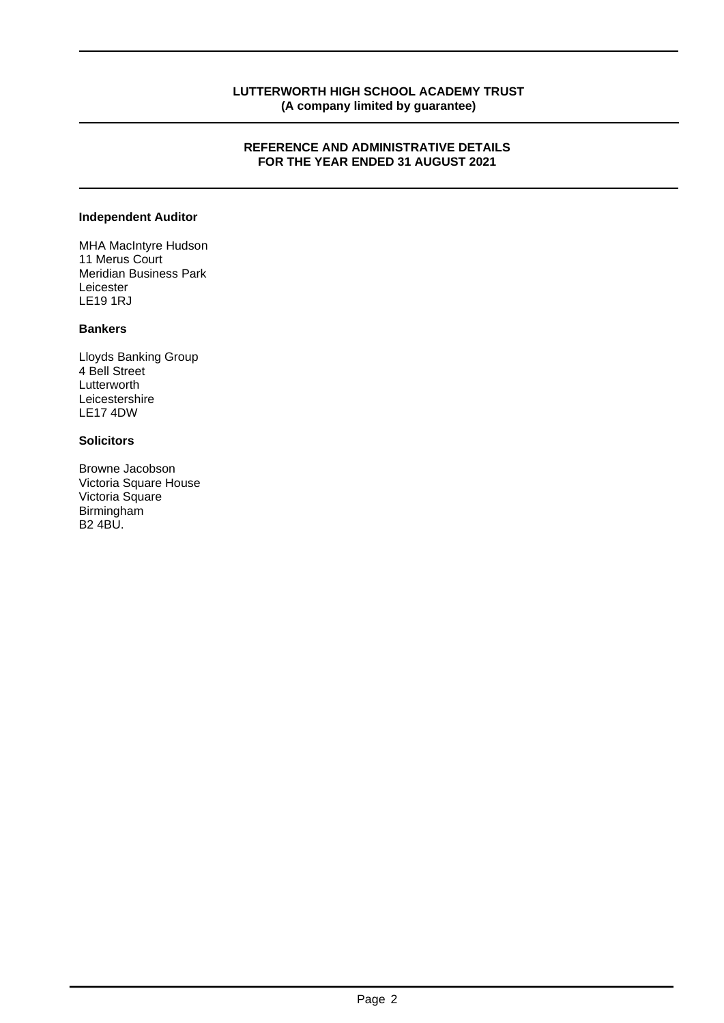### **REFERENCE AND ADMINISTRATIVE DETAILS FOR THE YEAR ENDED 31 AUGUST 2021**

#### **Independent Auditor**

MHA MacIntyre Hudson 11 Merus Court Meridian Business Park Leicester LE19 1RJ

# **Bankers**

Lloyds Banking Group 4 Bell Street Lutterworth Leicestershire LE17 4DW

# **Solicitors**

Browne Jacobson Victoria Square House Victoria Square Birmingham B2 4BU.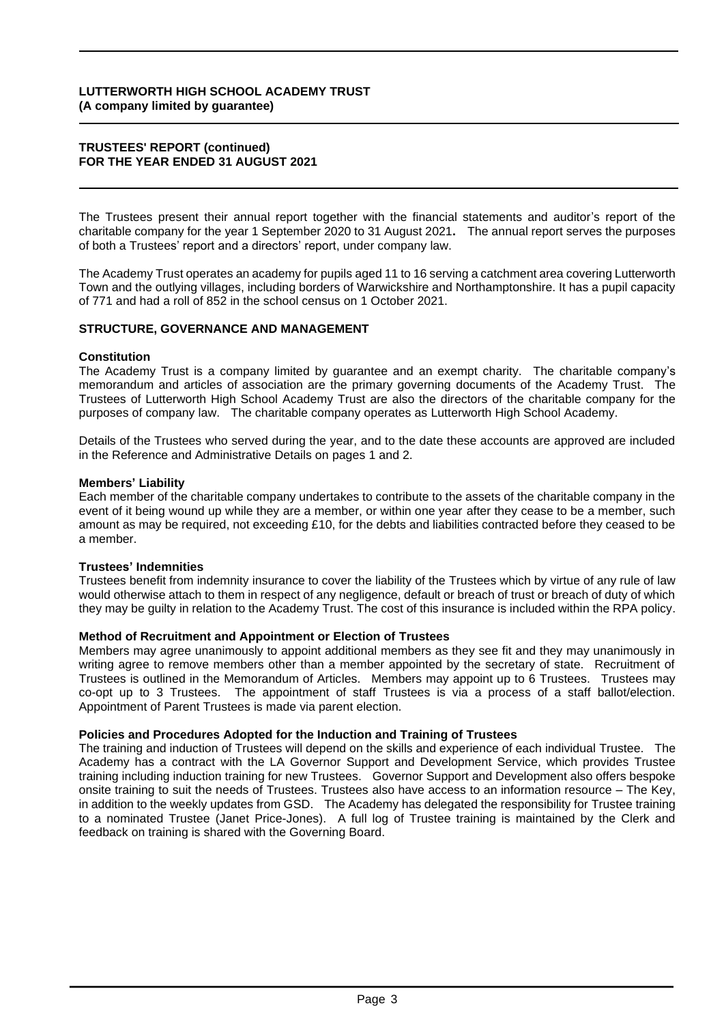#### **TRUSTEES' REPORT (continued) FOR THE YEAR ENDED 31 AUGUST 2021**

The Trustees present their annual report together with the financial statements and auditor's report of the charitable company for the year 1 September 2020 to 31 August 2021**.** The annual report serves the purposes of both a Trustees' report and a directors' report, under company law.

The Academy Trust operates an academy for pupils aged 11 to 16 serving a catchment area covering Lutterworth Town and the outlying villages, including borders of Warwickshire and Northamptonshire. It has a pupil capacity of 771 and had a roll of 852 in the school census on 1 October 2021.

#### **STRUCTURE, GOVERNANCE AND MANAGEMENT**

#### **Constitution**

The Academy Trust is a company limited by guarantee and an exempt charity. The charitable company's memorandum and articles of association are the primary governing documents of the Academy Trust. The Trustees of Lutterworth High School Academy Trust are also the directors of the charitable company for the purposes of company law. The charitable company operates as Lutterworth High School Academy.

Details of the Trustees who served during the year, and to the date these accounts are approved are included in the Reference and Administrative Details on pages 1 and 2.

#### **Members' Liability**

Each member of the charitable company undertakes to contribute to the assets of the charitable company in the event of it being wound up while they are a member, or within one year after they cease to be a member, such amount as may be required, not exceeding £10, for the debts and liabilities contracted before they ceased to be a member.

#### **Trustees' Indemnities**

Trustees benefit from indemnity insurance to cover the liability of the Trustees which by virtue of any rule of law would otherwise attach to them in respect of any negligence, default or breach of trust or breach of duty of which they may be guilty in relation to the Academy Trust. The cost of this insurance is included within the RPA policy.

#### **Method of Recruitment and Appointment or Election of Trustees**

Members may agree unanimously to appoint additional members as they see fit and they may unanimously in writing agree to remove members other than a member appointed by the secretary of state. Recruitment of Trustees is outlined in the Memorandum of Articles. Members may appoint up to 6 Trustees. Trustees may co-opt up to 3 Trustees. The appointment of staff Trustees is via a process of a staff ballot/election. Appointment of Parent Trustees is made via parent election.

#### **Policies and Procedures Adopted for the Induction and Training of Trustees**

The training and induction of Trustees will depend on the skills and experience of each individual Trustee. The Academy has a contract with the LA Governor Support and Development Service, which provides Trustee training including induction training for new Trustees. Governor Support and Development also offers bespoke onsite training to suit the needs of Trustees. Trustees also have access to an information resource – The Key, in addition to the weekly updates from GSD. The Academy has delegated the responsibility for Trustee training to a nominated Trustee (Janet Price-Jones). A full log of Trustee training is maintained by the Clerk and feedback on training is shared with the Governing Board.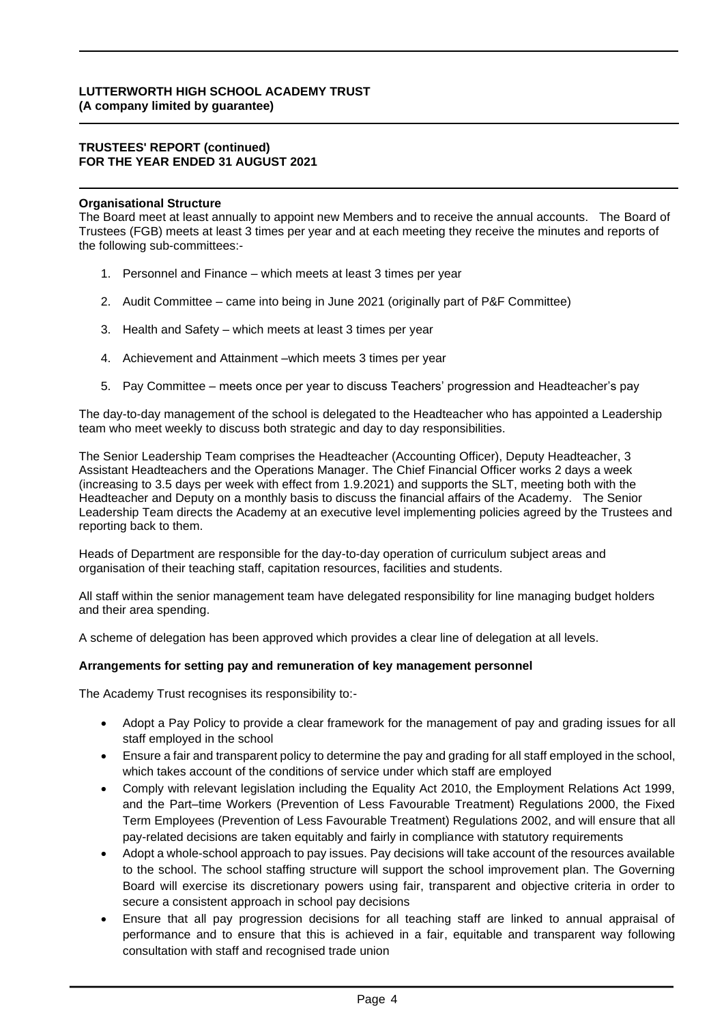#### **TRUSTEES' REPORT (continued) FOR THE YEAR ENDED 31 AUGUST 2021**

### **Organisational Structure**

The Board meet at least annually to appoint new Members and to receive the annual accounts. The Board of Trustees (FGB) meets at least 3 times per year and at each meeting they receive the minutes and reports of the following sub-committees:-

- 1. Personnel and Finance which meets at least 3 times per year
- 2. Audit Committee came into being in June 2021 (originally part of P&F Committee)
- 3. Health and Safety which meets at least 3 times per year
- 4. Achievement and Attainment –which meets 3 times per year
- 5. Pay Committee meets once per year to discuss Teachers' progression and Headteacher's pay

The day-to-day management of the school is delegated to the Headteacher who has appointed a Leadership team who meet weekly to discuss both strategic and day to day responsibilities.

The Senior Leadership Team comprises the Headteacher (Accounting Officer), Deputy Headteacher, 3 Assistant Headteachers and the Operations Manager. The Chief Financial Officer works 2 days a week (increasing to 3.5 days per week with effect from 1.9.2021) and supports the SLT, meeting both with the Headteacher and Deputy on a monthly basis to discuss the financial affairs of the Academy. The Senior Leadership Team directs the Academy at an executive level implementing policies agreed by the Trustees and reporting back to them.

Heads of Department are responsible for the day-to-day operation of curriculum subject areas and organisation of their teaching staff, capitation resources, facilities and students.

All staff within the senior management team have delegated responsibility for line managing budget holders and their area spending.

A scheme of delegation has been approved which provides a clear line of delegation at all levels.

#### **Arrangements for setting pay and remuneration of key management personnel**

The Academy Trust recognises its responsibility to:-

- Adopt a Pay Policy to provide a clear framework for the management of pay and grading issues for all staff employed in the school
- Ensure a fair and transparent policy to determine the pay and grading for all staff employed in the school, which takes account of the conditions of service under which staff are employed
- Comply with relevant legislation including the Equality Act 2010, the Employment Relations Act 1999, and the Part–time Workers (Prevention of Less Favourable Treatment) Regulations 2000, the Fixed Term Employees (Prevention of Less Favourable Treatment) Regulations 2002, and will ensure that all pay-related decisions are taken equitably and fairly in compliance with statutory requirements
- Adopt a whole-school approach to pay issues. Pay decisions will take account of the resources available to the school. The school staffing structure will support the school improvement plan. The Governing Board will exercise its discretionary powers using fair, transparent and objective criteria in order to secure a consistent approach in school pay decisions
- Ensure that all pay progression decisions for all teaching staff are linked to annual appraisal of performance and to ensure that this is achieved in a fair, equitable and transparent way following consultation with staff and recognised trade union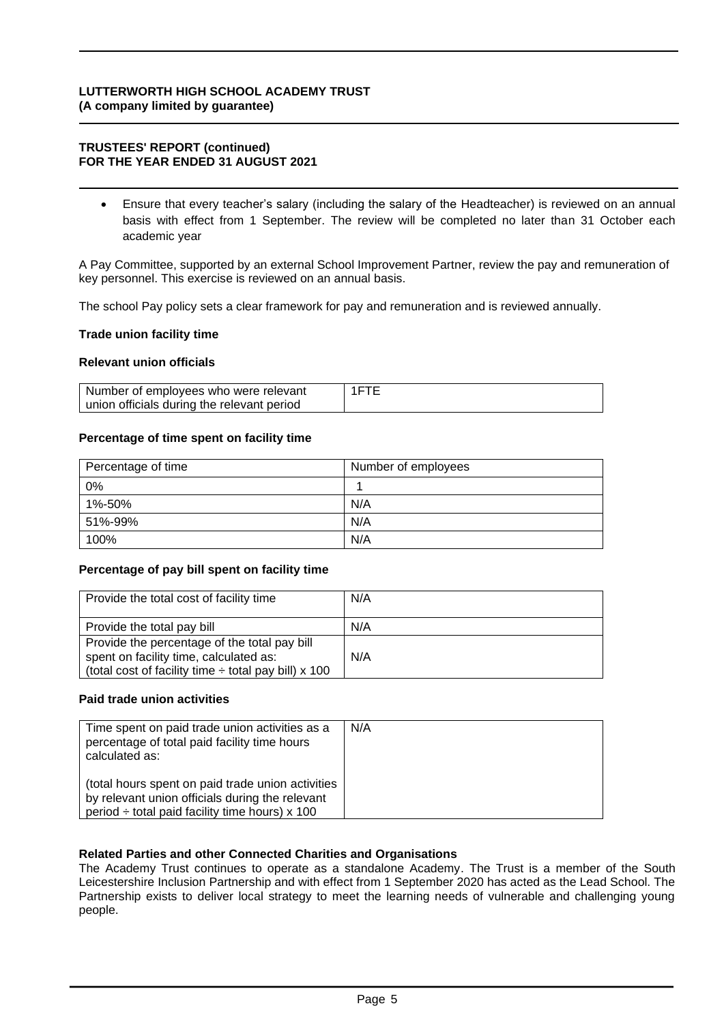#### **TRUSTEES' REPORT (continued) FOR THE YEAR ENDED 31 AUGUST 2021**

• Ensure that every teacher's salary (including the salary of the Headteacher) is reviewed on an annual basis with effect from 1 September. The review will be completed no later than 31 October each academic year

A Pay Committee, supported by an external School Improvement Partner, review the pay and remuneration of key personnel. This exercise is reviewed on an annual basis.

The school Pay policy sets a clear framework for pay and remuneration and is reviewed annually.

#### **Trade union facility time**

#### **Relevant union officials**

| Number of employees who were relevant      | 1FTF |
|--------------------------------------------|------|
| union officials during the relevant period |      |

#### **Percentage of time spent on facility time**

| Percentage of time | Number of employees |
|--------------------|---------------------|
| 0%                 |                     |
| 1%-50%             | N/A                 |
| 51%-99%            | N/A                 |
| 100%               | N/A                 |

#### **Percentage of pay bill spent on facility time**

| Provide the total cost of facility time                                                                                                             | N/A |
|-----------------------------------------------------------------------------------------------------------------------------------------------------|-----|
| Provide the total pay bill                                                                                                                          | N/A |
| Provide the percentage of the total pay bill<br>spent on facility time, calculated as:<br>(total cost of facility time $\div$ total pay bill) x 100 | N/A |

#### **Paid trade union activities**

| Time spent on paid trade union activities as a<br>percentage of total paid facility time hours<br>calculated as:                                            | N/A |
|-------------------------------------------------------------------------------------------------------------------------------------------------------------|-----|
| (total hours spent on paid trade union activities<br>by relevant union officials during the relevant<br>period $\div$ total paid facility time hours) x 100 |     |

#### **Related Parties and other Connected Charities and Organisations**

The Academy Trust continues to operate as a standalone Academy. The Trust is a member of the South Leicestershire Inclusion Partnership and with effect from 1 September 2020 has acted as the Lead School. The Partnership exists to deliver local strategy to meet the learning needs of vulnerable and challenging young people.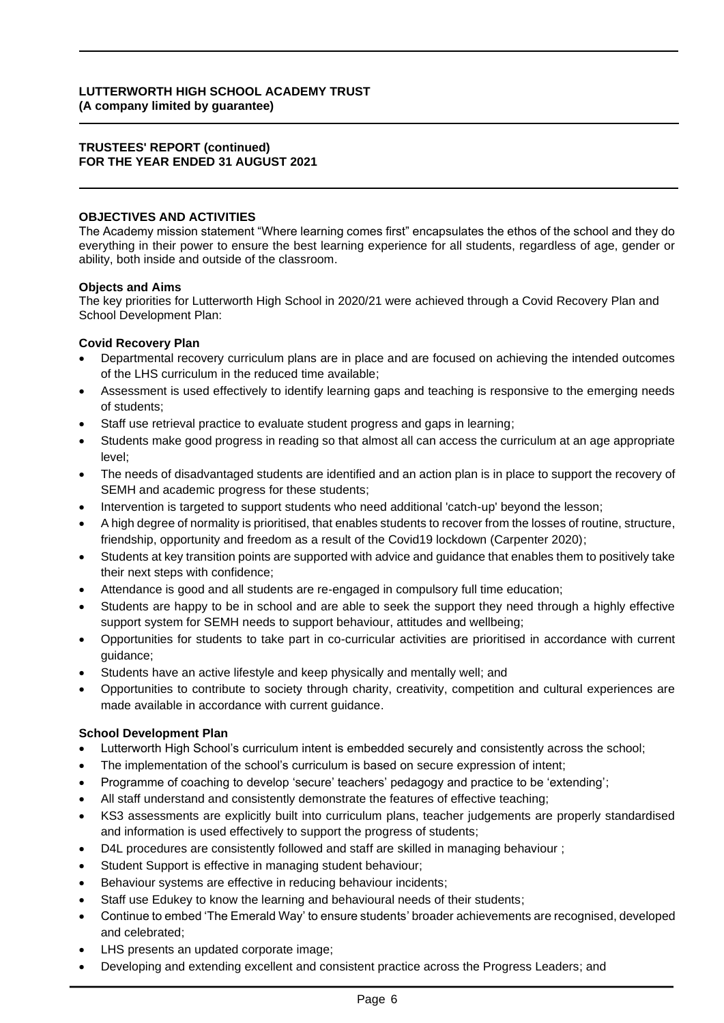#### **TRUSTEES' REPORT (continued) FOR THE YEAR ENDED 31 AUGUST 2021**

### **OBJECTIVES AND ACTIVITIES**

The Academy mission statement "Where learning comes first" encapsulates the ethos of the school and they do everything in their power to ensure the best learning experience for all students, regardless of age, gender or ability, both inside and outside of the classroom.

#### **Objects and Aims**

The key priorities for Lutterworth High School in 2020/21 were achieved through a Covid Recovery Plan and School Development Plan:

#### **Covid Recovery Plan**

- Departmental recovery curriculum plans are in place and are focused on achieving the intended outcomes of the LHS curriculum in the reduced time available;
- Assessment is used effectively to identify learning gaps and teaching is responsive to the emerging needs of students;
- Staff use retrieval practice to evaluate student progress and gaps in learning;
- Students make good progress in reading so that almost all can access the curriculum at an age appropriate level;
- The needs of disadvantaged students are identified and an action plan is in place to support the recovery of SEMH and academic progress for these students;
- Intervention is targeted to support students who need additional 'catch-up' beyond the lesson;
- A high degree of normality is prioritised, that enables students to recover from the losses of routine, structure, friendship, opportunity and freedom as a result of the Covid19 lockdown (Carpenter 2020);
- Students at key transition points are supported with advice and guidance that enables them to positively take their next steps with confidence;
- Attendance is good and all students are re-engaged in compulsory full time education;
- Students are happy to be in school and are able to seek the support they need through a highly effective support system for SEMH needs to support behaviour, attitudes and wellbeing;
- Opportunities for students to take part in co-curricular activities are prioritised in accordance with current guidance;
- Students have an active lifestyle and keep physically and mentally well; and
- Opportunities to contribute to society through charity, creativity, competition and cultural experiences are made available in accordance with current guidance.

#### **School Development Plan**

- Lutterworth High School's curriculum intent is embedded securely and consistently across the school;
- The implementation of the school's curriculum is based on secure expression of intent;
- Programme of coaching to develop 'secure' teachers' pedagogy and practice to be 'extending';
- All staff understand and consistently demonstrate the features of effective teaching;
- KS3 assessments are explicitly built into curriculum plans, teacher judgements are properly standardised and information is used effectively to support the progress of students;
- D4L procedures are consistently followed and staff are skilled in managing behaviour ;
- Student Support is effective in managing student behaviour;
- Behaviour systems are effective in reducing behaviour incidents;
- Staff use Edukey to know the learning and behavioural needs of their students;
- Continue to embed 'The Emerald Way' to ensure students' broader achievements are recognised, developed and celebrated;
- LHS presents an updated corporate image;
- Developing and extending excellent and consistent practice across the Progress Leaders; and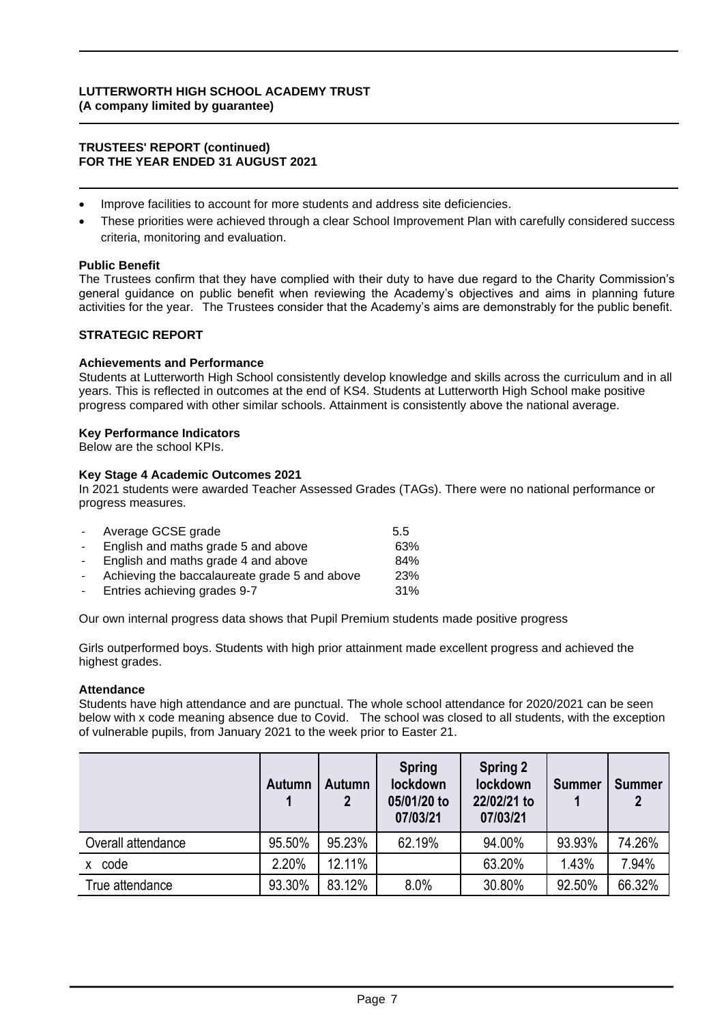#### **TRUSTEES' REPORT (continued) FOR THE YEAR ENDED 31 AUGUST 2021**

- Improve facilities to account for more students and address site deficiencies.
- These priorities were achieved through a clear School Improvement Plan with carefully considered success criteria, monitoring and evaluation.

#### **Public Benefit**

The Trustees confirm that they have complied with their duty to have due regard to the Charity Commission's general guidance on public benefit when reviewing the Academy's objectives and aims in planning future activities for the year. The Trustees consider that the Academy's aims are demonstrably for the public benefit.

#### **STRATEGIC REPORT**

#### **Achievements and Performance**

Students at Lutterworth High School consistently develop knowledge and skills across the curriculum and in all years. This is reflected in outcomes at the end of KS4. Students at Lutterworth High School make positive progress compared with other similar schools. Attainment is consistently above the national average.

#### **Key Performance Indicators**

Below are the school KPIs.

#### **Key Stage 4 Academic Outcomes 2021**

In 2021 students were awarded Teacher Assessed Grades (TAGs). There were no national performance or progress measures.

| $\sim$ 10 $\pm$ | Average GCSE grade                            | 5.5 |
|-----------------|-----------------------------------------------|-----|
| $\sim$          | English and maths grade 5 and above           | 63% |
| $\sim$ 10 $\pm$ | English and maths grade 4 and above           | 84% |
| $\sim$          | Achieving the baccalaureate grade 5 and above | 23% |
| $\sim$          | Entries achieving grades 9-7                  | 31% |

Our own internal progress data shows that Pupil Premium students made positive progress

Girls outperformed boys. Students with high prior attainment made excellent progress and achieved the highest grades.

#### **Attendance**

Students have high attendance and are punctual. The whole school attendance for 2020/2021 can be seen below with x code meaning absence due to Covid. The school was closed to all students, with the exception of vulnerable pupils, from January 2021 to the week prior to Easter 21.

|                    | Autumn | <b>Autumn</b><br>$\mathbf{2}$ | <b>Spring</b><br>lockdown<br>05/01/20 to<br>07/03/21 | <b>Spring 2</b><br>lockdown<br>22/02/21 to<br>07/03/21 | <b>Summer</b> | <b>Summer</b> |
|--------------------|--------|-------------------------------|------------------------------------------------------|--------------------------------------------------------|---------------|---------------|
| Overall attendance | 95.50% | 95.23%                        | 62.19%                                               | 94.00%                                                 | 93.93%        | 74.26%        |
| code<br>x          | 2.20%  | 12.11%                        |                                                      | 63.20%                                                 | 1.43%         | 7.94%         |
| True attendance    | 93.30% | 83.12%                        | 8.0%                                                 | 30.80%                                                 | 92.50%        | 66.32%        |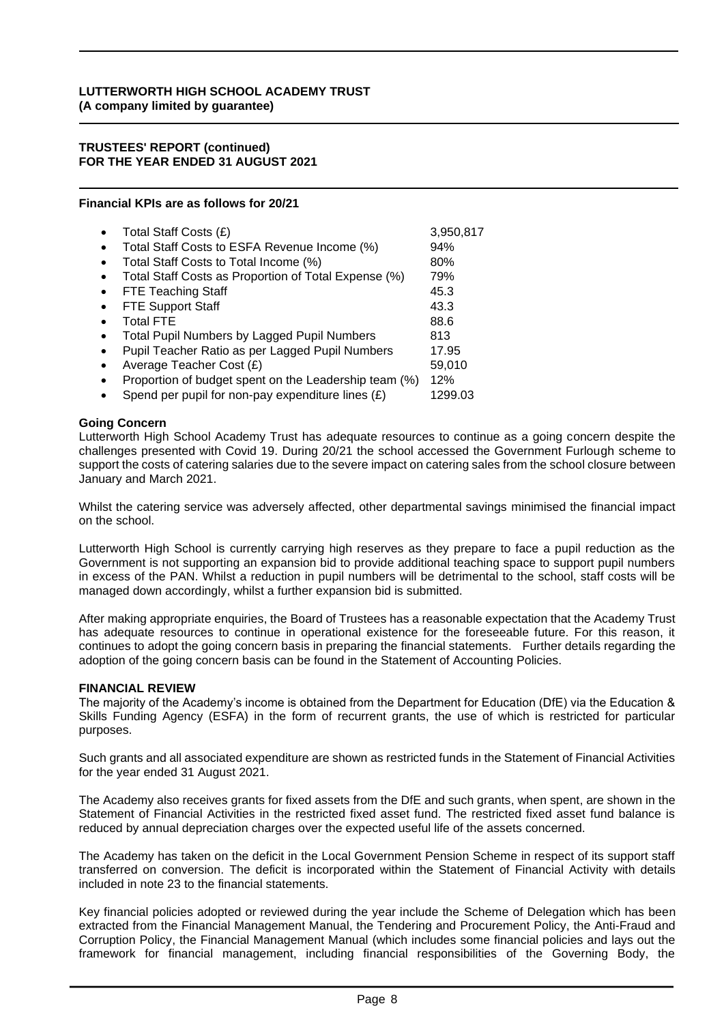#### **TRUSTEES' REPORT (continued) FOR THE YEAR ENDED 31 AUGUST 2021**

#### **Financial KPIs are as follows for 20/21**

|           | Total Staff Costs (£)                                 | 3,950,817 |
|-----------|-------------------------------------------------------|-----------|
|           | Total Staff Costs to ESFA Revenue Income (%)          | 94%       |
|           | Total Staff Costs to Total Income (%)                 | 80%       |
|           | Total Staff Costs as Proportion of Total Expense (%)  | 79%       |
|           | <b>FTE Teaching Staff</b>                             | 45.3      |
|           | <b>FTE Support Staff</b>                              | 43.3      |
|           | <b>Total FTE</b>                                      | 88.6      |
|           | <b>Total Pupil Numbers by Lagged Pupil Numbers</b>    | 813       |
|           | Pupil Teacher Ratio as per Lagged Pupil Numbers       | 17.95     |
| $\bullet$ | Average Teacher Cost (£)                              | 59,010    |
|           | Proportion of budget spent on the Leadership team (%) | 12%       |
|           | Spend per pupil for non-pay expenditure lines $(E)$   | 1299.03   |

#### **Going Concern**

Lutterworth High School Academy Trust has adequate resources to continue as a going concern despite the challenges presented with Covid 19. During 20/21 the school accessed the Government Furlough scheme to support the costs of catering salaries due to the severe impact on catering sales from the school closure between January and March 2021.

Whilst the catering service was adversely affected, other departmental savings minimised the financial impact on the school.

Lutterworth High School is currently carrying high reserves as they prepare to face a pupil reduction as the Government is not supporting an expansion bid to provide additional teaching space to support pupil numbers in excess of the PAN. Whilst a reduction in pupil numbers will be detrimental to the school, staff costs will be managed down accordingly, whilst a further expansion bid is submitted.

After making appropriate enquiries, the Board of Trustees has a reasonable expectation that the Academy Trust has adequate resources to continue in operational existence for the foreseeable future. For this reason, it continues to adopt the going concern basis in preparing the financial statements. Further details regarding the adoption of the going concern basis can be found in the Statement of Accounting Policies.

#### **FINANCIAL REVIEW**

The majority of the Academy's income is obtained from the Department for Education (DfE) via the Education & Skills Funding Agency (ESFA) in the form of recurrent grants, the use of which is restricted for particular purposes.

Such grants and all associated expenditure are shown as restricted funds in the Statement of Financial Activities for the year ended 31 August 2021.

The Academy also receives grants for fixed assets from the DfE and such grants, when spent, are shown in the Statement of Financial Activities in the restricted fixed asset fund. The restricted fixed asset fund balance is reduced by annual depreciation charges over the expected useful life of the assets concerned.

The Academy has taken on the deficit in the Local Government Pension Scheme in respect of its support staff transferred on conversion. The deficit is incorporated within the Statement of Financial Activity with details included in note 23 to the financial statements.

Key financial policies adopted or reviewed during the year include the Scheme of Delegation which has been extracted from the Financial Management Manual, the Tendering and Procurement Policy, the Anti-Fraud and Corruption Policy, the Financial Management Manual (which includes some financial policies and lays out the framework for financial management, including financial responsibilities of the Governing Body, the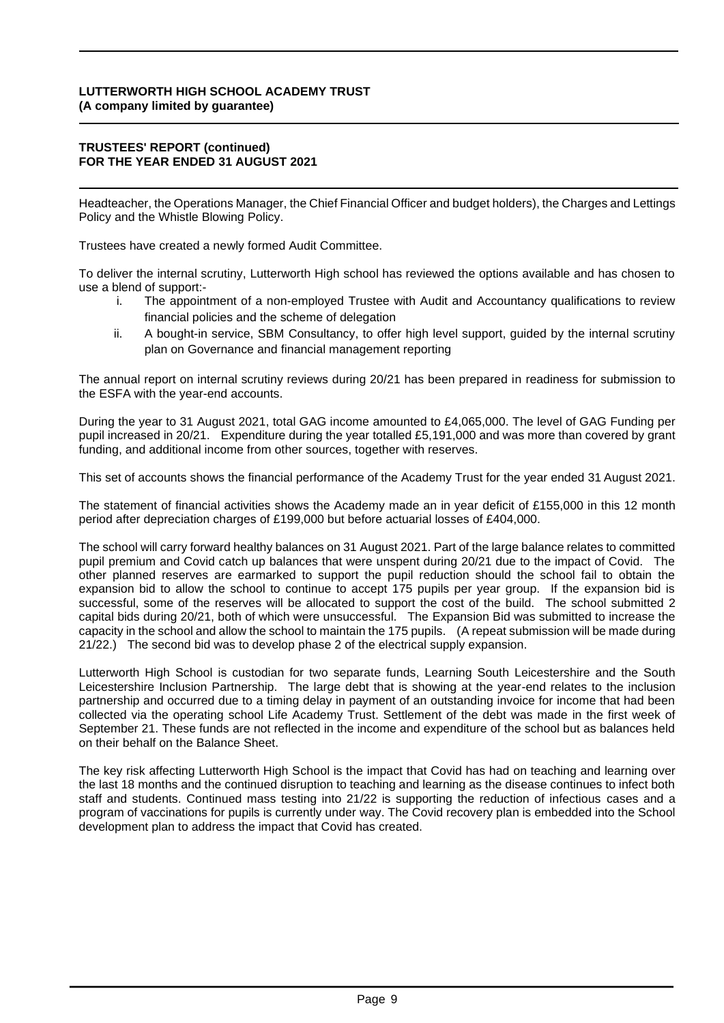#### **TRUSTEES' REPORT (continued) FOR THE YEAR ENDED 31 AUGUST 2021**

Headteacher, the Operations Manager, the Chief Financial Officer and budget holders), the Charges and Lettings Policy and the Whistle Blowing Policy.

Trustees have created a newly formed Audit Committee.

To deliver the internal scrutiny, Lutterworth High school has reviewed the options available and has chosen to use a blend of support:-

- i. The appointment of a non-employed Trustee with Audit and Accountancy qualifications to review financial policies and the scheme of delegation
- ii. A bought-in service, SBM Consultancy, to offer high level support, guided by the internal scrutiny plan on Governance and financial management reporting

The annual report on internal scrutiny reviews during 20/21 has been prepared in readiness for submission to the ESFA with the year-end accounts.

During the year to 31 August 2021, total GAG income amounted to £4,065,000. The level of GAG Funding per pupil increased in 20/21. Expenditure during the year totalled £5,191,000 and was more than covered by grant funding, and additional income from other sources, together with reserves.

This set of accounts shows the financial performance of the Academy Trust for the year ended 31 August 2021.

The statement of financial activities shows the Academy made an in year deficit of £155,000 in this 12 month period after depreciation charges of £199,000 but before actuarial losses of £404,000.

The school will carry forward healthy balances on 31 August 2021. Part of the large balance relates to committed pupil premium and Covid catch up balances that were unspent during 20/21 due to the impact of Covid. The other planned reserves are earmarked to support the pupil reduction should the school fail to obtain the expansion bid to allow the school to continue to accept 175 pupils per year group. If the expansion bid is successful, some of the reserves will be allocated to support the cost of the build. The school submitted 2 capital bids during 20/21, both of which were unsuccessful. The Expansion Bid was submitted to increase the capacity in the school and allow the school to maintain the 175 pupils. (A repeat submission will be made during 21/22.) The second bid was to develop phase 2 of the electrical supply expansion.

Lutterworth High School is custodian for two separate funds, Learning South Leicestershire and the South Leicestershire Inclusion Partnership. The large debt that is showing at the year-end relates to the inclusion partnership and occurred due to a timing delay in payment of an outstanding invoice for income that had been collected via the operating school Life Academy Trust. Settlement of the debt was made in the first week of September 21. These funds are not reflected in the income and expenditure of the school but as balances held on their behalf on the Balance Sheet.

The key risk affecting Lutterworth High School is the impact that Covid has had on teaching and learning over the last 18 months and the continued disruption to teaching and learning as the disease continues to infect both staff and students. Continued mass testing into 21/22 is supporting the reduction of infectious cases and a program of vaccinations for pupils is currently under way. The Covid recovery plan is embedded into the School development plan to address the impact that Covid has created.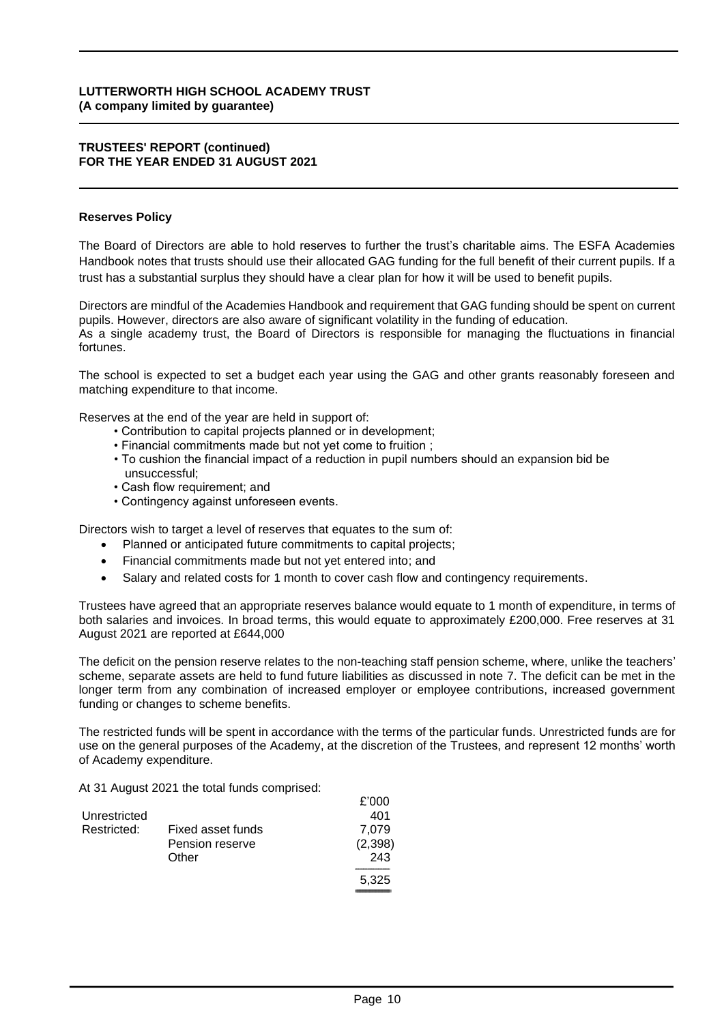#### **TRUSTEES' REPORT (continued) FOR THE YEAR ENDED 31 AUGUST 2021**

#### **Reserves Policy**

The Board of Directors are able to hold reserves to further the trust's charitable aims. The ESFA Academies Handbook notes that trusts should use their allocated GAG funding for the full benefit of their current pupils. If a trust has a substantial surplus they should have a clear plan for how it will be used to benefit pupils.

Directors are mindful of the Academies Handbook and requirement that GAG funding should be spent on current pupils. However, directors are also aware of significant volatility in the funding of education. As a single academy trust, the Board of Directors is responsible for managing the fluctuations in financial fortunes.

The school is expected to set a budget each year using the GAG and other grants reasonably foreseen and matching expenditure to that income.

Reserves at the end of the year are held in support of:

- Contribution to capital projects planned or in development;
- Financial commitments made but not yet come to fruition ;
- To cushion the financial impact of a reduction in pupil numbers should an expansion bid be unsuccessful;
- Cash flow requirement; and
- Contingency against unforeseen events.

Directors wish to target a level of reserves that equates to the sum of:

- Planned or anticipated future commitments to capital projects;
- Financial commitments made but not yet entered into; and
- Salary and related costs for 1 month to cover cash flow and contingency requirements.

Trustees have agreed that an appropriate reserves balance would equate to 1 month of expenditure, in terms of both salaries and invoices. In broad terms, this would equate to approximately £200,000. Free reserves at 31 August 2021 are reported at £644,000

The deficit on the pension reserve relates to the non-teaching staff pension scheme, where, unlike the teachers' scheme, separate assets are held to fund future liabilities as discussed in note 7. The deficit can be met in the longer term from any combination of increased employer or employee contributions, increased government funding or changes to scheme benefits.

The restricted funds will be spent in accordance with the terms of the particular funds. Unrestricted funds are for use on the general purposes of the Academy, at the discretion of the Trustees, and represent 12 months' worth of Academy expenditure.

At 31 August 2021 the total funds comprised:

|              |                   | £'000   |
|--------------|-------------------|---------|
| Unrestricted |                   | 401     |
| Restricted:  | Fixed asset funds | 7.079   |
|              | Pension reserve   | (2,398) |
|              | Other             | 243     |
|              |                   | 5,325   |
|              |                   |         |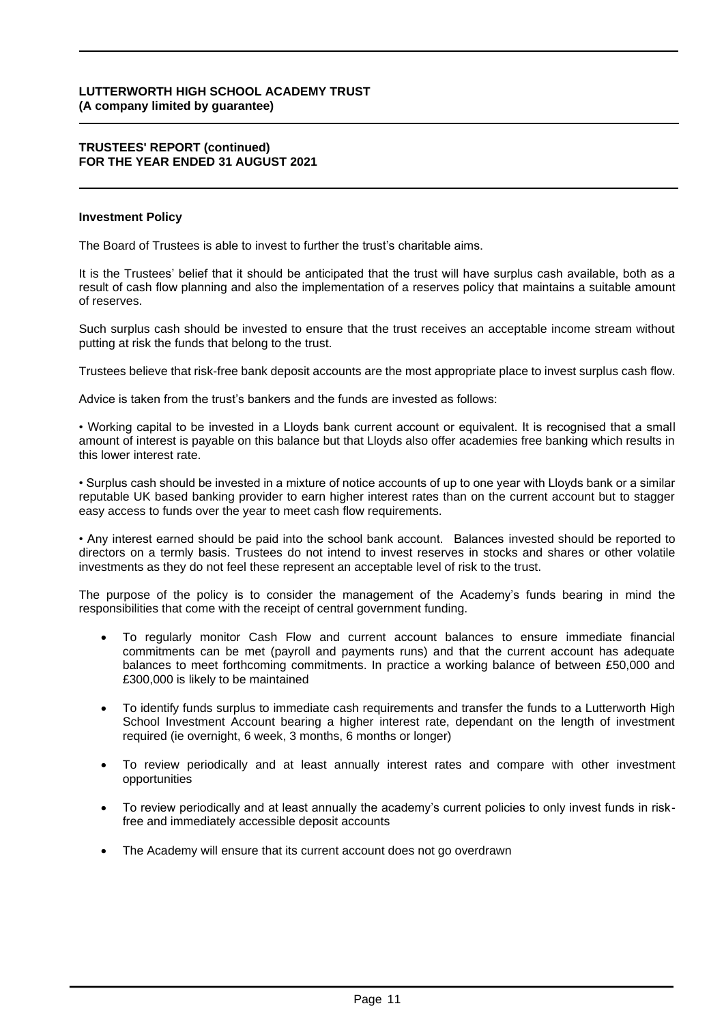#### **TRUSTEES' REPORT (continued) FOR THE YEAR ENDED 31 AUGUST 2021**

#### **Investment Policy**

The Board of Trustees is able to invest to further the trust's charitable aims.

It is the Trustees' belief that it should be anticipated that the trust will have surplus cash available, both as a result of cash flow planning and also the implementation of a reserves policy that maintains a suitable amount of reserves.

Such surplus cash should be invested to ensure that the trust receives an acceptable income stream without putting at risk the funds that belong to the trust.

Trustees believe that risk-free bank deposit accounts are the most appropriate place to invest surplus cash flow.

Advice is taken from the trust's bankers and the funds are invested as follows:

• Working capital to be invested in a Lloyds bank current account or equivalent. It is recognised that a small amount of interest is payable on this balance but that Lloyds also offer academies free banking which results in this lower interest rate.

• Surplus cash should be invested in a mixture of notice accounts of up to one year with Lloyds bank or a similar reputable UK based banking provider to earn higher interest rates than on the current account but to stagger easy access to funds over the year to meet cash flow requirements.

• Any interest earned should be paid into the school bank account. Balances invested should be reported to directors on a termly basis. Trustees do not intend to invest reserves in stocks and shares or other volatile investments as they do not feel these represent an acceptable level of risk to the trust.

The purpose of the policy is to consider the management of the Academy's funds bearing in mind the responsibilities that come with the receipt of central government funding.

- To regularly monitor Cash Flow and current account balances to ensure immediate financial commitments can be met (payroll and payments runs) and that the current account has adequate balances to meet forthcoming commitments. In practice a working balance of between £50,000 and £300,000 is likely to be maintained
- To identify funds surplus to immediate cash requirements and transfer the funds to a Lutterworth High School Investment Account bearing a higher interest rate, dependant on the length of investment required (ie overnight, 6 week, 3 months, 6 months or longer)
- To review periodically and at least annually interest rates and compare with other investment opportunities
- To review periodically and at least annually the academy's current policies to only invest funds in riskfree and immediately accessible deposit accounts
- The Academy will ensure that its current account does not go overdrawn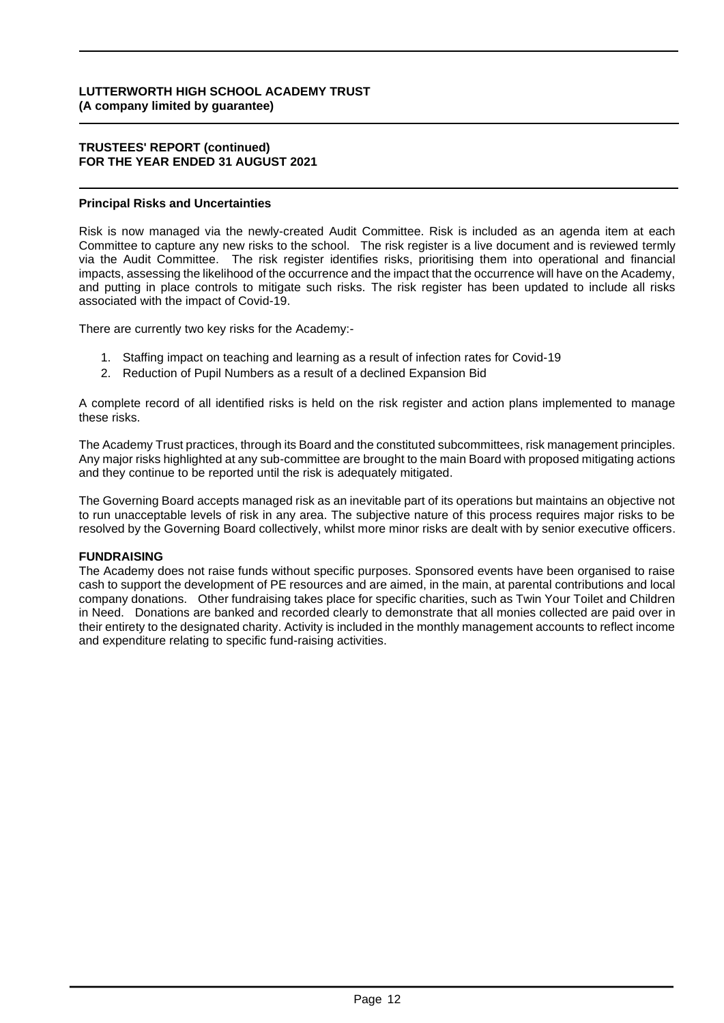#### **TRUSTEES' REPORT (continued) FOR THE YEAR ENDED 31 AUGUST 2021**

### **Principal Risks and Uncertainties**

Risk is now managed via the newly-created Audit Committee. Risk is included as an agenda item at each Committee to capture any new risks to the school. The risk register is a live document and is reviewed termly via the Audit Committee. The risk register identifies risks, prioritising them into operational and financial impacts, assessing the likelihood of the occurrence and the impact that the occurrence will have on the Academy, and putting in place controls to mitigate such risks. The risk register has been updated to include all risks associated with the impact of Covid-19.

There are currently two key risks for the Academy:-

- 1. Staffing impact on teaching and learning as a result of infection rates for Covid-19
- 2. Reduction of Pupil Numbers as a result of a declined Expansion Bid

A complete record of all identified risks is held on the risk register and action plans implemented to manage these risks.

The Academy Trust practices, through its Board and the constituted subcommittees, risk management principles. Any major risks highlighted at any sub-committee are brought to the main Board with proposed mitigating actions and they continue to be reported until the risk is adequately mitigated.

The Governing Board accepts managed risk as an inevitable part of its operations but maintains an objective not to run unacceptable levels of risk in any area. The subjective nature of this process requires major risks to be resolved by the Governing Board collectively, whilst more minor risks are dealt with by senior executive officers.

#### **FUNDRAISING**

The Academy does not raise funds without specific purposes. Sponsored events have been organised to raise cash to support the development of PE resources and are aimed, in the main, at parental contributions and local company donations. Other fundraising takes place for specific charities, such as Twin Your Toilet and Children in Need. Donations are banked and recorded clearly to demonstrate that all monies collected are paid over in their entirety to the designated charity. Activity is included in the monthly management accounts to reflect income and expenditure relating to specific fund-raising activities.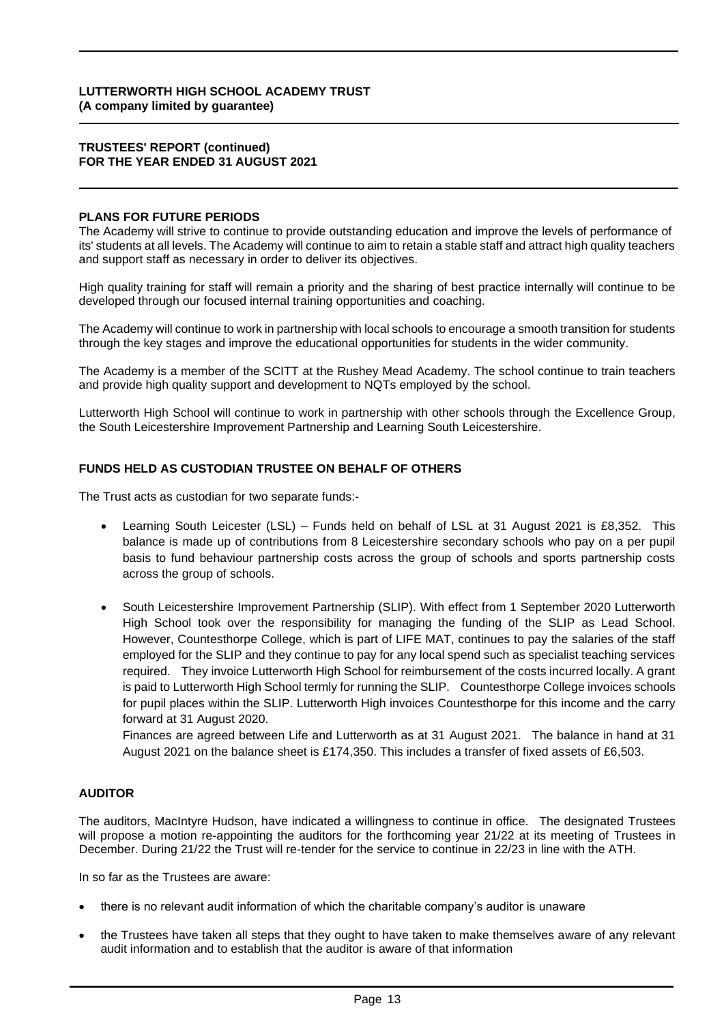#### **TRUSTEES' REPORT (continued) FOR THE YEAR ENDED 31 AUGUST 2021**

#### **PLANS FOR FUTURE PERIODS**

The Academy will strive to continue to provide outstanding education and improve the levels of performance of its' students at all levels. The Academy will continue to aim to retain a stable staff and attract high quality teachers and support staff as necessary in order to deliver its objectives.

High quality training for staff will remain a priority and the sharing of best practice internally will continue to be developed through our focused internal training opportunities and coaching.

The Academy will continue to work in partnership with local schools to encourage a smooth transition for students through the key stages and improve the educational opportunities for students in the wider community.

The Academy is a member of the SCITT at the Rushey Mead Academy. The school continue to train teachers and provide high quality support and development to NQTs employed by the school.

Lutterworth High School will continue to work in partnership with other schools through the Excellence Group, the South Leicestershire Improvement Partnership and Learning South Leicestershire.

# **FUNDS HELD AS CUSTODIAN TRUSTEE ON BEHALF OF OTHERS**

The Trust acts as custodian for two separate funds:-

- Learning South Leicester (LSL) Funds held on behalf of LSL at 31 August 2021 is £8,352. This balance is made up of contributions from 8 Leicestershire secondary schools who pay on a per pupil basis to fund behaviour partnership costs across the group of schools and sports partnership costs across the group of schools.
- South Leicestershire Improvement Partnership (SLIP). With effect from 1 September 2020 Lutterworth High School took over the responsibility for managing the funding of the SLIP as Lead School. However, Countesthorpe College, which is part of LIFE MAT, continues to pay the salaries of the staff employed for the SLIP and they continue to pay for any local spend such as specialist teaching services required. They invoice Lutterworth High School for reimbursement of the costs incurred locally. A grant is paid to Lutterworth High School termly for running the SLIP. Countesthorpe College invoices schools for pupil places within the SLIP. Lutterworth High invoices Countesthorpe for this income and the carry forward at 31 August 2020.

Finances are agreed between Life and Lutterworth as at 31 August 2021. The balance in hand at 31 August 2021 on the balance sheet is £174,350. This includes a transfer of fixed assets of £6,503.

#### **AUDITOR**

The auditors, MacIntyre Hudson, have indicated a willingness to continue in office. The designated Trustees will propose a motion re-appointing the auditors for the forthcoming year 21/22 at its meeting of Trustees in December. During 21/22 the Trust will re-tender for the service to continue in 22/23 in line with the ATH.

In so far as the Trustees are aware:

- there is no relevant audit information of which the charitable company's auditor is unaware
- the Trustees have taken all steps that they ought to have taken to make themselves aware of any relevant audit information and to establish that the auditor is aware of that information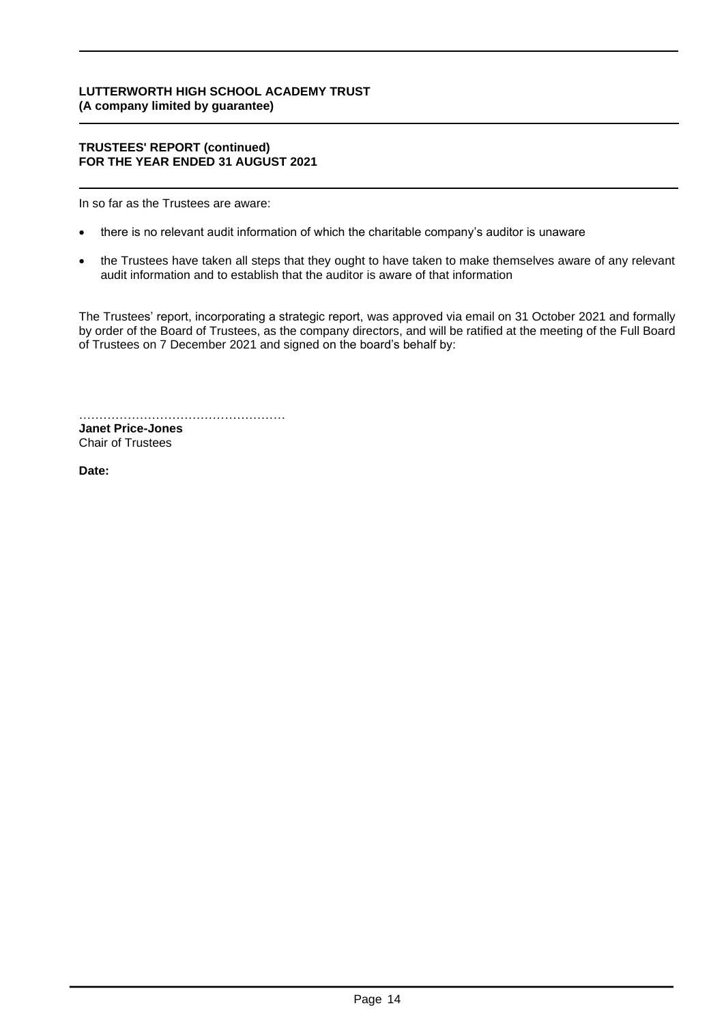#### **TRUSTEES' REPORT (continued) FOR THE YEAR ENDED 31 AUGUST 2021**

In so far as the Trustees are aware:

- there is no relevant audit information of which the charitable company's auditor is unaware
- the Trustees have taken all steps that they ought to have taken to make themselves aware of any relevant audit information and to establish that the auditor is aware of that information

The Trustees' report, incorporating a strategic report, was approved via email on 31 October 2021 and formally by order of the Board of Trustees, as the company directors, and will be ratified at the meeting of the Full Board of Trustees on 7 December 2021 and signed on the board's behalf by:

…………………………………………… **Janet Price-Jones** Chair of Trustees

**Date: 7 December 2021**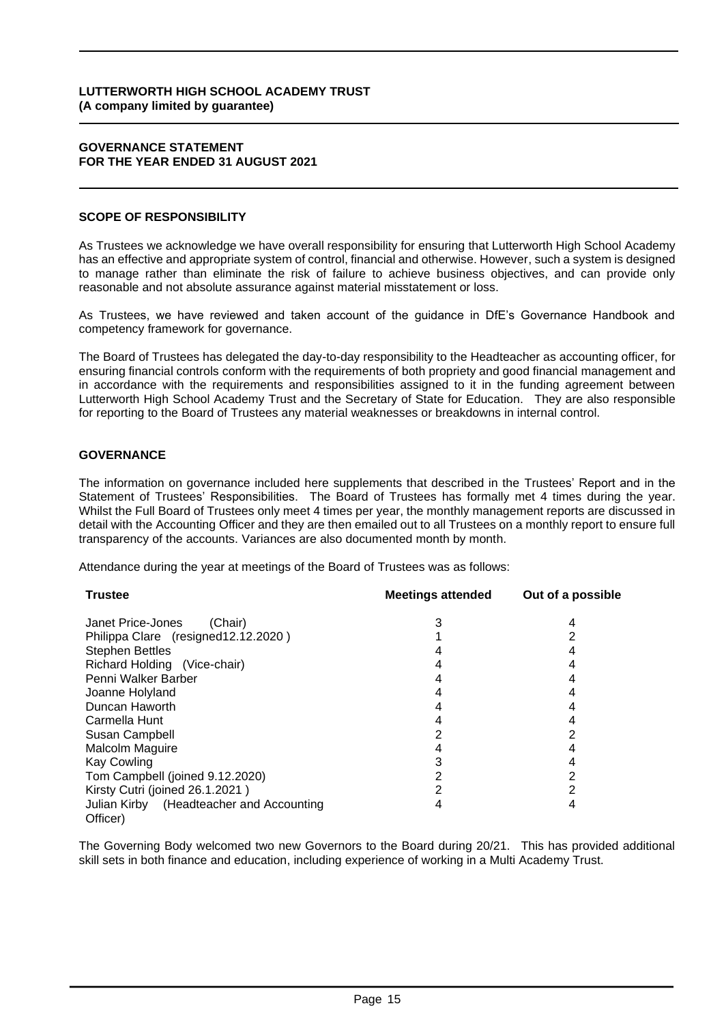#### **GOVERNANCE STATEMENT FOR THE YEAR ENDED 31 AUGUST 2021**

# **SCOPE OF RESPONSIBILITY**

As Trustees we acknowledge we have overall responsibility for ensuring that Lutterworth High School Academy has an effective and appropriate system of control, financial and otherwise. However, such a system is designed to manage rather than eliminate the risk of failure to achieve business objectives, and can provide only reasonable and not absolute assurance against material misstatement or loss.

As Trustees, we have reviewed and taken account of the guidance in DfE's Governance Handbook and competency framework for governance.

The Board of Trustees has delegated the day-to-day responsibility to the Headteacher as accounting officer, for ensuring financial controls conform with the requirements of both propriety and good financial management and in accordance with the requirements and responsibilities assigned to it in the funding agreement between Lutterworth High School Academy Trust and the Secretary of State for Education. They are also responsible for reporting to the Board of Trustees any material weaknesses or breakdowns in internal control.

# **GOVERNANCE**

The information on governance included here supplements that described in the Trustees' Report and in the Statement of Trustees' Responsibilities. The Board of Trustees has formally met 4 times during the year. Whilst the Full Board of Trustees only meet 4 times per year, the monthly management reports are discussed in detail with the Accounting Officer and they are then emailed out to all Trustees on a monthly report to ensure full transparency of the accounts. Variances are also documented month by month.

Attendance during the year at meetings of the Board of Trustees was as follows:

| <b>Trustee</b>                           | <b>Meetings attended</b> | Out of a possible |
|------------------------------------------|--------------------------|-------------------|
| Janet Price-Jones<br>(Chair)             |                          | 4                 |
| Philippa Clare (resigned 12.12.2020)     |                          | 2                 |
| <b>Stephen Bettles</b>                   |                          |                   |
| Richard Holding (Vice-chair)             |                          |                   |
| Penni Walker Barber                      |                          |                   |
| Joanne Holyland                          |                          |                   |
| Duncan Haworth                           |                          |                   |
| Carmella Hunt                            |                          | 4                 |
| Susan Campbell                           |                          | 2                 |
| <b>Malcolm Maguire</b>                   |                          |                   |
| <b>Kay Cowling</b>                       |                          | 4                 |
| Tom Campbell (joined 9.12.2020)          |                          | 2                 |
| Kirsty Cutri (joined 26.1.2021)          |                          | 2                 |
| Julian Kirby (Headteacher and Accounting |                          | 4                 |
| Officer)                                 |                          |                   |

The Governing Body welcomed two new Governors to the Board during 20/21. This has provided additional skill sets in both finance and education, including experience of working in a Multi Academy Trust.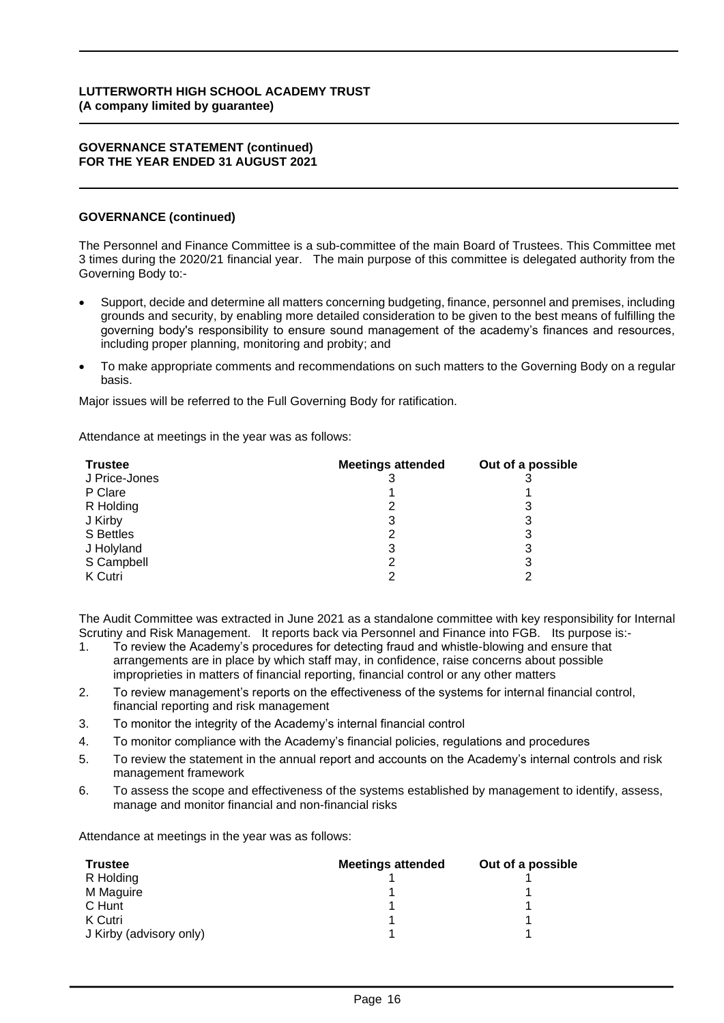#### **GOVERNANCE STATEMENT (continued) FOR THE YEAR ENDED 31 AUGUST 2021**

### **GOVERNANCE (continued)**

The Personnel and Finance Committee is a sub-committee of the main Board of Trustees. This Committee met 3 times during the 2020/21 financial year. The main purpose of this committee is delegated authority from the Governing Body to:-

- Support, decide and determine all matters concerning budgeting, finance, personnel and premises, including grounds and security, by enabling more detailed consideration to be given to the best means of fulfilling the governing body's responsibility to ensure sound management of the academy's finances and resources, including proper planning, monitoring and probity; and
- To make appropriate comments and recommendations on such matters to the Governing Body on a regular basis.

Major issues will be referred to the Full Governing Body for ratification.

Attendance at meetings in the year was as follows:

| <b>Trustee</b> | <b>Meetings attended</b> | Out of a possible |
|----------------|--------------------------|-------------------|
| J Price-Jones  |                          |                   |
| P Clare        |                          |                   |
| R Holding      | っ                        |                   |
| J Kirby        | 3                        |                   |
| S Bettles      | 2                        | 3                 |
| J Holyland     | 3                        | 3                 |
| S Campbell     |                          | 3                 |
| K Cutri        |                          |                   |

The Audit Committee was extracted in June 2021 as a standalone committee with key responsibility for Internal Scrutiny and Risk Management. It reports back via Personnel and Finance into FGB. Its purpose is:-

- 1. To review the Academy's procedures for detecting fraud and whistle-blowing and ensure that arrangements are in place by which staff may, in confidence, raise concerns about possible improprieties in matters of financial reporting, financial control or any other matters
- 2. To review management's reports on the effectiveness of the systems for internal financial control, financial reporting and risk management
- 3. To monitor the integrity of the Academy's internal financial control
- 4. To monitor compliance with the Academy's financial policies, regulations and procedures
- 5. To review the statement in the annual report and accounts on the Academy's internal controls and risk management framework
- 6. To assess the scope and effectiveness of the systems established by management to identify, assess, manage and monitor financial and non-financial risks

Attendance at meetings in the year was as follows:

| <b>Trustee</b>          | <b>Meetings attended</b> | Out of a possible |
|-------------------------|--------------------------|-------------------|
| R Holding               |                          |                   |
| M Maguire               |                          |                   |
| C Hunt                  |                          |                   |
| K Cutri                 |                          |                   |
| J Kirby (advisory only) |                          |                   |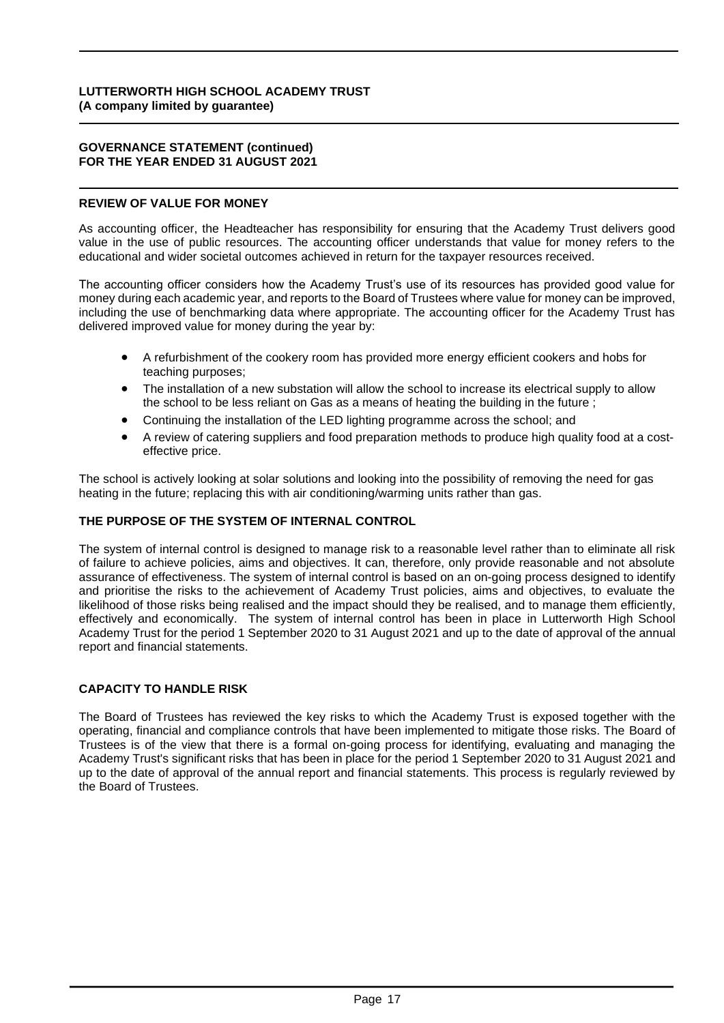#### **GOVERNANCE STATEMENT (continued) FOR THE YEAR ENDED 31 AUGUST 2021**

#### **REVIEW OF VALUE FOR MONEY**

As accounting officer, the Headteacher has responsibility for ensuring that the Academy Trust delivers good value in the use of public resources. The accounting officer understands that value for money refers to the educational and wider societal outcomes achieved in return for the taxpayer resources received.

The accounting officer considers how the Academy Trust's use of its resources has provided good value for money during each academic year, and reports to the Board of Trustees where value for money can be improved, including the use of benchmarking data where appropriate. The accounting officer for the Academy Trust has delivered improved value for money during the year by:

- A refurbishment of the cookery room has provided more energy efficient cookers and hobs for teaching purposes;
- The installation of a new substation will allow the school to increase its electrical supply to allow the school to be less reliant on Gas as a means of heating the building in the future ;
- Continuing the installation of the LED lighting programme across the school; and
- A review of catering suppliers and food preparation methods to produce high quality food at a costeffective price.

The school is actively looking at solar solutions and looking into the possibility of removing the need for gas heating in the future; replacing this with air conditioning/warming units rather than gas.

### **THE PURPOSE OF THE SYSTEM OF INTERNAL CONTROL**

The system of internal control is designed to manage risk to a reasonable level rather than to eliminate all risk of failure to achieve policies, aims and objectives. It can, therefore, only provide reasonable and not absolute assurance of effectiveness. The system of internal control is based on an on-going process designed to identify and prioritise the risks to the achievement of Academy Trust policies, aims and objectives, to evaluate the likelihood of those risks being realised and the impact should they be realised, and to manage them efficiently, effectively and economically. The system of internal control has been in place in Lutterworth High School Academy Trust for the period 1 September 2020 to 31 August 2021 and up to the date of approval of the annual report and financial statements.

# **CAPACITY TO HANDLE RISK**

The Board of Trustees has reviewed the key risks to which the Academy Trust is exposed together with the operating, financial and compliance controls that have been implemented to mitigate those risks. The Board of Trustees is of the view that there is a formal on-going process for identifying, evaluating and managing the Academy Trust's significant risks that has been in place for the period 1 September 2020 to 31 August 2021 and up to the date of approval of the annual report and financial statements. This process is regularly reviewed by the Board of Trustees.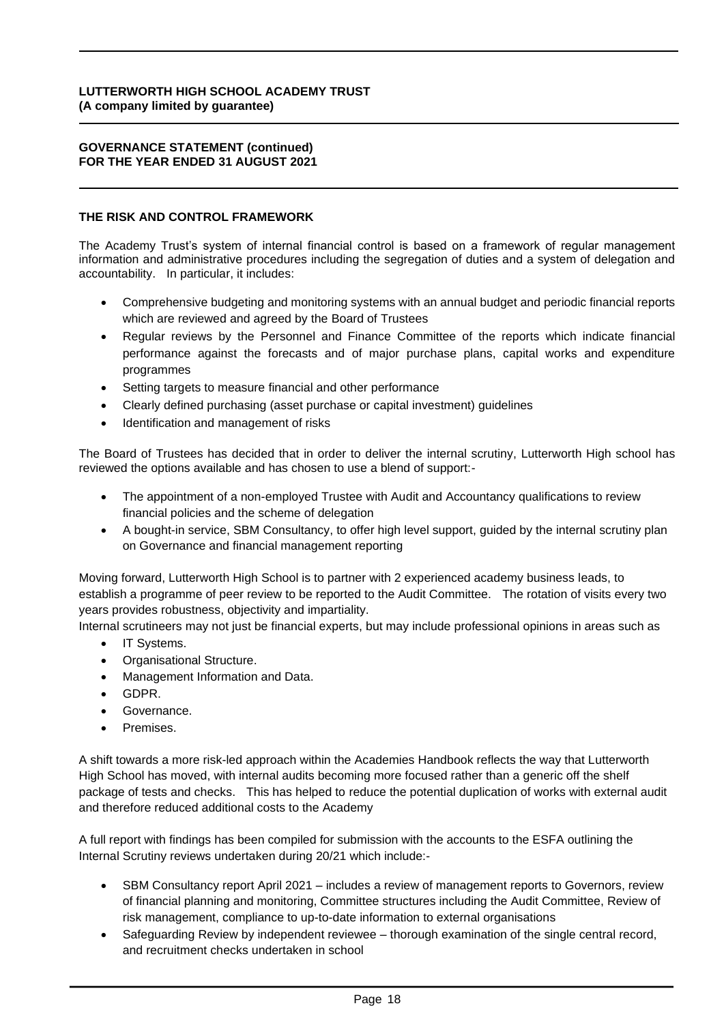#### **GOVERNANCE STATEMENT (continued) FOR THE YEAR ENDED 31 AUGUST 2021**

### **THE RISK AND CONTROL FRAMEWORK**

The Academy Trust's system of internal financial control is based on a framework of regular management information and administrative procedures including the segregation of duties and a system of delegation and accountability. In particular, it includes:

- Comprehensive budgeting and monitoring systems with an annual budget and periodic financial reports which are reviewed and agreed by the Board of Trustees
- Regular reviews by the Personnel and Finance Committee of the reports which indicate financial performance against the forecasts and of major purchase plans, capital works and expenditure programmes
- Setting targets to measure financial and other performance
- Clearly defined purchasing (asset purchase or capital investment) guidelines
- Identification and management of risks

The Board of Trustees has decided that in order to deliver the internal scrutiny, Lutterworth High school has reviewed the options available and has chosen to use a blend of support:-

- The appointment of a non-employed Trustee with Audit and Accountancy qualifications to review financial policies and the scheme of delegation
- A bought-in service, SBM Consultancy, to offer high level support, guided by the internal scrutiny plan on Governance and financial management reporting

Moving forward, Lutterworth High School is to partner with 2 experienced academy business leads, to establish a programme of peer review to be reported to the Audit Committee. The rotation of visits every two years provides robustness, objectivity and impartiality.

Internal scrutineers may not just be financial experts, but may include professional opinions in areas such as

- IT Systems.
- Organisational Structure.
- Management Information and Data.
- GDPR.
- Governance.
- Premises.

A shift towards a more risk-led approach within the Academies Handbook reflects the way that Lutterworth High School has moved, with internal audits becoming more focused rather than a generic off the shelf package of tests and checks. This has helped to reduce the potential duplication of works with external audit and therefore reduced additional costs to the Academy

A full report with findings has been compiled for submission with the accounts to the ESFA outlining the Internal Scrutiny reviews undertaken during 20/21 which include:-

- SBM Consultancy report April 2021 includes a review of management reports to Governors, review of financial planning and monitoring, Committee structures including the Audit Committee, Review of risk management, compliance to up-to-date information to external organisations
- Safeguarding Review by independent reviewee thorough examination of the single central record, and recruitment checks undertaken in school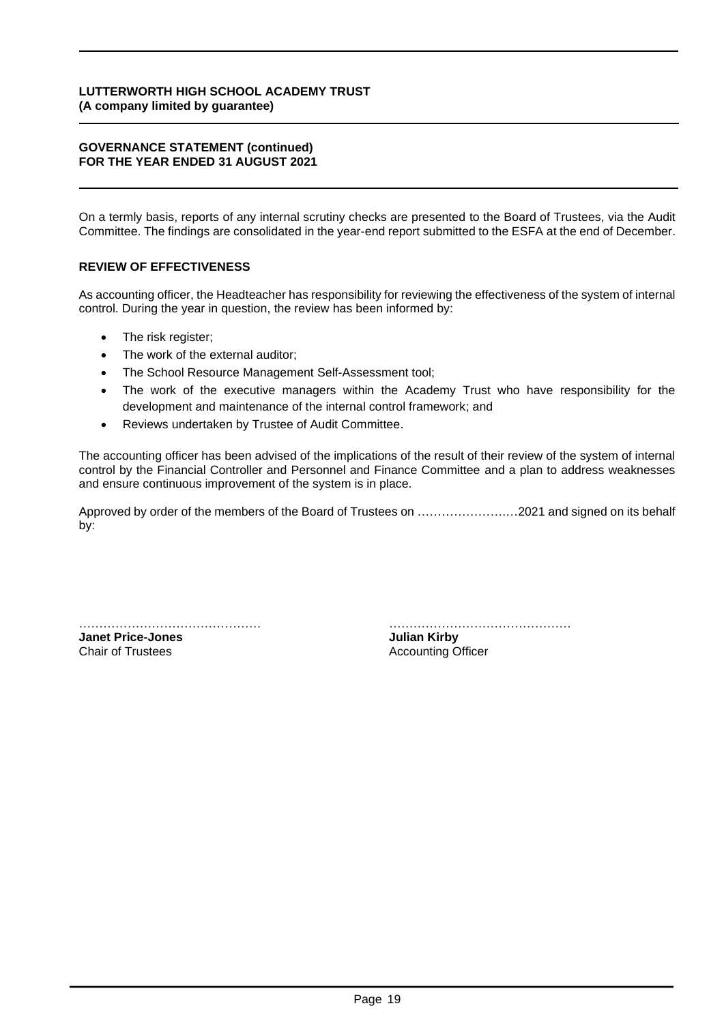#### **GOVERNANCE STATEMENT (continued) FOR THE YEAR ENDED 31 AUGUST 2021**

On a termly basis, reports of any internal scrutiny checks are presented to the Board of Trustees, via the Audit Committee. The findings are consolidated in the year-end report submitted to the ESFA at the end of December.

# **REVIEW OF EFFECTIVENESS**

As accounting officer, the Headteacher has responsibility for reviewing the effectiveness of the system of internal control. During the year in question, the review has been informed by:

- The risk register;
- The work of the external auditor:
- The School Resource Management Self-Assessment tool;
- The work of the executive managers within the Academy Trust who have responsibility for the development and maintenance of the internal control framework; and
- Reviews undertaken by Trustee of Audit Committee.

The accounting officer has been advised of the implications of the result of their review of the system of internal control by the Financial Controller and Personnel and Finance Committee and a plan to address weaknesses and ensure continuous improvement of the system is in place.

Approved by order of the members of the Board of Trustees on ………………….…2021 and signed on its behalf **7 December**by:

**Janet Price-Jones Julian Kirby**

……………………………………… ………………………………………

Chair of Trustees **Accounting Officer Accounting Officer**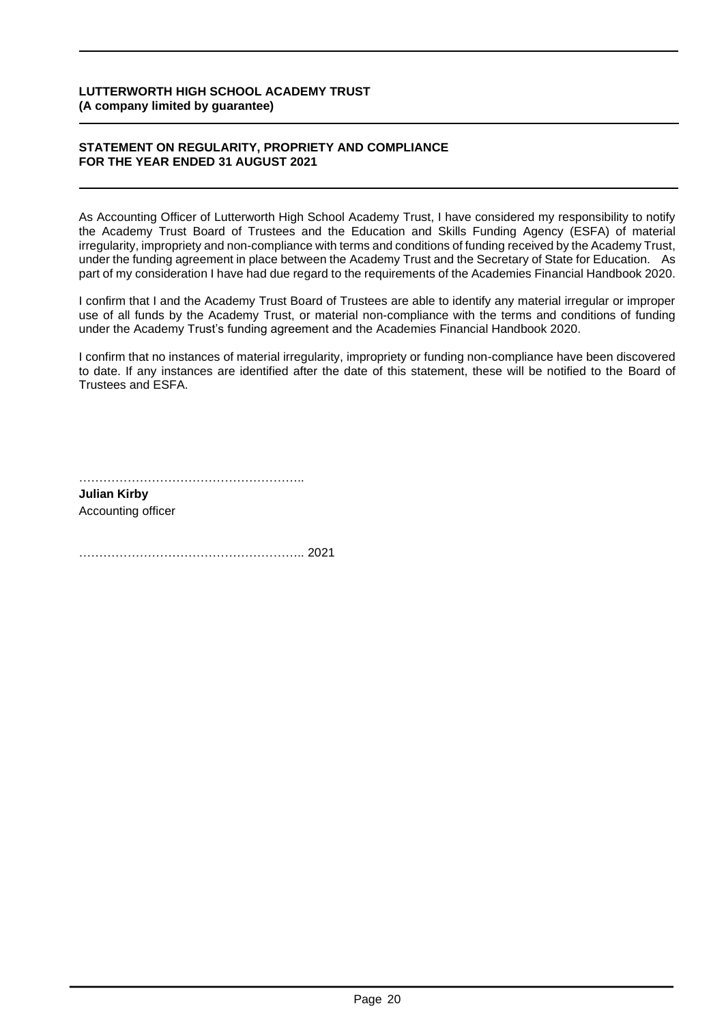#### **STATEMENT ON REGULARITY, PROPRIETY AND COMPLIANCE FOR THE YEAR ENDED 31 AUGUST 2021**

As Accounting Officer of Lutterworth High School Academy Trust, I have considered my responsibility to notify the Academy Trust Board of Trustees and the Education and Skills Funding Agency (ESFA) of material irregularity, impropriety and non-compliance with terms and conditions of funding received by the Academy Trust, under the funding agreement in place between the Academy Trust and the Secretary of State for Education. As part of my consideration I have had due regard to the requirements of the Academies Financial Handbook 2020.

I confirm that I and the Academy Trust Board of Trustees are able to identify any material irregular or improper use of all funds by the Academy Trust, or material non-compliance with the terms and conditions of funding under the Academy Trust's funding agreement and the Academies Financial Handbook 2020.

I confirm that no instances of material irregularity, impropriety or funding non-compliance have been discovered to date. If any instances are identified after the date of this statement, these will be notified to the Board of Trustees and ESFA.

**Julian Kirby** Accounting officer

……………………………………………….. 2021 **7 December**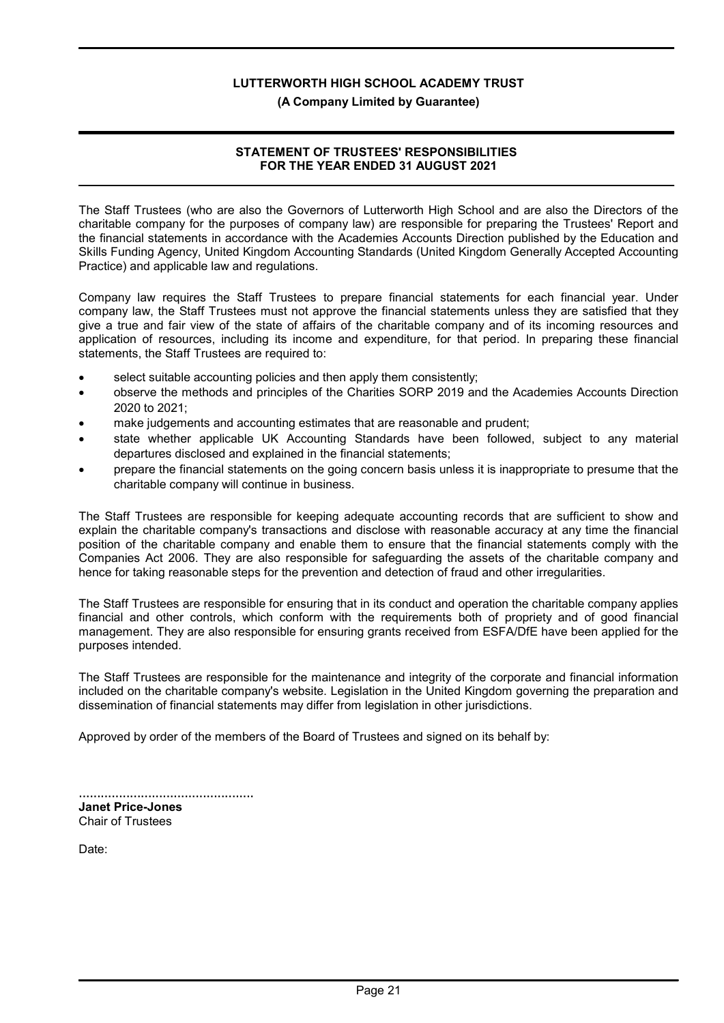#### (A Company Limited by Guarantee)

# STATEMENT OF TRUSTEES' RESPONSIBILITIES FOR THE YEAR ENDED 31 AUGUST 2021

The Staff Trustees (who are also the Governors of Lutterworth High School and are also the Directors of the charitable company for the purposes of company law) are responsible for preparing the Trustees' Report and the financial statements in accordance with the Academies Accounts Direction published by the Education and Skills Funding Agency, United Kingdom Accounting Standards (United Kingdom Generally Accepted Accounting Practice) and applicable law and regulations.

Company law requires the Staff Trustees to prepare financial statements for each financial year. Under company law, the Staff Trustees must not approve the financial statements unless they are satisfied that they give a true and fair view of the state of affairs of the charitable company and of its incoming resources and application of resources, including its income and expenditure, for that period. In preparing these financial statements, the Staff Trustees are required to:

- select suitable accounting policies and then apply them consistently;
- observe the methods and principles of the Charities SORP 2019 and the Academies Accounts Direction 2020 to 2021;
- make judgements and accounting estimates that are reasonable and prudent;
- state whether applicable UK Accounting Standards have been followed, subject to any material departures disclosed and explained in the financial statements;
- prepare the financial statements on the going concern basis unless it is inappropriate to presume that the charitable company will continue in business.

The Staff Trustees are responsible for keeping adequate accounting records that are sufficient to show and explain the charitable company's transactions and disclose with reasonable accuracy at any time the financial position of the charitable company and enable them to ensure that the financial statements comply with the Companies Act 2006. They are also responsible for safeguarding the assets of the charitable company and hence for taking reasonable steps for the prevention and detection of fraud and other irregularities.

The Staff Trustees are responsible for ensuring that in its conduct and operation the charitable company applies financial and other controls, which conform with the requirements both of propriety and of good financial management. They are also responsible for ensuring grants received from ESFA/DfE have been applied for the purposes intended.

The Staff Trustees are responsible for the maintenance and integrity of the corporate and financial information included on the charitable company's website. Legislation in the United Kingdom governing the preparation and dissemination of financial statements may differ from legislation in other jurisdictions.

Approved by order of the members of the Board of Trustees and signed on its behalf by:

| <b>Janet Price-Jones</b> |  |
|--------------------------|--|
| <b>Chair of Trustees</b> |  |

Date: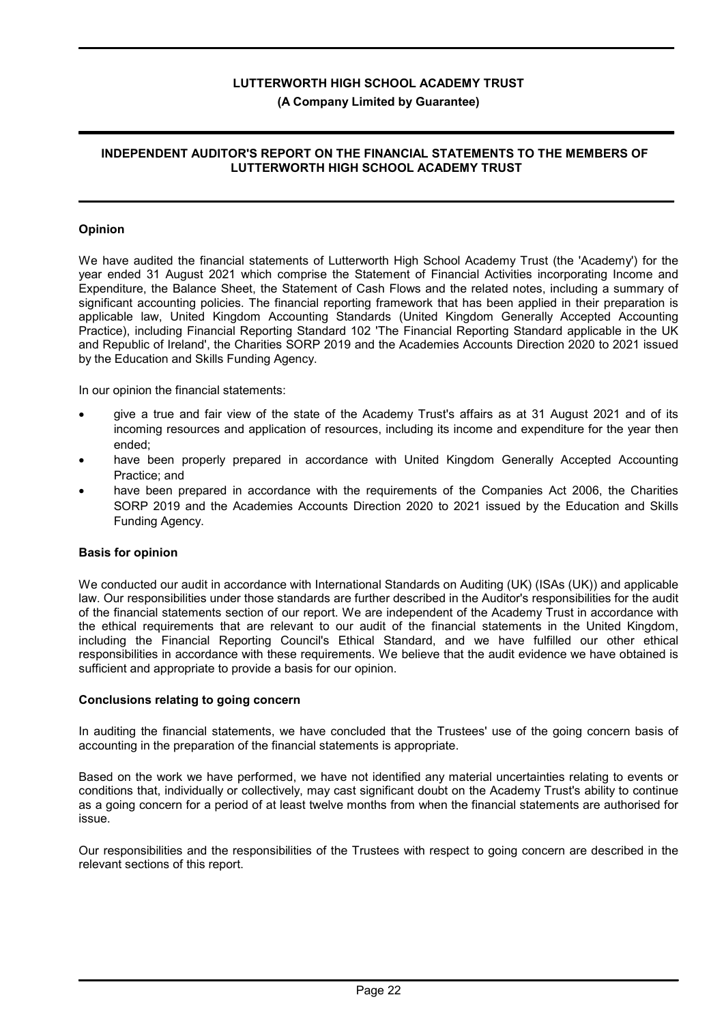# (A Company Limited by Guarantee)

#### INDEPENDENT AUDITOR'S REPORT ON THE FINANCIAL STATEMENTS TO THE MEMBERS OF LUTTERWORTH HIGH SCHOOL ACADEMY TRUST

#### Opinion

We have audited the financial statements of Lutterworth High School Academy Trust (the 'Academy') for the year ended 31 August 2021 which comprise the Statement of Financial Activities incorporating Income and Expenditure, the Balance Sheet, the Statement of Cash Flows and the related notes, including a summary of significant accounting policies. The financial reporting framework that has been applied in their preparation is applicable law, United Kingdom Accounting Standards (United Kingdom Generally Accepted Accounting Practice), including Financial Reporting Standard 102 'The Financial Reporting Standard applicable in the UK and Republic of Ireland', the Charities SORP 2019 and the Academies Accounts Direction 2020 to 2021 issued by the Education and Skills Funding Agency.

In our opinion the financial statements:

- give a true and fair view of the state of the Academy Trust's affairs as at 31 August 2021 and of its incoming resources and application of resources, including its income and expenditure for the year then ended;
- have been properly prepared in accordance with United Kingdom Generally Accepted Accounting Practice; and
- have been prepared in accordance with the requirements of the Companies Act 2006, the Charities SORP 2019 and the Academies Accounts Direction 2020 to 2021 issued by the Education and Skills Funding Agency.

#### Basis for opinion

We conducted our audit in accordance with International Standards on Auditing (UK) (ISAs (UK)) and applicable law. Our responsibilities under those standards are further described in the Auditor's responsibilities for the audit of the financial statements section of our report. We are independent of the Academy Trust in accordance with the ethical requirements that are relevant to our audit of the financial statements in the United Kingdom, including the Financial Reporting Council's Ethical Standard, and we have fulfilled our other ethical responsibilities in accordance with these requirements. We believe that the audit evidence we have obtained is sufficient and appropriate to provide a basis for our opinion.

#### Conclusions relating to going concern

In auditing the financial statements, we have concluded that the Trustees' use of the going concern basis of accounting in the preparation of the financial statements is appropriate.

Based on the work we have performed, we have not identified any material uncertainties relating to events or conditions that, individually or collectively, may cast significant doubt on the Academy Trust's ability to continue as a going concern for a period of at least twelve months from when the financial statements are authorised for issue.

Our responsibilities and the responsibilities of the Trustees with respect to going concern are described in the relevant sections of this report.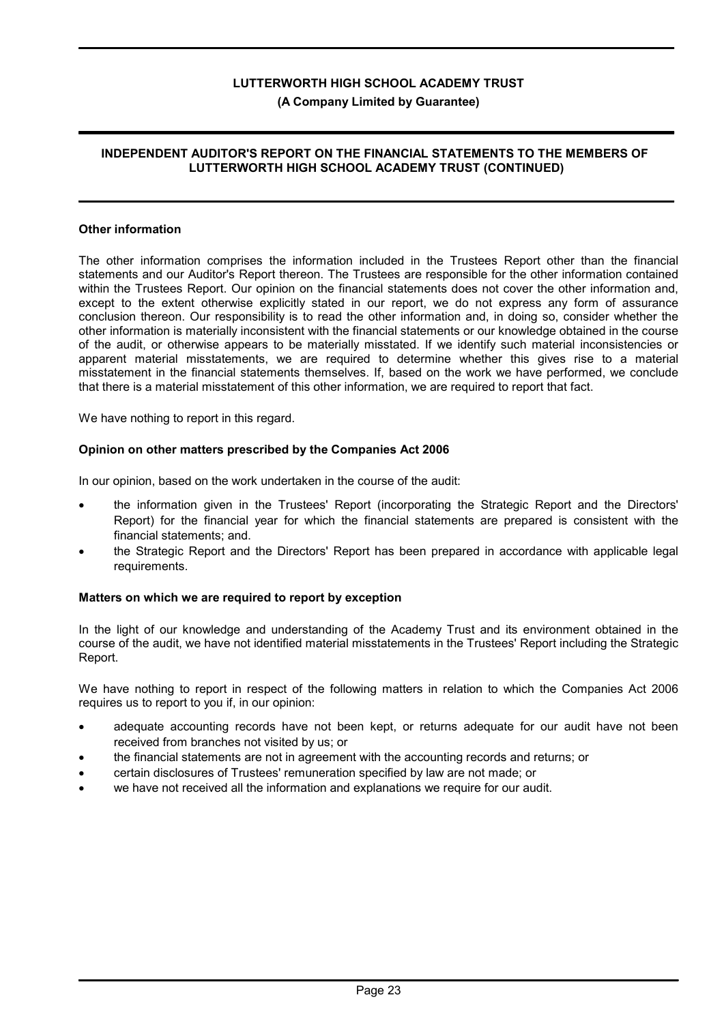# (A Company Limited by Guarantee)

# INDEPENDENT AUDITOR'S REPORT ON THE FINANCIAL STATEMENTS TO THE MEMBERS OF LUTTERWORTH HIGH SCHOOL ACADEMY TRUST (CONTINUED)

#### Other information

The other information comprises the information included in the Trustees Report other than the financial statements and our Auditor's Report thereon. The Trustees are responsible for the other information contained within the Trustees Report. Our opinion on the financial statements does not cover the other information and, except to the extent otherwise explicitly stated in our report, we do not express any form of assurance conclusion thereon. Our responsibility is to read the other information and, in doing so, consider whether the other information is materially inconsistent with the financial statements or our knowledge obtained in the course of the audit, or otherwise appears to be materially misstated. If we identify such material inconsistencies or apparent material misstatements, we are required to determine whether this gives rise to a material misstatement in the financial statements themselves. If, based on the work we have performed, we conclude that there is a material misstatement of this other information, we are required to report that fact.

We have nothing to report in this regard.

# Opinion on other matters prescribed by the Companies Act 2006

In our opinion, based on the work undertaken in the course of the audit:

- the information given in the Trustees' Report (incorporating the Strategic Report and the Directors' Report) for the financial year for which the financial statements are prepared is consistent with the financial statements; and.
- the Strategic Report and the Directors' Report has been prepared in accordance with applicable legal requirements.

# Matters on which we are required to report by exception

In the light of our knowledge and understanding of the Academy Trust and its environment obtained in the course of the audit, we have not identified material misstatements in the Trustees' Report including the Strategic Report.

We have nothing to report in respect of the following matters in relation to which the Companies Act 2006 requires us to report to you if, in our opinion:

- adequate accounting records have not been kept, or returns adequate for our audit have not been received from branches not visited by us; or
- the financial statements are not in agreement with the accounting records and returns; or
- certain disclosures of Trustees' remuneration specified by law are not made; or
- we have not received all the information and explanations we require for our audit.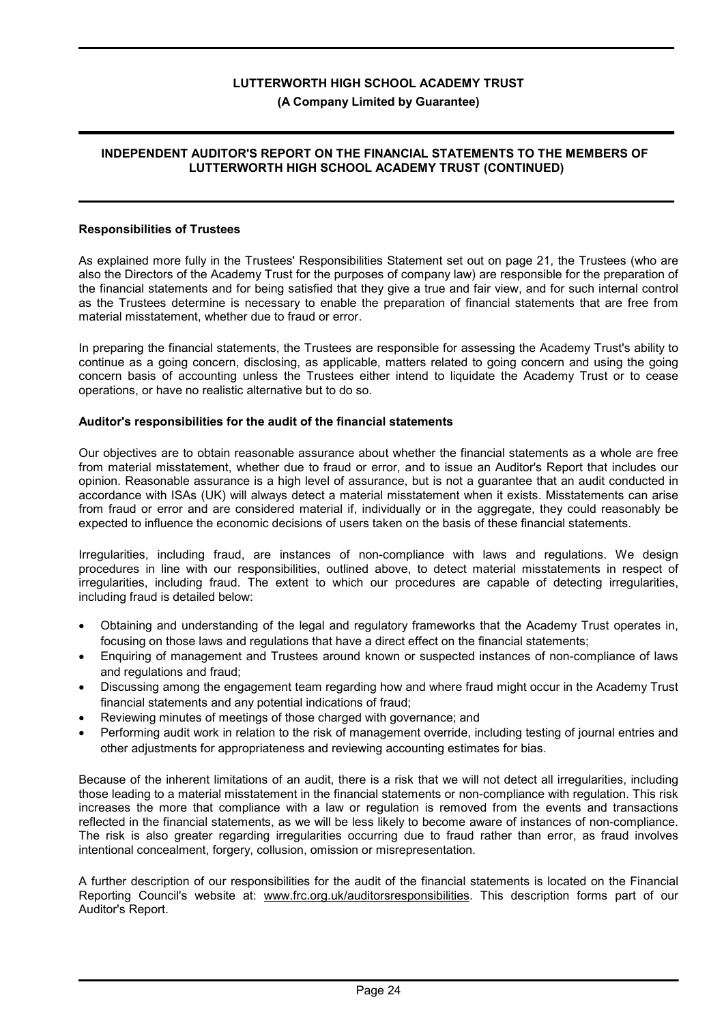### INDEPENDENT AUDITOR'S REPORT ON THE FINANCIAL STATEMENTS TO THE MEMBERS OF LUTTERWORTH HIGH SCHOOL ACADEMY TRUST (CONTINUED)

#### Responsibilities of Trustees

As explained more fully in the Trustees' Responsibilities Statement set out on page 21, the Trustees (who are also the Directors of the Academy Trust for the purposes of company law) are responsible for the preparation of the financial statements and for being satisfied that they give a true and fair view, and for such internal control as the Trustees determine is necessary to enable the preparation of financial statements that are free from material misstatement, whether due to fraud or error.

In preparing the financial statements, the Trustees are responsible for assessing the Academy Trust's ability to continue as a going concern, disclosing, as applicable, matters related to going concern and using the going concern basis of accounting unless the Trustees either intend to liquidate the Academy Trust or to cease operations, or have no realistic alternative but to do so.

#### Auditor's responsibilities for the audit of the financial statements

Our objectives are to obtain reasonable assurance about whether the financial statements as a whole are free from material misstatement, whether due to fraud or error, and to issue an Auditor's Report that includes our opinion. Reasonable assurance is a high level of assurance, but is not a guarantee that an audit conducted in accordance with ISAs (UK) will always detect a material misstatement when it exists. Misstatements can arise from fraud or error and are considered material if, individually or in the aggregate, they could reasonably be expected to influence the economic decisions of users taken on the basis of these financial statements.

Irregularities, including fraud, are instances of non-compliance with laws and regulations. We design procedures in line with our responsibilities, outlined above, to detect material misstatements in respect of irregularities, including fraud. The extent to which our procedures are capable of detecting irregularities, including fraud is detailed below:

- Obtaining and understanding of the legal and regulatory frameworks that the Academy Trust operates in, focusing on those laws and regulations that have a direct effect on the financial statements;
- Enquiring of management and Trustees around known or suspected instances of non-compliance of laws and regulations and fraud;
- Discussing among the engagement team regarding how and where fraud might occur in the Academy Trust financial statements and any potential indications of fraud;
- Reviewing minutes of meetings of those charged with governance; and
- Performing audit work in relation to the risk of management override, including testing of journal entries and other adjustments for appropriateness and reviewing accounting estimates for bias.

Because of the inherent limitations of an audit, there is a risk that we will not detect all irregularities, including those leading to a material misstatement in the financial statements or non-compliance with regulation. This risk increases the more that compliance with a law or regulation is removed from the events and transactions reflected in the financial statements, as we will be less likely to become aware of instances of non-compliance. The risk is also greater regarding irregularities occurring due to fraud rather than error, as fraud involves intentional concealment, forgery, collusion, omission or misrepresentation.

A further description of our responsibilities for the audit of the financial statements is located on the Financial Reporting Council's website at: www.frc.org.uk/auditorsresponsibilities. This description forms part of our Auditor's Report.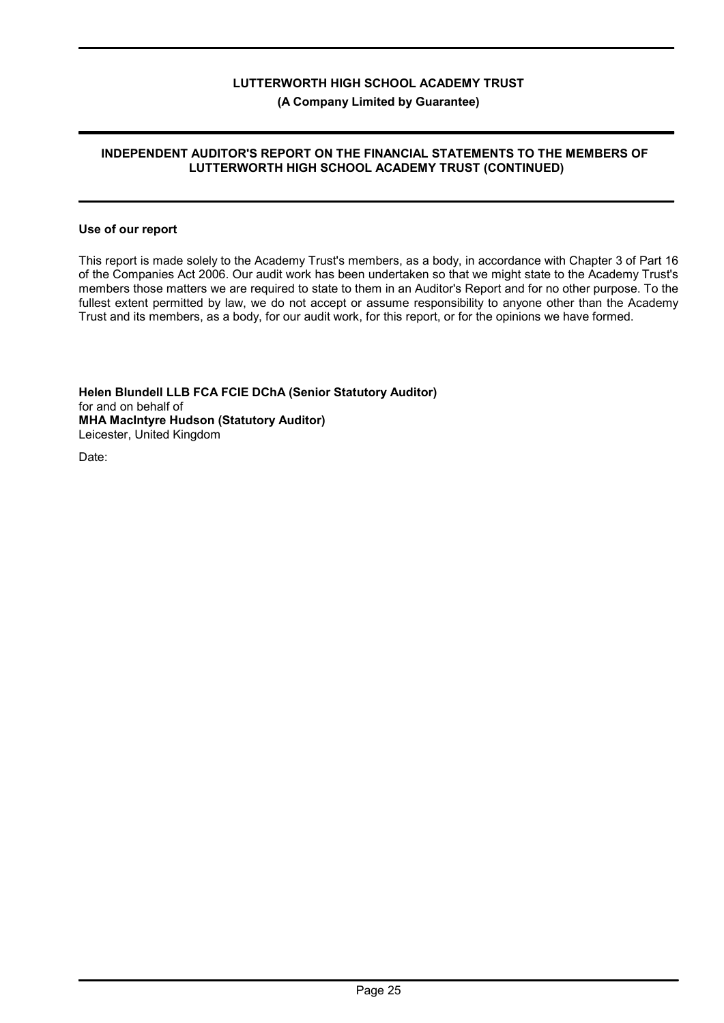# INDEPENDENT AUDITOR'S REPORT ON THE FINANCIAL STATEMENTS TO THE MEMBERS OF LUTTERWORTH HIGH SCHOOL ACADEMY TRUST (CONTINUED)

#### Use of our report

This report is made solely to the Academy Trust's members, as a body, in accordance with Chapter 3 of Part 16 of the Companies Act 2006. Our audit work has been undertaken so that we might state to the Academy Trust's members those matters we are required to state to them in an Auditor's Report and for no other purpose. To the fullest extent permitted by law, we do not accept or assume responsibility to anyone other than the Academy Trust and its members, as a body, for our audit work, for this report, or for the opinions we have formed.

Helen Blundell LLB FCA FCIE DChA (Senior Statutory Auditor) for and on behalf of MHA MacIntyre Hudson (Statutory Auditor) Leicester, United Kingdom

Date: **12 December 2021**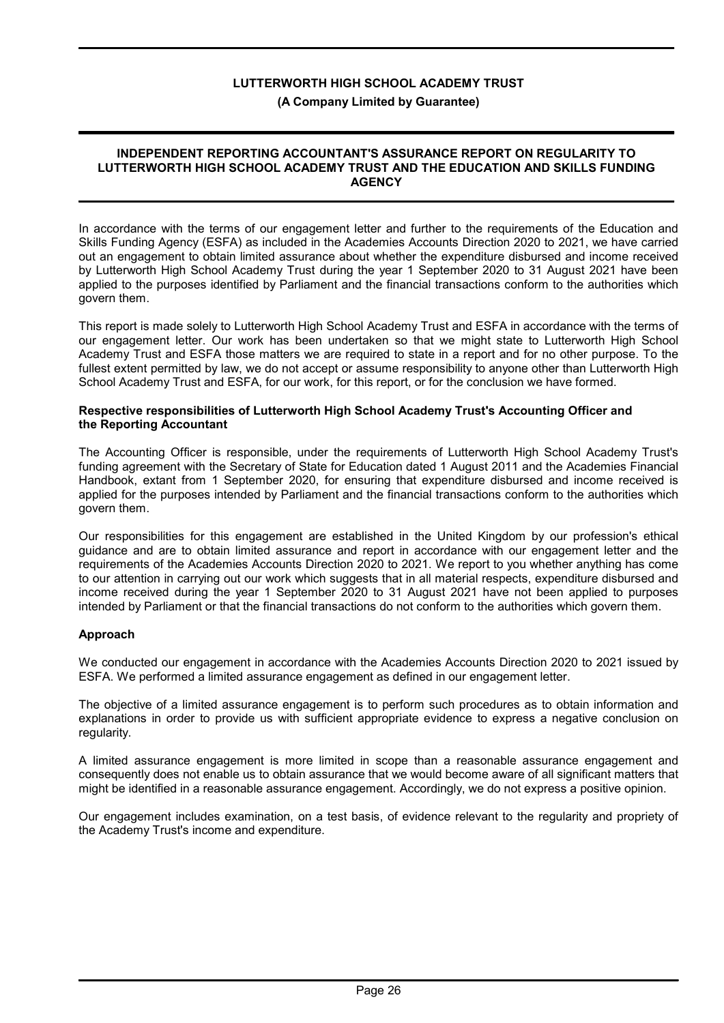## (A Company Limited by Guarantee)

#### INDEPENDENT REPORTING ACCOUNTANT'S ASSURANCE REPORT ON REGULARITY TO LUTTERWORTH HIGH SCHOOL ACADEMY TRUST AND THE EDUCATION AND SKILLS FUNDING **AGENCY**

In accordance with the terms of our engagement letter and further to the requirements of the Education and Skills Funding Agency (ESFA) as included in the Academies Accounts Direction 2020 to 2021, we have carried out an engagement to obtain limited assurance about whether the expenditure disbursed and income received by Lutterworth High School Academy Trust during the year 1 September 2020 to 31 August 2021 have been applied to the purposes identified by Parliament and the financial transactions conform to the authorities which govern them.

This report is made solely to Lutterworth High School Academy Trust and ESFA in accordance with the terms of our engagement letter. Our work has been undertaken so that we might state to Lutterworth High School Academy Trust and ESFA those matters we are required to state in a report and for no other purpose. To the fullest extent permitted by law, we do not accept or assume responsibility to anyone other than Lutterworth High School Academy Trust and ESFA, for our work, for this report, or for the conclusion we have formed.

#### Respective responsibilities of Lutterworth High School Academy Trust's Accounting Officer and the Reporting Accountant

The Accounting Officer is responsible, under the requirements of Lutterworth High School Academy Trust's funding agreement with the Secretary of State for Education dated 1 August 2011 and the Academies Financial Handbook, extant from 1 September 2020, for ensuring that expenditure disbursed and income received is applied for the purposes intended by Parliament and the financial transactions conform to the authorities which govern them.

Our responsibilities for this engagement are established in the United Kingdom by our profession's ethical guidance and are to obtain limited assurance and report in accordance with our engagement letter and the requirements of the Academies Accounts Direction 2020 to 2021. We report to you whether anything has come to our attention in carrying out our work which suggests that in all material respects, expenditure disbursed and income received during the year 1 September 2020 to 31 August 2021 have not been applied to purposes intended by Parliament or that the financial transactions do not conform to the authorities which govern them.

# Approach

We conducted our engagement in accordance with the Academies Accounts Direction 2020 to 2021 issued by ESFA. We performed a limited assurance engagement as defined in our engagement letter.

The objective of a limited assurance engagement is to perform such procedures as to obtain information and explanations in order to provide us with sufficient appropriate evidence to express a negative conclusion on regularity.

A limited assurance engagement is more limited in scope than a reasonable assurance engagement and consequently does not enable us to obtain assurance that we would become aware of all significant matters that might be identified in a reasonable assurance engagement. Accordingly, we do not express a positive opinion.

Our engagement includes examination, on a test basis, of evidence relevant to the regularity and propriety of the Academy Trust's income and expenditure.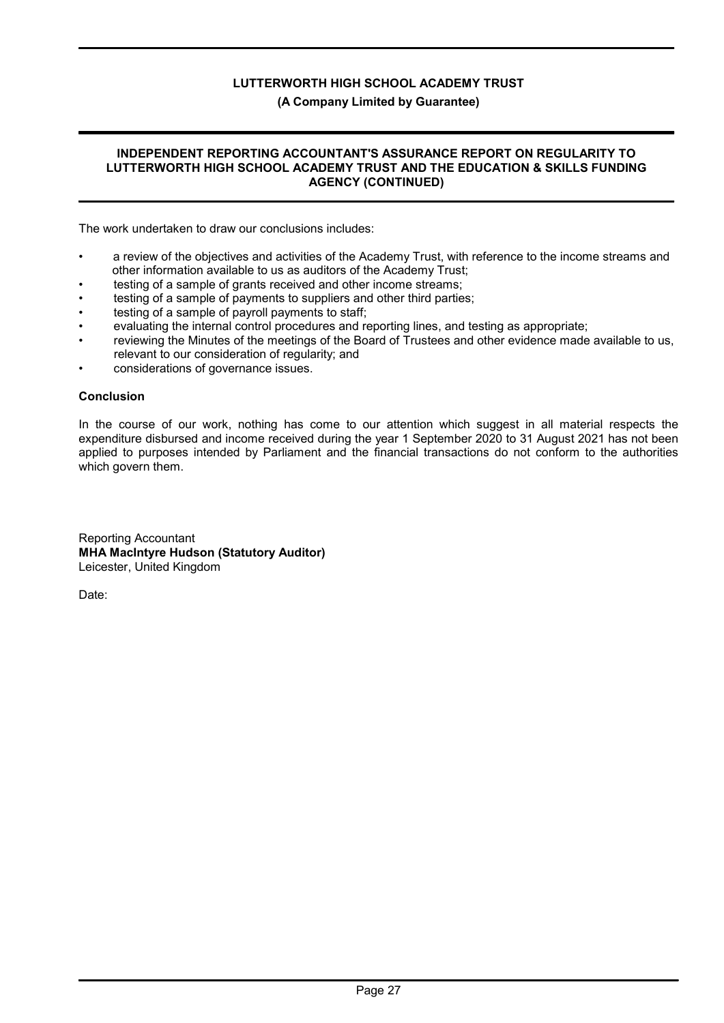# (A Company Limited by Guarantee)

#### INDEPENDENT REPORTING ACCOUNTANT'S ASSURANCE REPORT ON REGULARITY TO LUTTERWORTH HIGH SCHOOL ACADEMY TRUST AND THE EDUCATION & SKILLS FUNDING AGENCY (CONTINUED)

The work undertaken to draw our conclusions includes:

- a review of the objectives and activities of the Academy Trust, with reference to the income streams and other information available to us as auditors of the Academy Trust;
- testing of a sample of grants received and other income streams;
- testing of a sample of payments to suppliers and other third parties;
- testing of a sample of payroll payments to staff;
- evaluating the internal control procedures and reporting lines, and testing as appropriate;
- reviewing the Minutes of the meetings of the Board of Trustees and other evidence made available to us, relevant to our consideration of regularity; and
- considerations of governance issues.

# Conclusion

In the course of our work, nothing has come to our attention which suggest in all material respects the expenditure disbursed and income received during the year 1 September 2020 to 31 August 2021 has not been applied to purposes intended by Parliament and the financial transactions do not conform to the authorities which govern them.

Reporting Accountant MHA MacIntyre Hudson (Statutory Auditor) Leicester, United Kingdom

Date: **12 December 2021**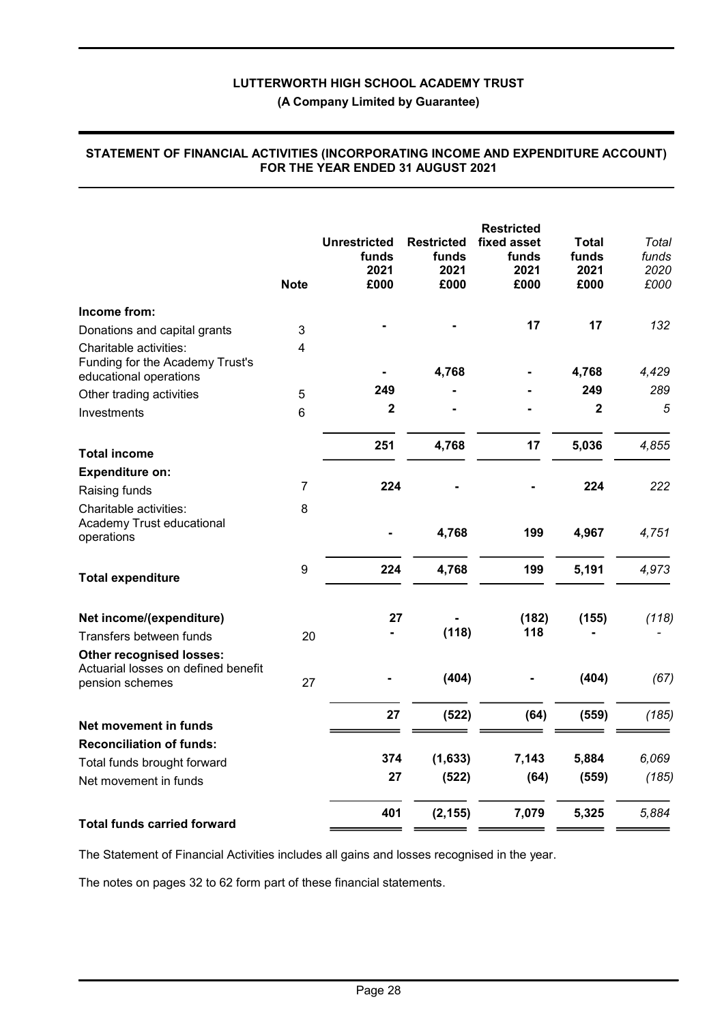|                                                                                           | <b>Note</b>      | <b>Unrestricted</b><br>funds<br>2021<br>£000 | <b>Restricted</b><br>funds<br>2021<br>£000 | <b>Restricted</b><br>fixed asset<br>funds<br>2021<br>£000 | <b>Total</b><br>funds<br>2021<br>£000 | Total<br>funds<br>2020<br>£000 |
|-------------------------------------------------------------------------------------------|------------------|----------------------------------------------|--------------------------------------------|-----------------------------------------------------------|---------------------------------------|--------------------------------|
| Income from:                                                                              |                  |                                              |                                            |                                                           |                                       |                                |
| Donations and capital grants                                                              | 3                |                                              |                                            | 17                                                        | 17                                    | 132                            |
| Charitable activities:<br>Funding for the Academy Trust's<br>educational operations       | 4                |                                              | 4,768                                      |                                                           | 4,768                                 | 4,429                          |
| Other trading activities                                                                  | 5                | 249                                          |                                            |                                                           | 249                                   | 289                            |
| Investments                                                                               | 6                | $\overline{\mathbf{2}}$                      |                                            |                                                           | $\overline{\mathbf{2}}$               | 5                              |
| <b>Total income</b>                                                                       |                  | 251                                          | 4,768                                      | 17                                                        | 5,036                                 | 4,855                          |
| <b>Expenditure on:</b>                                                                    |                  |                                              |                                            |                                                           |                                       |                                |
| Raising funds                                                                             | $\overline{7}$   | 224                                          |                                            |                                                           | 224                                   | 222                            |
| Charitable activities:                                                                    | 8                |                                              |                                            |                                                           |                                       |                                |
| Academy Trust educational<br>operations                                                   |                  |                                              | 4,768                                      | 199                                                       | 4,967                                 | 4,751                          |
| <b>Total expenditure</b>                                                                  | $\boldsymbol{9}$ | 224                                          | 4,768                                      | 199                                                       | 5,191                                 | 4,973                          |
| Net income/(expenditure)                                                                  |                  | 27                                           |                                            | (182)                                                     | (155)                                 | (118)                          |
| Transfers between funds                                                                   | 20               |                                              | (118)                                      | 118                                                       |                                       |                                |
| <b>Other recognised losses:</b><br>Actuarial losses on defined benefit<br>pension schemes | 27               |                                              | (404)                                      |                                                           | (404)                                 | (67)                           |
| Net movement in funds                                                                     |                  | 27                                           | (522)                                      | (64)                                                      | (559)                                 | (185)                          |
| <b>Reconciliation of funds:</b>                                                           |                  |                                              |                                            |                                                           |                                       |                                |
| Total funds brought forward                                                               |                  | 374                                          | (1,633)                                    | 7,143                                                     | 5,884                                 | 6,069                          |
| Net movement in funds                                                                     |                  | 27                                           | (522)                                      | (64)                                                      | (559)                                 | (185)                          |
| <b>Total funds carried forward</b>                                                        |                  | 401                                          | (2, 155)                                   | 7,079                                                     | 5,325                                 | 5,884                          |
|                                                                                           |                  |                                              |                                            |                                                           |                                       |                                |

#### STATEMENT OF FINANCIAL ACTIVITIES (INCORPORATING INCOME AND EXPENDITURE ACCOUNT) FOR THE YEAR ENDED 31 AUGUST 2021

The Statement of Financial Activities includes all gains and losses recognised in the year.

The notes on pages 32 to 62 form part of these financial statements.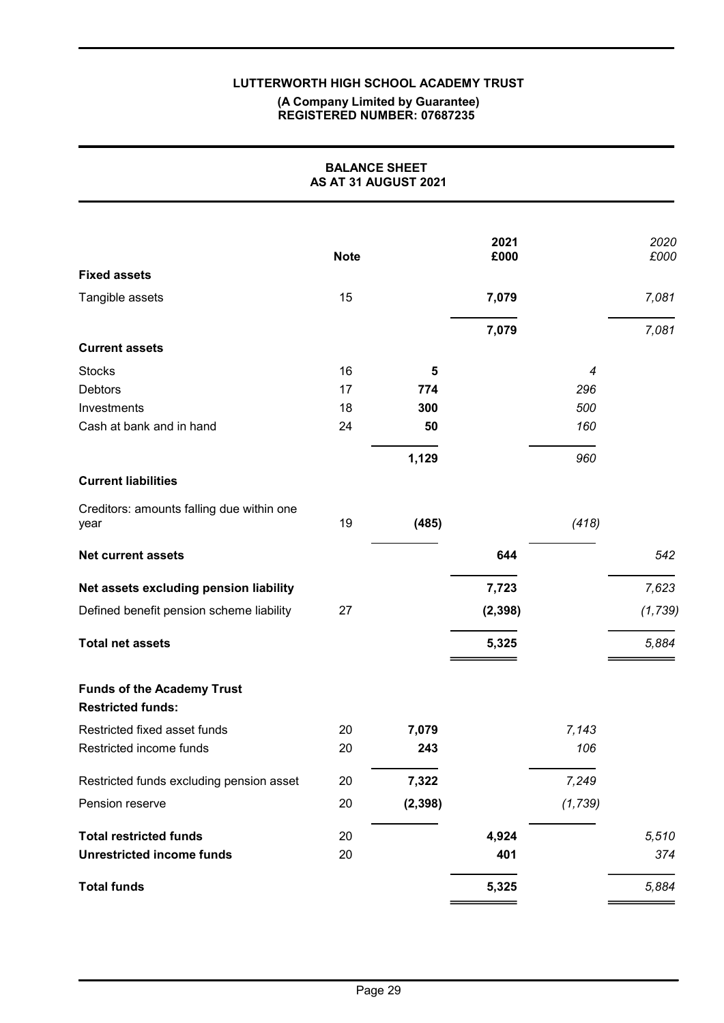#### (A Company Limited by Guarantee) REGISTERED NUMBER: 07687235

|                                                               | <b>BALANCE SHEET</b><br>AS AT 31 AUGUST 2021 |          |              |          |              |
|---------------------------------------------------------------|----------------------------------------------|----------|--------------|----------|--------------|
|                                                               | <b>Note</b>                                  |          | 2021<br>£000 |          | 2020<br>£000 |
| <b>Fixed assets</b>                                           |                                              |          |              |          |              |
| Tangible assets                                               | 15                                           |          | 7,079        |          | 7,081        |
|                                                               |                                              |          | 7,079        |          | 7,081        |
| <b>Current assets</b>                                         |                                              |          |              |          |              |
| <b>Stocks</b>                                                 | 16                                           | 5        |              | 4        |              |
| Debtors                                                       | 17                                           | 774      |              | 296      |              |
| Investments                                                   | 18                                           | 300      |              | 500      |              |
| Cash at bank and in hand                                      | 24                                           | 50       |              | 160      |              |
|                                                               |                                              | 1,129    |              | 960      |              |
| <b>Current liabilities</b>                                    |                                              |          |              |          |              |
| Creditors: amounts falling due within one<br>year             | 19                                           | (485)    |              | (418)    |              |
| <b>Net current assets</b>                                     |                                              |          | 644          |          | 542          |
| Net assets excluding pension liability                        |                                              |          | 7,723        |          | 7,623        |
| Defined benefit pension scheme liability                      | 27                                           |          | (2, 398)     |          | (1, 739)     |
| <b>Total net assets</b>                                       |                                              |          | 5,325        |          | 5,884        |
| <b>Funds of the Academy Trust</b><br><b>Restricted funds:</b> |                                              |          |              |          |              |
| Restricted fixed asset funds                                  | 20                                           | 7,079    |              | 7,143    |              |
| Restricted income funds                                       | 20                                           | 243      |              | 106      |              |
| Restricted funds excluding pension asset                      | 20                                           | 7,322    |              | 7,249    |              |
| Pension reserve                                               | 20                                           | (2, 398) |              | (1, 739) |              |
| <b>Total restricted funds</b>                                 | 20                                           |          | 4,924        |          | 5,510        |
| <b>Unrestricted income funds</b>                              | 20                                           |          | 401          |          | 374          |
| <b>Total funds</b>                                            |                                              |          | 5,325        |          | 5,884        |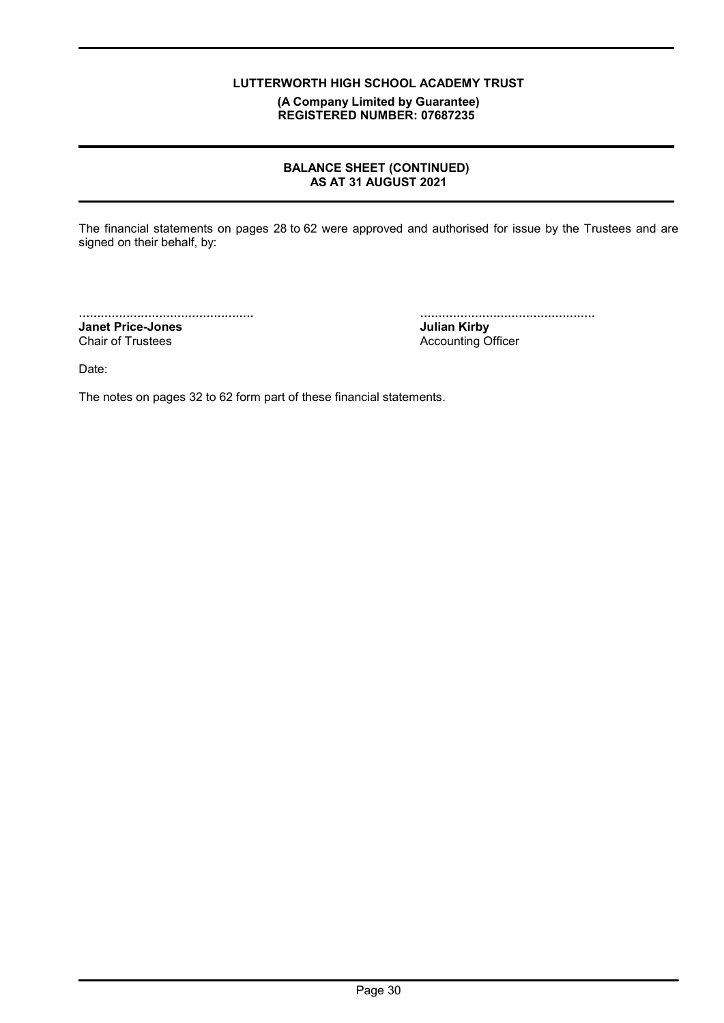(A Company Limited by Guarantee) REGISTERED NUMBER: 07687235

# BALANCE SHEET (CONTINUED) AS AT 31 AUGUST 2021

The financial statements on pages 28 to 62 were approved and authorised for issue by the Trustees and are signed on their behalf, by:

................................................ Janet Price-Jones

Chair of Trustees

................................................

Julian Kirby Accounting Officer

Date:

The notes on pages 32 to 62 form part of these financial statements.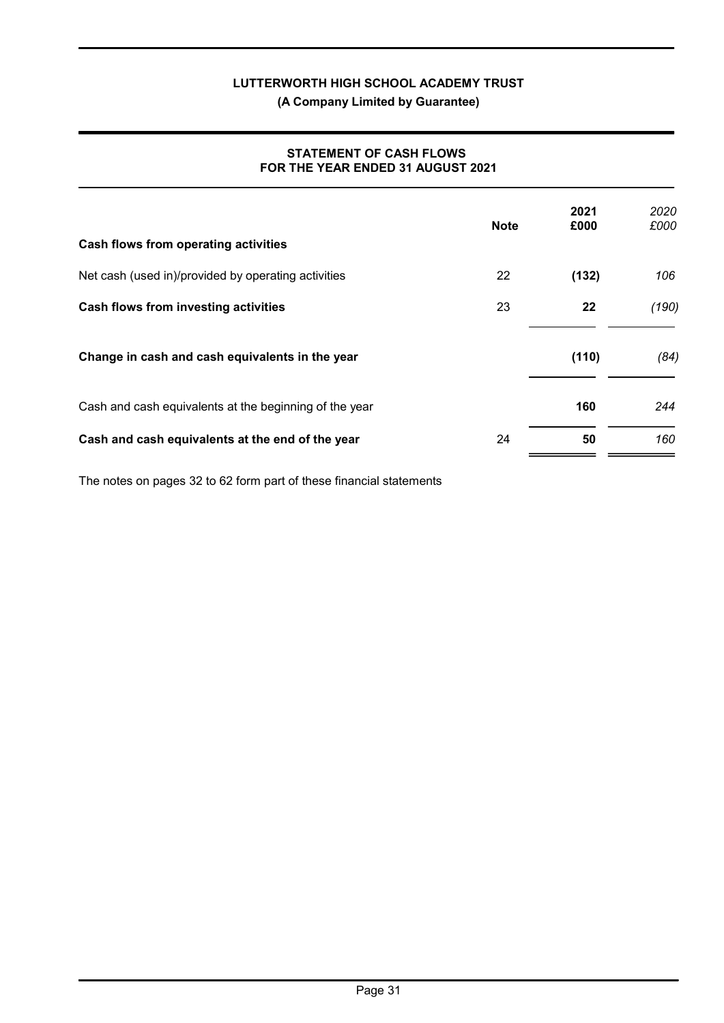(A Company Limited by Guarantee)

# STATEMENT OF CASH FLOWS FOR THE YEAR ENDED 31 AUGUST 2021

| Cash flows from operating activities                   | <b>Note</b> | 2021<br>£000 | 2020<br>£000 |
|--------------------------------------------------------|-------------|--------------|--------------|
| Net cash (used in)/provided by operating activities    | 22          | (132)        | 106          |
| Cash flows from investing activities                   | 23          | 22           | (190)        |
| Change in cash and cash equivalents in the year        |             | (110)        | (84)         |
| Cash and cash equivalents at the beginning of the year |             | 160          | 244          |
| Cash and cash equivalents at the end of the year       | 24          | 50           | 160          |

The notes on pages 32 to 62 form part of these financial statements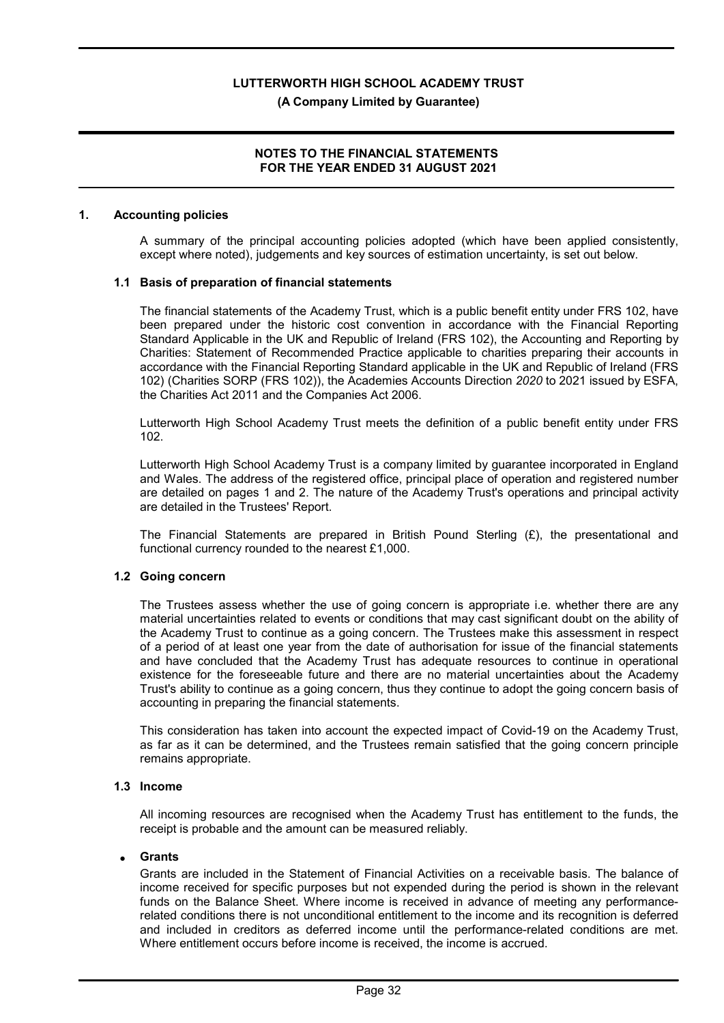#### NOTES TO THE FINANCIAL STATEMENTS FOR THE YEAR ENDED 31 AUGUST 2021

#### 1. Accounting policies

A summary of the principal accounting policies adopted (which have been applied consistently, except where noted), judgements and key sources of estimation uncertainty, is set out below.

#### 1.1 Basis of preparation of financial statements

The financial statements of the Academy Trust, which is a public benefit entity under FRS 102, have been prepared under the historic cost convention in accordance with the Financial Reporting Standard Applicable in the UK and Republic of Ireland (FRS 102), the Accounting and Reporting by Charities: Statement of Recommended Practice applicable to charities preparing their accounts in accordance with the Financial Reporting Standard applicable in the UK and Republic of Ireland (FRS 102) (Charities SORP (FRS 102)), the Academies Accounts Direction 2020 to 2021 issued by ESFA, the Charities Act 2011 and the Companies Act 2006.

Lutterworth High School Academy Trust meets the definition of a public benefit entity under FRS 102.

Lutterworth High School Academy Trust is a company limited by guarantee incorporated in England and Wales. The address of the registered office, principal place of operation and registered number are detailed on pages 1 and 2. The nature of the Academy Trust's operations and principal activity are detailed in the Trustees' Report.

The Financial Statements are prepared in British Pound Sterling  $(E)$ , the presentational and functional currency rounded to the nearest £1,000.

#### 1.2 Going concern

The Trustees assess whether the use of going concern is appropriate i.e. whether there are any material uncertainties related to events or conditions that may cast significant doubt on the ability of the Academy Trust to continue as a going concern. The Trustees make this assessment in respect of a period of at least one year from the date of authorisation for issue of the financial statements and have concluded that the Academy Trust has adequate resources to continue in operational existence for the foreseeable future and there are no material uncertainties about the Academy Trust's ability to continue as a going concern, thus they continue to adopt the going concern basis of accounting in preparing the financial statements.

This consideration has taken into account the expected impact of Covid-19 on the Academy Trust, as far as it can be determined, and the Trustees remain satisfied that the going concern principle remains appropriate.

# 1.3 Income

All incoming resources are recognised when the Academy Trust has entitlement to the funds, the receipt is probable and the amount can be measured reliably.

#### **Grants**

Grants are included in the Statement of Financial Activities on a receivable basis. The balance of income received for specific purposes but not expended during the period is shown in the relevant funds on the Balance Sheet. Where income is received in advance of meeting any performancerelated conditions there is not unconditional entitlement to the income and its recognition is deferred and included in creditors as deferred income until the performance-related conditions are met. Where entitlement occurs before income is received, the income is accrued.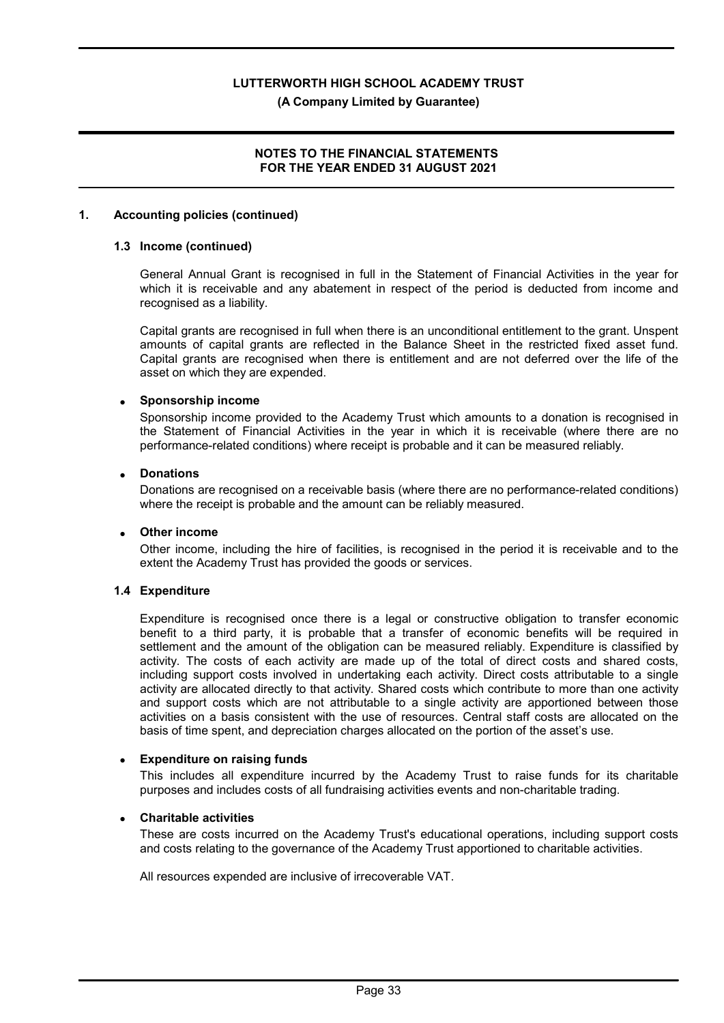#### (A Company Limited by Guarantee)

### NOTES TO THE FINANCIAL STATEMENTS FOR THE YEAR ENDED 31 AUGUST 2021

#### 1. Accounting policies (continued)

#### 1.3 Income (continued)

General Annual Grant is recognised in full in the Statement of Financial Activities in the year for which it is receivable and any abatement in respect of the period is deducted from income and recognised as a liability.

Capital grants are recognised in full when there is an unconditional entitlement to the grant. Unspent amounts of capital grants are reflected in the Balance Sheet in the restricted fixed asset fund. Capital grants are recognised when there is entitlement and are not deferred over the life of the asset on which they are expended.

# Sponsorship income

Sponsorship income provided to the Academy Trust which amounts to a donation is recognised in the Statement of Financial Activities in the year in which it is receivable (where there are no performance-related conditions) where receipt is probable and it can be measured reliably.

### Donations

Donations are recognised on a receivable basis (where there are no performance-related conditions) where the receipt is probable and the amount can be reliably measured.

#### Other income

Other income, including the hire of facilities, is recognised in the period it is receivable and to the extent the Academy Trust has provided the goods or services.

#### 1.4 Expenditure

Expenditure is recognised once there is a legal or constructive obligation to transfer economic benefit to a third party, it is probable that a transfer of economic benefits will be required in settlement and the amount of the obligation can be measured reliably. Expenditure is classified by activity. The costs of each activity are made up of the total of direct costs and shared costs, including support costs involved in undertaking each activity. Direct costs attributable to a single activity are allocated directly to that activity. Shared costs which contribute to more than one activity and support costs which are not attributable to a single activity are apportioned between those activities on a basis consistent with the use of resources. Central staff costs are allocated on the basis of time spent, and depreciation charges allocated on the portion of the asset's use.

#### Expenditure on raising funds

This includes all expenditure incurred by the Academy Trust to raise funds for its charitable purposes and includes costs of all fundraising activities events and non-charitable trading.

#### Charitable activities

These are costs incurred on the Academy Trust's educational operations, including support costs and costs relating to the governance of the Academy Trust apportioned to charitable activities.

All resources expended are inclusive of irrecoverable VAT.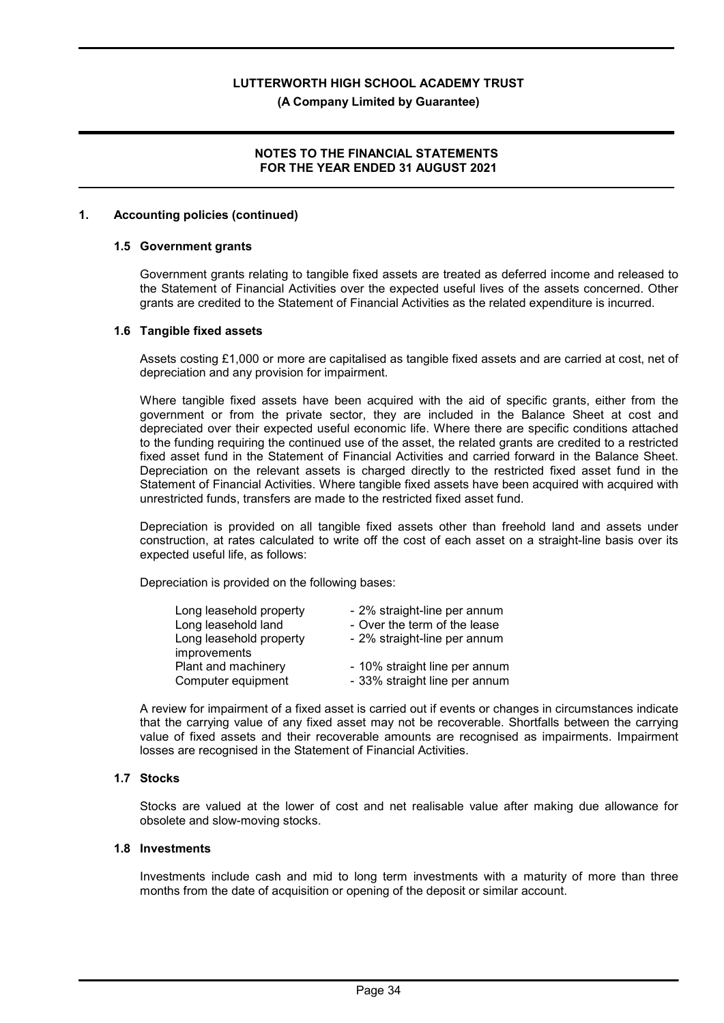(A Company Limited by Guarantee)

# NOTES TO THE FINANCIAL STATEMENTS FOR THE YEAR ENDED 31 AUGUST 2021

#### 1. Accounting policies (continued)

#### 1.5 Government grants

Government grants relating to tangible fixed assets are treated as deferred income and released to the Statement of Financial Activities over the expected useful lives of the assets concerned. Other grants are credited to the Statement of Financial Activities as the related expenditure is incurred.

#### 1.6 Tangible fixed assets

Assets costing £1,000 or more are capitalised as tangible fixed assets and are carried at cost, net of depreciation and any provision for impairment.

Where tangible fixed assets have been acquired with the aid of specific grants, either from the government or from the private sector, they are included in the Balance Sheet at cost and depreciated over their expected useful economic life. Where there are specific conditions attached to the funding requiring the continued use of the asset, the related grants are credited to a restricted fixed asset fund in the Statement of Financial Activities and carried forward in the Balance Sheet. Depreciation on the relevant assets is charged directly to the restricted fixed asset fund in the Statement of Financial Activities. Where tangible fixed assets have been acquired with acquired with unrestricted funds, transfers are made to the restricted fixed asset fund.

Depreciation is provided on all tangible fixed assets other than freehold land and assets under construction, at rates calculated to write off the cost of each asset on a straight-line basis over its expected useful life, as follows:

Depreciation is provided on the following bases:

| Long leasehold property | - 2% straight-line per annum  |
|-------------------------|-------------------------------|
| Long leasehold land     | - Over the term of the lease  |
| Long leasehold property | - 2% straight-line per annum  |
| improvements            |                               |
| Plant and machinery     | - 10% straight line per annum |
| Computer equipment      | - 33% straight line per annum |

A review for impairment of a fixed asset is carried out if events or changes in circumstances indicate that the carrying value of any fixed asset may not be recoverable. Shortfalls between the carrying value of fixed assets and their recoverable amounts are recognised as impairments. Impairment losses are recognised in the Statement of Financial Activities.

#### 1.7 Stocks

Stocks are valued at the lower of cost and net realisable value after making due allowance for obsolete and slow-moving stocks.

#### 1.8 Investments

Investments include cash and mid to long term investments with a maturity of more than three months from the date of acquisition or opening of the deposit or similar account.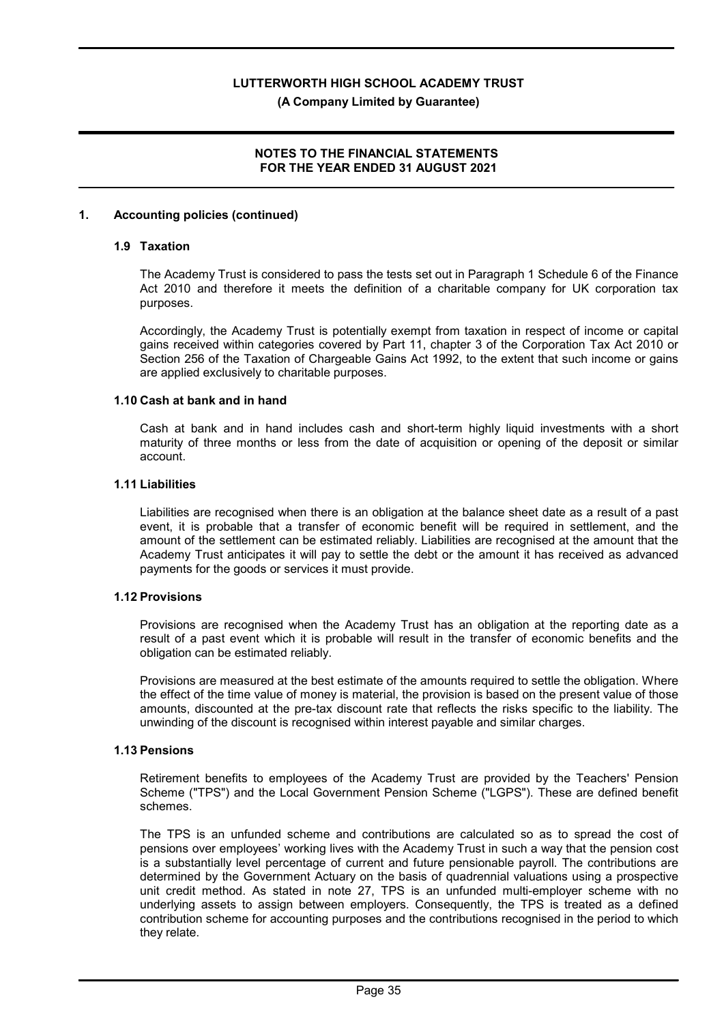(A Company Limited by Guarantee)

### NOTES TO THE FINANCIAL STATEMENTS FOR THE YEAR ENDED 31 AUGUST 2021

#### 1. Accounting policies (continued)

#### 1.9 Taxation

The Academy Trust is considered to pass the tests set out in Paragraph 1 Schedule 6 of the Finance Act 2010 and therefore it meets the definition of a charitable company for UK corporation tax purposes.

Accordingly, the Academy Trust is potentially exempt from taxation in respect of income or capital gains received within categories covered by Part 11, chapter 3 of the Corporation Tax Act 2010 or Section 256 of the Taxation of Chargeable Gains Act 1992, to the extent that such income or gains are applied exclusively to charitable purposes.

#### 1.10 Cash at bank and in hand

Cash at bank and in hand includes cash and short-term highly liquid investments with a short maturity of three months or less from the date of acquisition or opening of the deposit or similar account.

#### 1.11 Liabilities

Liabilities are recognised when there is an obligation at the balance sheet date as a result of a past event, it is probable that a transfer of economic benefit will be required in settlement, and the amount of the settlement can be estimated reliably. Liabilities are recognised at the amount that the Academy Trust anticipates it will pay to settle the debt or the amount it has received as advanced payments for the goods or services it must provide.

#### 1.12 Provisions

Provisions are recognised when the Academy Trust has an obligation at the reporting date as a result of a past event which it is probable will result in the transfer of economic benefits and the obligation can be estimated reliably.

Provisions are measured at the best estimate of the amounts required to settle the obligation. Where the effect of the time value of money is material, the provision is based on the present value of those amounts, discounted at the pre-tax discount rate that reflects the risks specific to the liability. The unwinding of the discount is recognised within interest payable and similar charges.

# 1.13 Pensions

Retirement benefits to employees of the Academy Trust are provided by the Teachers' Pension Scheme ("TPS") and the Local Government Pension Scheme ("LGPS"). These are defined benefit schemes.

The TPS is an unfunded scheme and contributions are calculated so as to spread the cost of pensions over employees' working lives with the Academy Trust in such a way that the pension cost is a substantially level percentage of current and future pensionable payroll. The contributions are determined by the Government Actuary on the basis of quadrennial valuations using a prospective unit credit method. As stated in note 27, TPS is an unfunded multi-employer scheme with no underlying assets to assign between employers. Consequently, the TPS is treated as a defined contribution scheme for accounting purposes and the contributions recognised in the period to which they relate.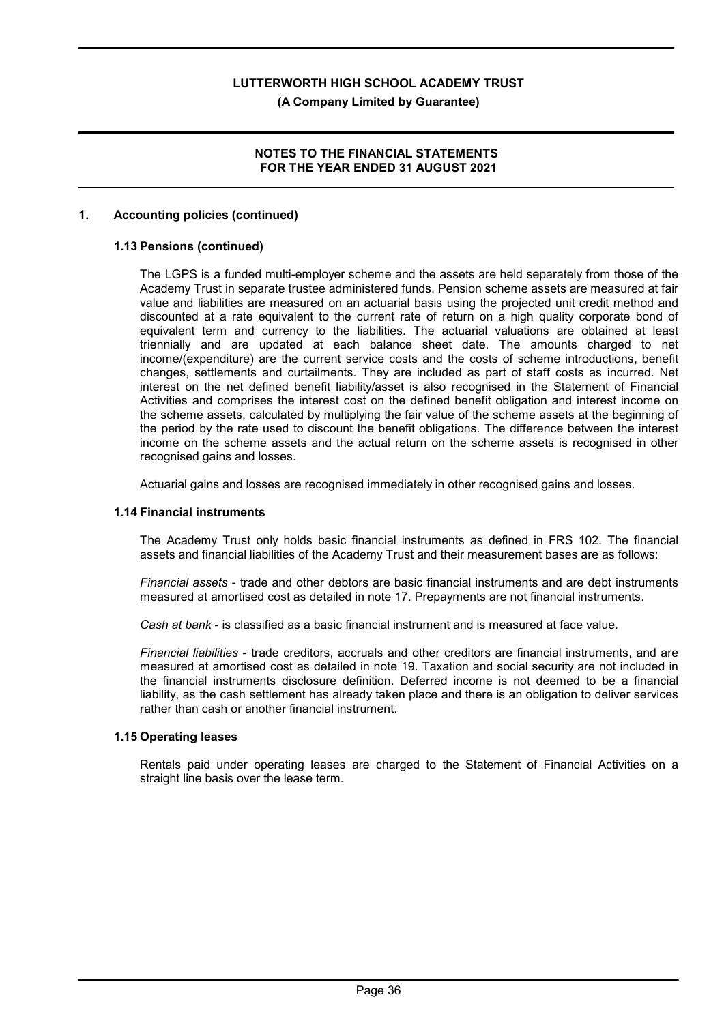# (A Company Limited by Guarantee)

#### NOTES TO THE FINANCIAL STATEMENTS FOR THE YEAR ENDED 31 AUGUST 2021

#### 1. Accounting policies (continued)

# 1.13 Pensions (continued)

The LGPS is a funded multi-employer scheme and the assets are held separately from those of the Academy Trust in separate trustee administered funds. Pension scheme assets are measured at fair value and liabilities are measured on an actuarial basis using the projected unit credit method and discounted at a rate equivalent to the current rate of return on a high quality corporate bond of equivalent term and currency to the liabilities. The actuarial valuations are obtained at least triennially and are updated at each balance sheet date. The amounts charged to net income/(expenditure) are the current service costs and the costs of scheme introductions, benefit changes, settlements and curtailments. They are included as part of staff costs as incurred. Net interest on the net defined benefit liability/asset is also recognised in the Statement of Financial Activities and comprises the interest cost on the defined benefit obligation and interest income on the scheme assets, calculated by multiplying the fair value of the scheme assets at the beginning of the period by the rate used to discount the benefit obligations. The difference between the interest income on the scheme assets and the actual return on the scheme assets is recognised in other recognised gains and losses.

Actuarial gains and losses are recognised immediately in other recognised gains and losses.

### 1.14 Financial instruments

The Academy Trust only holds basic financial instruments as defined in FRS 102. The financial assets and financial liabilities of the Academy Trust and their measurement bases are as follows:

Financial assets - trade and other debtors are basic financial instruments and are debt instruments measured at amortised cost as detailed in note 17. Prepayments are not financial instruments.

Cash at bank - is classified as a basic financial instrument and is measured at face value.

Financial liabilities - trade creditors, accruals and other creditors are financial instruments, and are measured at amortised cost as detailed in note 19. Taxation and social security are not included in the financial instruments disclosure definition. Deferred income is not deemed to be a financial liability, as the cash settlement has already taken place and there is an obligation to deliver services rather than cash or another financial instrument.

#### 1.15 Operating leases

Rentals paid under operating leases are charged to the Statement of Financial Activities on a straight line basis over the lease term.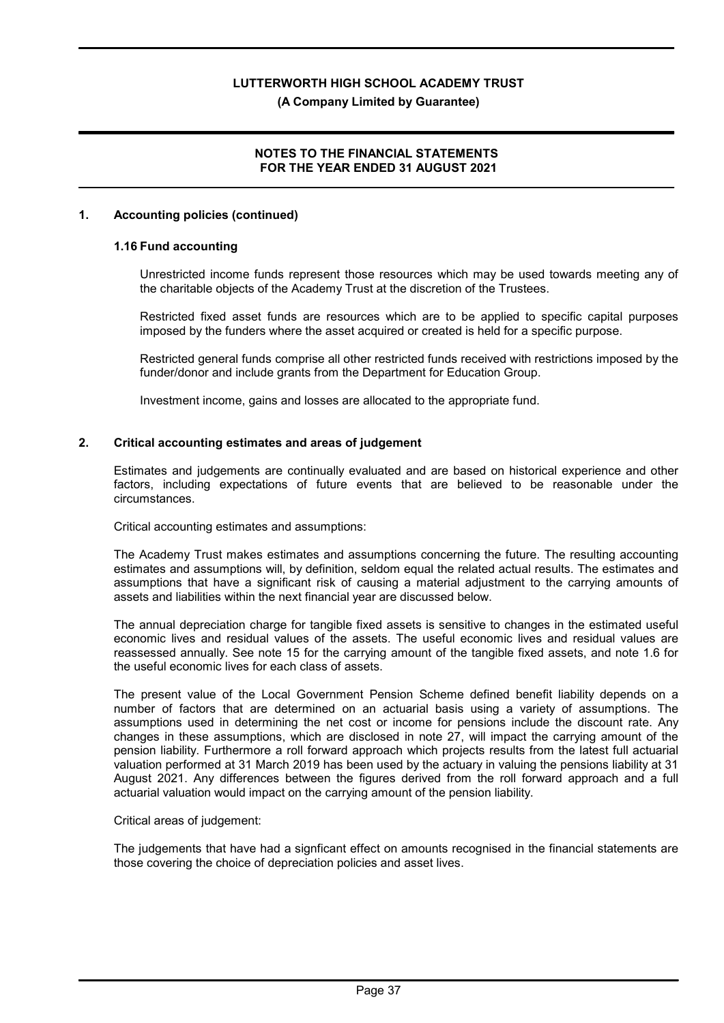### (A Company Limited by Guarantee)

# NOTES TO THE FINANCIAL STATEMENTS FOR THE YEAR ENDED 31 AUGUST 2021

### 1. Accounting policies (continued)

### 1.16 Fund accounting

Unrestricted income funds represent those resources which may be used towards meeting any of the charitable objects of the Academy Trust at the discretion of the Trustees.

Restricted fixed asset funds are resources which are to be applied to specific capital purposes imposed by the funders where the asset acquired or created is held for a specific purpose.

Restricted general funds comprise all other restricted funds received with restrictions imposed by the funder/donor and include grants from the Department for Education Group.

Investment income, gains and losses are allocated to the appropriate fund.

#### 2. Critical accounting estimates and areas of judgement

Estimates and judgements are continually evaluated and are based on historical experience and other factors, including expectations of future events that are believed to be reasonable under the circumstances.

Critical accounting estimates and assumptions:

The Academy Trust makes estimates and assumptions concerning the future. The resulting accounting estimates and assumptions will, by definition, seldom equal the related actual results. The estimates and assumptions that have a significant risk of causing a material adjustment to the carrying amounts of assets and liabilities within the next financial year are discussed below.

The annual depreciation charge for tangible fixed assets is sensitive to changes in the estimated useful economic lives and residual values of the assets. The useful economic lives and residual values are reassessed annually. See note 15 for the carrying amount of the tangible fixed assets, and note 1.6 for the useful economic lives for each class of assets.

The present value of the Local Government Pension Scheme defined benefit liability depends on a number of factors that are determined on an actuarial basis using a variety of assumptions. The assumptions used in determining the net cost or income for pensions include the discount rate. Any changes in these assumptions, which are disclosed in note 27, will impact the carrying amount of the pension liability. Furthermore a roll forward approach which projects results from the latest full actuarial valuation performed at 31 March 2019 has been used by the actuary in valuing the pensions liability at 31 August 2021. Any differences between the figures derived from the roll forward approach and a full actuarial valuation would impact on the carrying amount of the pension liability.

#### Critical areas of judgement:

The judgements that have had a signficant effect on amounts recognised in the financial statements are those covering the choice of depreciation policies and asset lives.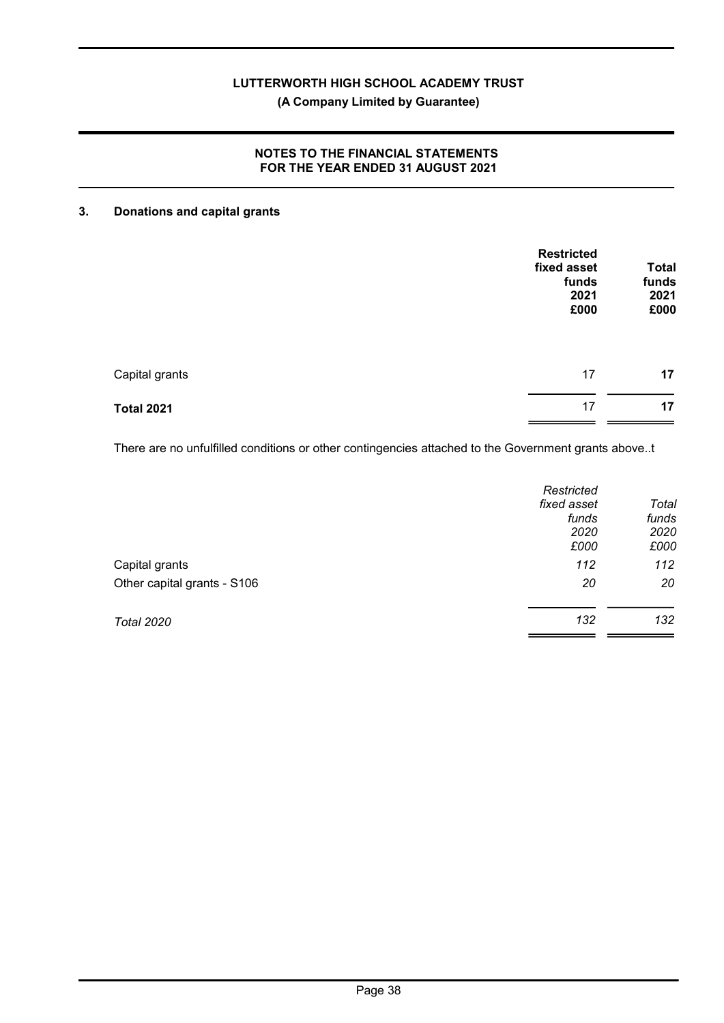# (A Company Limited by Guarantee)

# NOTES TO THE FINANCIAL STATEMENTS FOR THE YEAR ENDED 31 AUGUST 2021

#### 3. Donations and capital grants

|                   | <b>Restricted</b><br>fixed asset<br>funds<br>2021<br>£000 | <b>Total</b><br>funds<br>2021<br>£000 |
|-------------------|-----------------------------------------------------------|---------------------------------------|
| Capital grants    | 17                                                        | 17                                    |
| <b>Total 2021</b> | 17                                                        | 17                                    |

There are no unfulfilled conditions or other contingencies attached to the Government grants above..t

|                             | Restricted<br>fixed asset<br>funds<br>2020<br>£000 | Total<br>funds<br>2020<br>£000 |
|-----------------------------|----------------------------------------------------|--------------------------------|
| Capital grants              | 112                                                | 112                            |
| Other capital grants - S106 | 20                                                 | 20                             |
| <b>Total 2020</b>           | 132                                                | 132                            |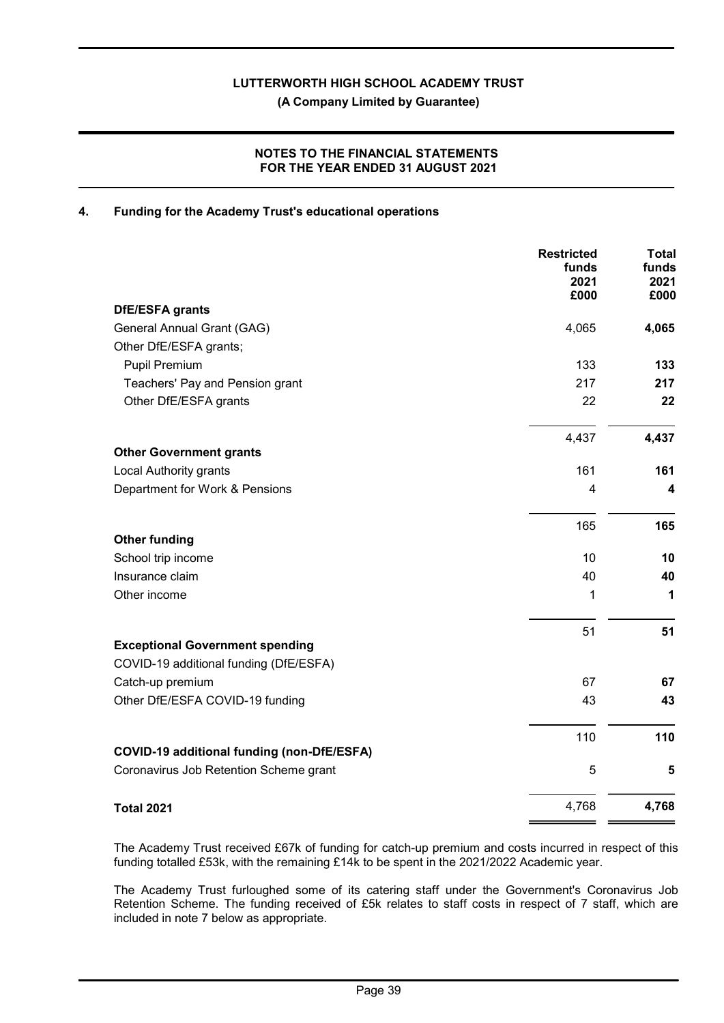# NOTES TO THE FINANCIAL STATEMENTS FOR THE YEAR ENDED 31 AUGUST 2021

### 4. Funding for the Academy Trust's educational operations

|                                                   | <b>Restricted</b><br>funds<br>2021<br>£000 | <b>Total</b><br>funds<br>2021<br>£000 |
|---------------------------------------------------|--------------------------------------------|---------------------------------------|
| <b>DfE/ESFA grants</b>                            |                                            |                                       |
| General Annual Grant (GAG)                        | 4,065                                      | 4,065                                 |
| Other DfE/ESFA grants;                            |                                            |                                       |
| <b>Pupil Premium</b>                              | 133                                        | 133                                   |
| Teachers' Pay and Pension grant                   | 217                                        | 217                                   |
| Other DfE/ESFA grants                             | 22                                         | 22                                    |
|                                                   | 4,437                                      | 4,437                                 |
| <b>Other Government grants</b>                    |                                            |                                       |
| <b>Local Authority grants</b>                     | 161                                        | 161                                   |
| Department for Work & Pensions                    | 4                                          | 4                                     |
|                                                   | 165                                        | 165                                   |
| <b>Other funding</b>                              |                                            |                                       |
| School trip income                                | 10                                         | 10                                    |
| Insurance claim                                   | 40                                         | 40                                    |
| Other income                                      | 1                                          | 1                                     |
|                                                   | 51                                         | 51                                    |
| <b>Exceptional Government spending</b>            |                                            |                                       |
| COVID-19 additional funding (DfE/ESFA)            |                                            |                                       |
| Catch-up premium                                  | 67                                         | 67                                    |
| Other DfE/ESFA COVID-19 funding                   | 43                                         | 43                                    |
|                                                   | 110                                        | 110                                   |
| <b>COVID-19 additional funding (non-DfE/ESFA)</b> |                                            |                                       |
| Coronavirus Job Retention Scheme grant            | 5                                          | 5                                     |
| <b>Total 2021</b>                                 | 4,768                                      | 4,768                                 |

The Academy Trust received £67k of funding for catch-up premium and costs incurred in respect of this funding totalled £53k, with the remaining £14k to be spent in the 2021/2022 Academic year.

The Academy Trust furloughed some of its catering staff under the Government's Coronavirus Job Retention Scheme. The funding received of £5k relates to staff costs in respect of 7 staff, which are included in note 7 below as appropriate.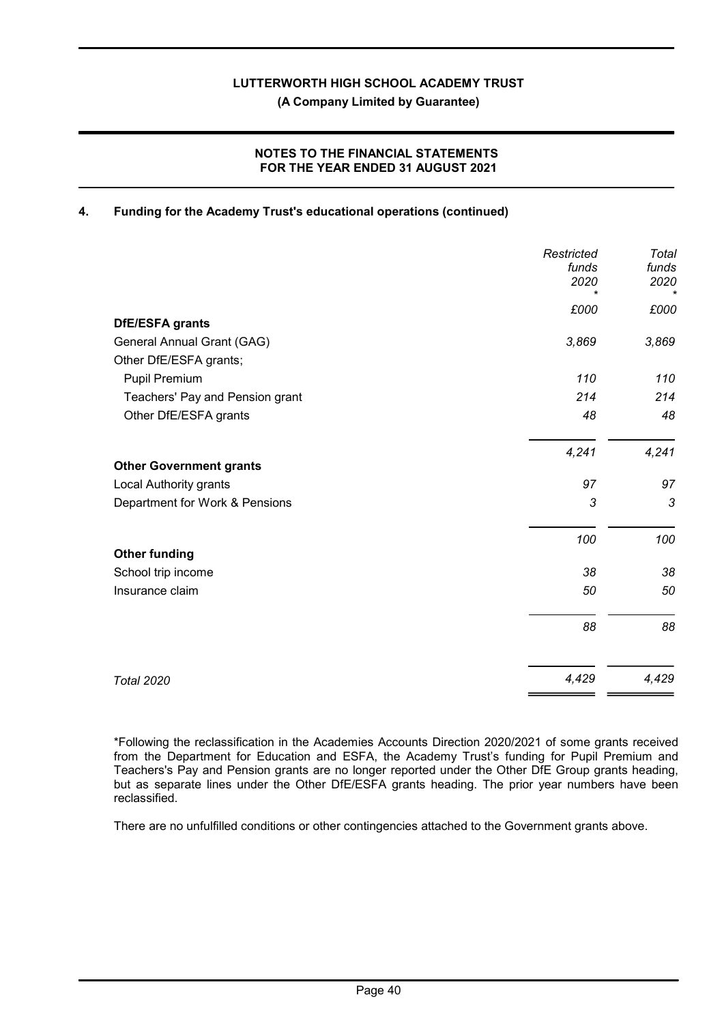# NOTES TO THE FINANCIAL STATEMENTS FOR THE YEAR ENDED 31 AUGUST 2021

# 4. Funding for the Academy Trust's educational operations (continued)

|                                 | Restricted<br>funds<br>2020<br>$\star$ | Total<br>funds<br>2020<br>$\star$ |
|---------------------------------|----------------------------------------|-----------------------------------|
|                                 | £000                                   | £000                              |
| <b>DfE/ESFA grants</b>          |                                        |                                   |
| General Annual Grant (GAG)      | 3,869                                  | 3,869                             |
| Other DfE/ESFA grants;          |                                        |                                   |
| Pupil Premium                   | 110                                    | 110                               |
| Teachers' Pay and Pension grant | 214                                    | 214                               |
| Other DfE/ESFA grants           | 48                                     | 48                                |
|                                 | 4,241                                  | 4,241                             |
| <b>Other Government grants</b>  |                                        |                                   |
| Local Authority grants          | 97                                     | 97                                |
| Department for Work & Pensions  | 3                                      | 3                                 |
|                                 | 100                                    | 100                               |
| <b>Other funding</b>            |                                        |                                   |
| School trip income              | 38                                     | 38                                |
| Insurance claim                 | 50                                     | 50                                |
|                                 | 88                                     | 88                                |
| <b>Total 2020</b>               | 4,429                                  | 4,429                             |

\*Following the reclassification in the Academies Accounts Direction 2020/2021 of some grants received from the Department for Education and ESFA, the Academy Trust's funding for Pupil Premium and Teachers's Pay and Pension grants are no longer reported under the Other DfE Group grants heading, but as separate lines under the Other DfE/ESFA grants heading. The prior year numbers have been reclassified.

There are no unfulfilled conditions or other contingencies attached to the Government grants above.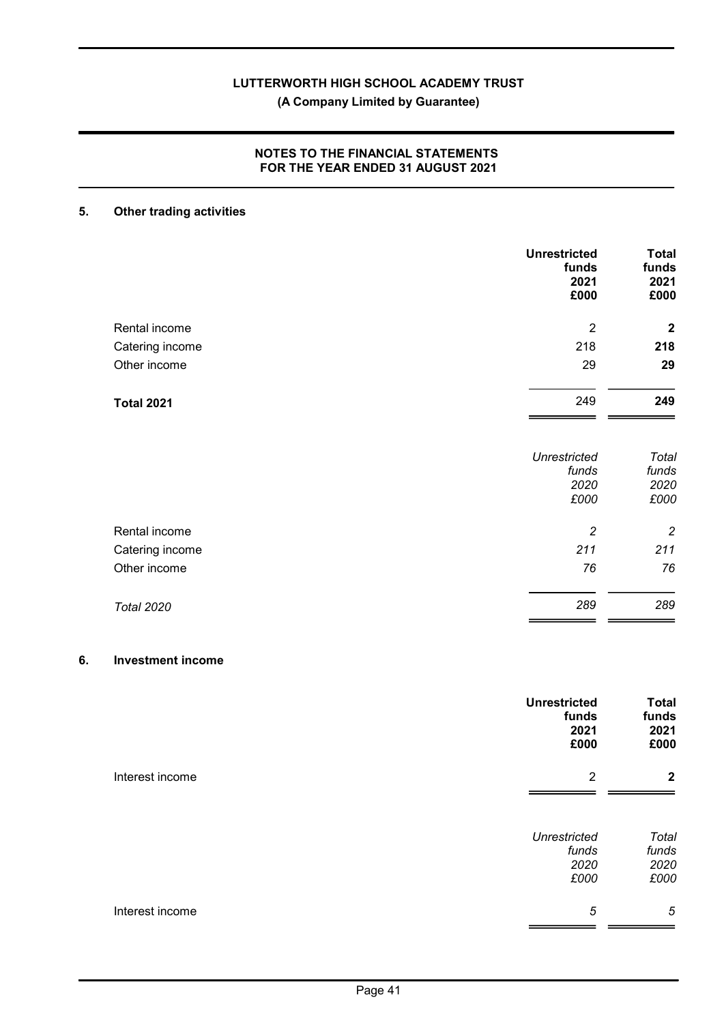# (A Company Limited by Guarantee)

# NOTES TO THE FINANCIAL STATEMENTS FOR THE YEAR ENDED 31 AUGUST 2021

# 5. Other trading activities

|                   | <b>Unrestricted</b><br>funds<br>2021<br>£000 | <b>Total</b><br>funds<br>2021<br>£000 |
|-------------------|----------------------------------------------|---------------------------------------|
| Rental income     | $\overline{2}$                               | $\overline{2}$                        |
| Catering income   | 218                                          | 218                                   |
| Other income      | 29                                           | 29                                    |
| <b>Total 2021</b> | 249                                          | 249                                   |
|                   | <b>Unrestricted</b><br>funds<br>2020<br>£000 | Total<br>funds<br>2020<br>£000        |
| Rental income     | $\overline{c}$                               | $\overline{c}$                        |
| Catering income   | 211                                          | 211                                   |
| Other income      | 76                                           | 76                                    |
| <b>Total 2020</b> | 289                                          | 289                                   |

# 6. Investment income

|                 | <b>Unrestricted</b><br>funds<br>2021<br>£000 | <b>Total</b><br>funds<br>2021<br>£000 |
|-----------------|----------------------------------------------|---------------------------------------|
| Interest income | $\overline{2}$                               | $\mathbf{2}$                          |
|                 | <b>Unrestricted</b><br>funds<br>2020<br>£000 | Total<br>funds<br>2020<br>£000        |
| Interest income | 5                                            | $\sqrt{5}$                            |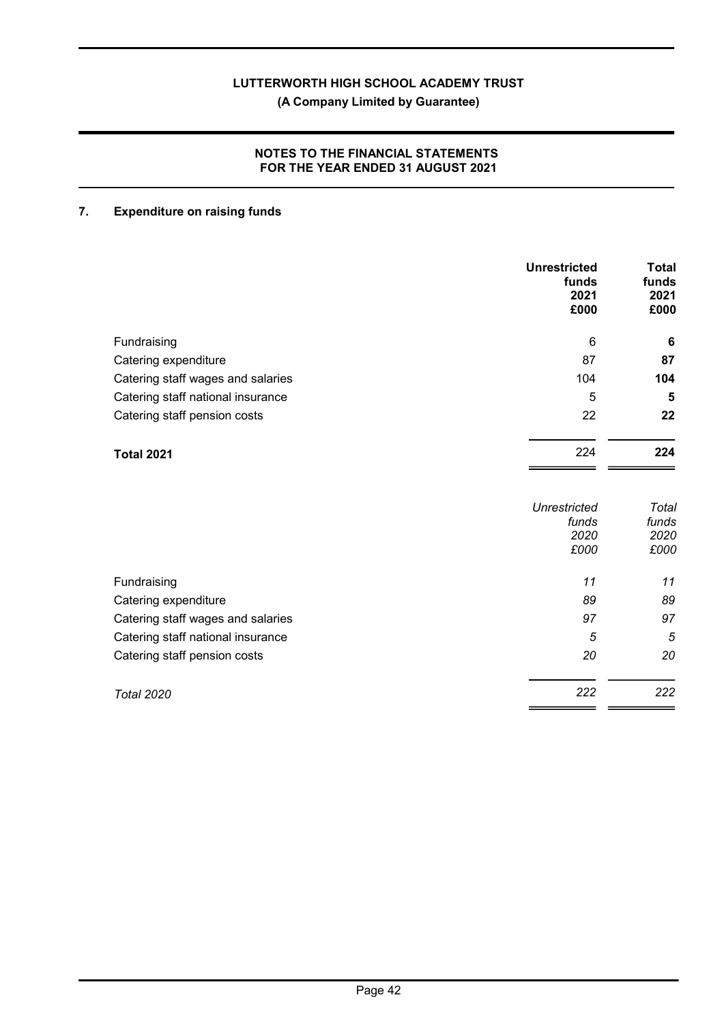# NOTES TO THE FINANCIAL STATEMENTS FOR THE YEAR ENDED 31 AUGUST 2021

# 7. Expenditure on raising funds

|                                   | <b>Unrestricted</b><br>funds<br>2021<br>£000 | <b>Total</b><br>funds<br>2021<br>£000 |
|-----------------------------------|----------------------------------------------|---------------------------------------|
| Fundraising                       | 6                                            | $6\phantom{1}6$                       |
| Catering expenditure              | 87                                           | 87                                    |
| Catering staff wages and salaries | 104                                          | 104                                   |
| Catering staff national insurance | 5                                            | 5                                     |
| Catering staff pension costs      | 22                                           | 22                                    |
| <b>Total 2021</b>                 | 224                                          | 224                                   |
|                                   | <b>Unrestricted</b><br>funds                 | Total<br>funds                        |
|                                   | 2020<br>£000                                 | 2020<br>£000                          |
| Fundraising                       | 11                                           | 11                                    |
| Catering expenditure              | 89                                           | 89                                    |
| Catering staff wages and salaries | 97                                           | 97                                    |
| Catering staff national insurance | 5                                            | 5                                     |
| Catering staff pension costs      | 20                                           | 20                                    |
| <b>Total 2020</b>                 | 222                                          | 222                                   |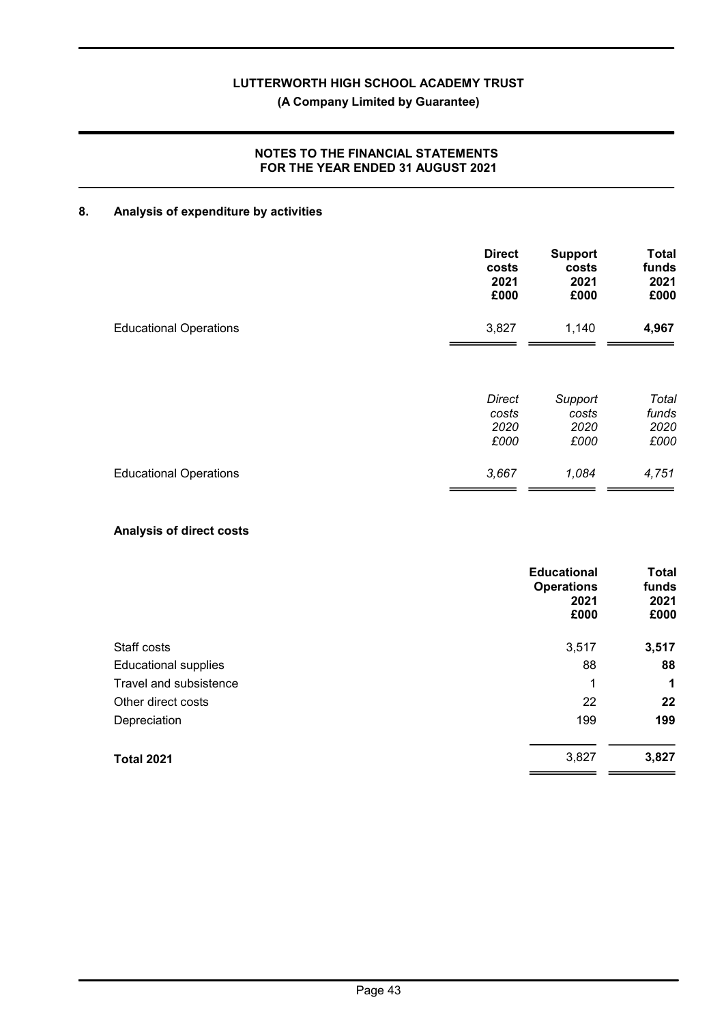# (A Company Limited by Guarantee)

# NOTES TO THE FINANCIAL STATEMENTS FOR THE YEAR ENDED 31 AUGUST 2021

# 8. Analysis of expenditure by activities

|                               | <b>Direct</b> | <b>Support</b> | <b>Total</b> |
|-------------------------------|---------------|----------------|--------------|
|                               | costs         | costs          | funds        |
|                               | 2021          | 2021           | 2021         |
|                               | £000          | £000           | £000         |
| <b>Educational Operations</b> | 3,827         | 1,140          | 4,967        |
|                               | <b>Direct</b> | Support        | Total        |
|                               | costs         | costs          | funds        |
|                               | 2020          | 2020           | 2020         |
|                               | £000          | £000           | £000         |
| <b>Educational Operations</b> | 3,667         | 1,084          | 4,751        |

# Analysis of direct costs

|                             | <b>Educational</b><br><b>Operations</b><br>2021<br>£000 | <b>Total</b><br>funds<br>2021<br>£000 |
|-----------------------------|---------------------------------------------------------|---------------------------------------|
| Staff costs                 | 3,517                                                   | 3,517                                 |
| <b>Educational supplies</b> | 88                                                      | 88                                    |
| Travel and subsistence      | 1                                                       | 1                                     |
| Other direct costs          | 22                                                      | 22                                    |
| Depreciation                | 199                                                     | 199                                   |
| <b>Total 2021</b>           | 3,827                                                   | 3,827                                 |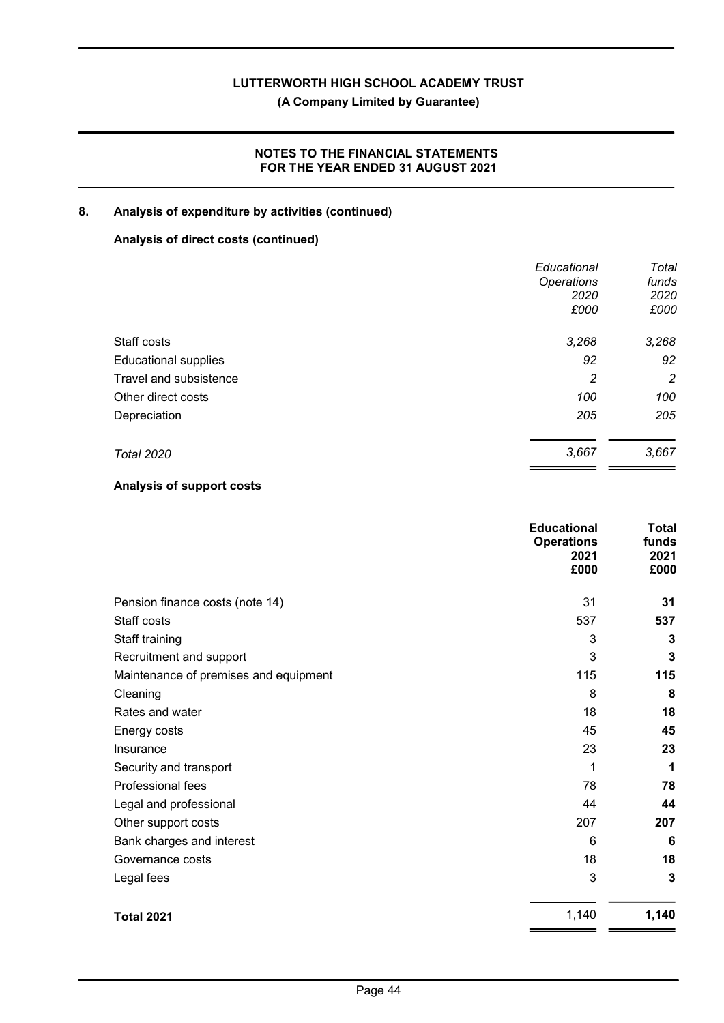(A Company Limited by Guarantee)

# NOTES TO THE FINANCIAL STATEMENTS FOR THE YEAR ENDED 31 AUGUST 2021

# 8. Analysis of expenditure by activities (continued)

# Analysis of direct costs (continued)

|                             | Educational       | Total |
|-----------------------------|-------------------|-------|
|                             | <b>Operations</b> | funds |
|                             | 2020              | 2020  |
|                             | £000              | £000  |
| Staff costs                 | 3,268             | 3,268 |
| <b>Educational supplies</b> | 92                | 92    |
| Travel and subsistence      | 2                 | 2     |
| Other direct costs          | 100               | 100   |
| Depreciation                | 205               | 205   |
| <b>Total 2020</b>           | 3,667             | 3,667 |
|                             |                   |       |

# Analysis of support costs

|                                       | <b>Educational</b><br><b>Operations</b><br>2021<br>£000 | <b>Total</b><br>funds<br>2021<br>£000 |
|---------------------------------------|---------------------------------------------------------|---------------------------------------|
| Pension finance costs (note 14)       | 31                                                      | 31                                    |
| Staff costs                           | 537                                                     | 537                                   |
| Staff training                        | 3                                                       | 3                                     |
| Recruitment and support               | 3                                                       | 3                                     |
| Maintenance of premises and equipment | 115                                                     | 115                                   |
| Cleaning                              | 8                                                       | 8                                     |
| Rates and water                       | 18                                                      | 18                                    |
| Energy costs                          | 45                                                      | 45                                    |
| Insurance                             | 23                                                      | 23                                    |
| Security and transport                | 1                                                       | 1                                     |
| Professional fees                     | 78                                                      | 78                                    |
| Legal and professional                | 44                                                      | 44                                    |
| Other support costs                   | 207                                                     | 207                                   |
| Bank charges and interest             | 6                                                       | 6                                     |
| Governance costs                      | 18                                                      | 18                                    |
| Legal fees                            | 3                                                       | 3                                     |
| <b>Total 2021</b>                     | 1,140                                                   | 1,140                                 |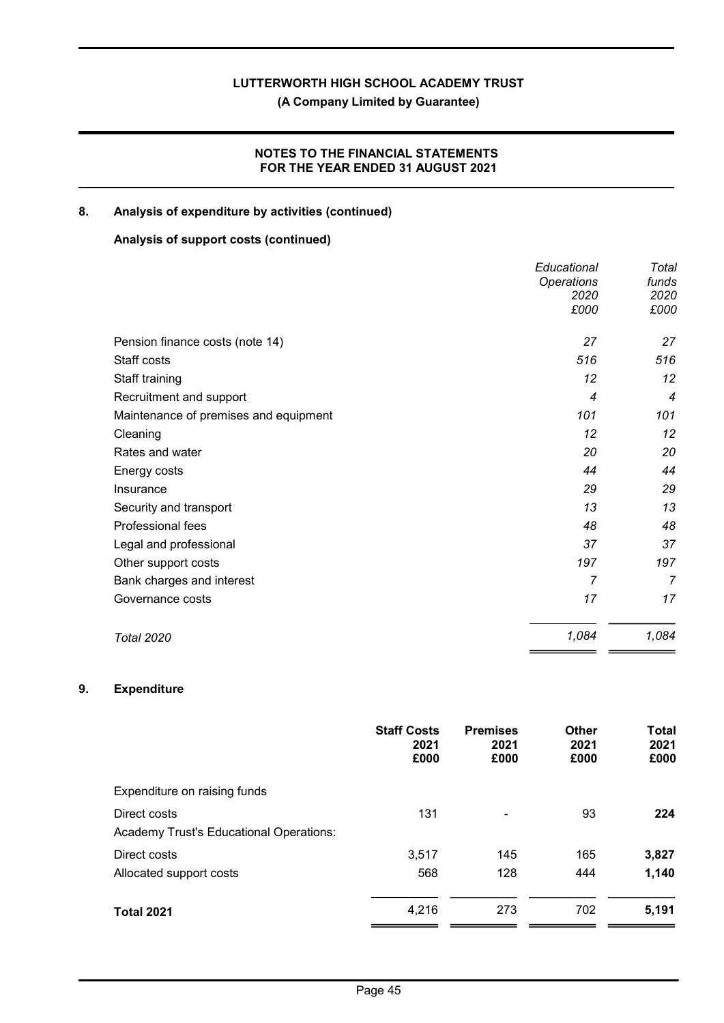(A Company Limited by Guarantee)

# NOTES TO THE FINANCIAL STATEMENTS FOR THE YEAR ENDED 31 AUGUST 2021

# 8. Analysis of expenditure by activities (continued)

# Analysis of support costs (continued)

|                                       | Educational       | Total          |
|---------------------------------------|-------------------|----------------|
|                                       | <b>Operations</b> | funds          |
|                                       | 2020              | 2020           |
|                                       | £000              | £000           |
| Pension finance costs (note 14)       | 27                | 27             |
| Staff costs                           | 516               | 516            |
| Staff training                        | 12                | 12             |
| Recruitment and support               | 4                 | $\overline{4}$ |
| Maintenance of premises and equipment | 101               | 101            |
| Cleaning                              | 12                | 12             |
| Rates and water                       | 20                | 20             |
| Energy costs                          | 44                | 44             |
| Insurance                             | 29                | 29             |
| Security and transport                | 13                | 13             |
| Professional fees                     | 48                | 48             |
| Legal and professional                | 37                | 37             |
| Other support costs                   | 197               | 197            |
| Bank charges and interest             | 7                 | $\overline{7}$ |
| Governance costs                      | 17                | 17             |
| <b>Total 2020</b>                     | 1,084             | 1,084          |

# 9. Expenditure

|                                                | <b>Staff Costs</b><br>2021<br>£000 | <b>Premises</b><br>2021<br>£000 | <b>Other</b><br>2021<br>£000 | <b>Total</b><br>2021<br>£000 |
|------------------------------------------------|------------------------------------|---------------------------------|------------------------------|------------------------------|
| Expenditure on raising funds                   |                                    |                                 |                              |                              |
| Direct costs                                   | 131                                |                                 | 93                           | 224                          |
| <b>Academy Trust's Educational Operations:</b> |                                    |                                 |                              |                              |
| Direct costs                                   | 3,517                              | 145                             | 165                          | 3,827                        |
| Allocated support costs                        | 568                                | 128                             | 444                          | 1,140                        |
| <b>Total 2021</b>                              | 4,216                              | 273                             | 702                          | 5,191                        |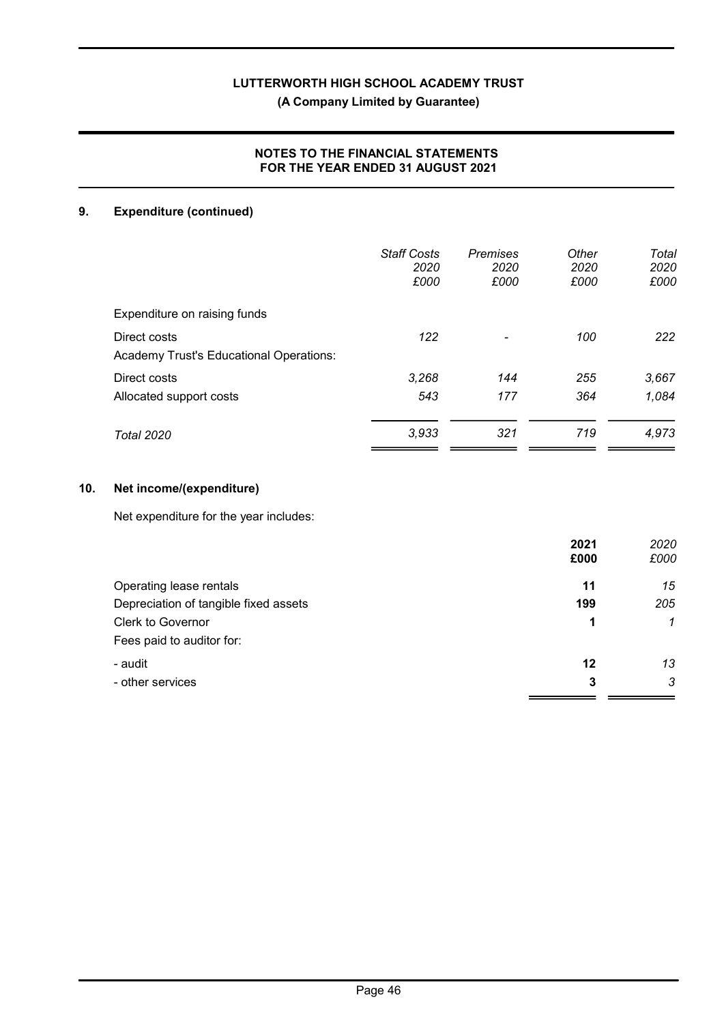# NOTES TO THE FINANCIAL STATEMENTS FOR THE YEAR ENDED 31 AUGUST 2021

# 9. Expenditure (continued)

|                                                         | <b>Staff Costs</b><br>2020<br>£000 | <b>Premises</b><br>2020<br>£000 | Other<br>2020<br>£000 | Total<br>2020<br>£000 |
|---------------------------------------------------------|------------------------------------|---------------------------------|-----------------------|-----------------------|
| Expenditure on raising funds                            |                                    |                                 |                       |                       |
| Direct costs<br>Academy Trust's Educational Operations: | 122                                |                                 | 100                   | 222                   |
| Direct costs                                            | 3,268                              | 144                             | 255                   | 3,667                 |
| Allocated support costs                                 | 543                                | 177                             | 364                   | 1,084                 |
| Total 2020                                              | 3,933                              | 321                             | 719                   | 4,973                 |

# 10. Net income/(expenditure)

Net expenditure for the year includes:

|                                       | 2021 | 2020         |
|---------------------------------------|------|--------------|
|                                       | £000 | £000         |
| Operating lease rentals               | 11   | 15           |
| Depreciation of tangible fixed assets | 199  | 205          |
| <b>Clerk to Governor</b>              | 1    | $\mathcal I$ |
| Fees paid to auditor for:             |      |              |
| - audit                               | 12   | 13           |
| - other services                      | 3    | 3            |
|                                       |      |              |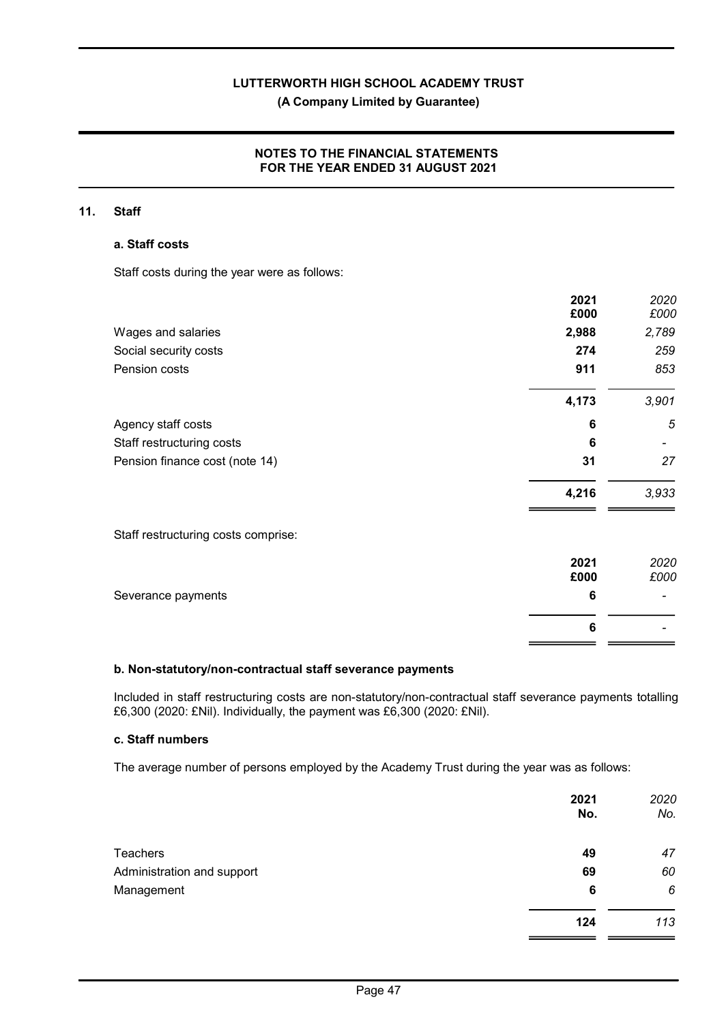# NOTES TO THE FINANCIAL STATEMENTS FOR THE YEAR ENDED 31 AUGUST 2021

#### 11. Staff

#### a. Staff costs

Staff costs during the year were as follows:

|                                     | 2021<br>£000 | 2020<br>£000 |
|-------------------------------------|--------------|--------------|
| Wages and salaries                  | 2,988        | 2,789        |
| Social security costs               | 274          | 259          |
| Pension costs                       | 911          | 853          |
|                                     | 4,173        | 3,901        |
| Agency staff costs                  | 6            | 5            |
| Staff restructuring costs           | 6            |              |
| Pension finance cost (note 14)      | 31           | 27           |
|                                     | 4,216        | 3,933        |
| Staff restructuring costs comprise: |              |              |
|                                     | 2021         | 2020         |
|                                     | £000         | £000         |
| Severance payments                  | 6            |              |
|                                     | 6            |              |

#### b. Non-statutory/non-contractual staff severance payments

Included in staff restructuring costs are non-statutory/non-contractual staff severance payments totalling £6,300 (2020: £Nil). Individually, the payment was £6,300 (2020: £Nil).

 $=$   $=$ 

### c. Staff numbers

The average number of persons employed by the Academy Trust during the year was as follows:

|                            | 2021<br>No. | 2020<br>No. |
|----------------------------|-------------|-------------|
| Teachers                   | 49          | 47          |
| Administration and support | 69          | 60          |
| Management                 | 6           | 6           |
|                            | 124         | 113         |
|                            |             |             |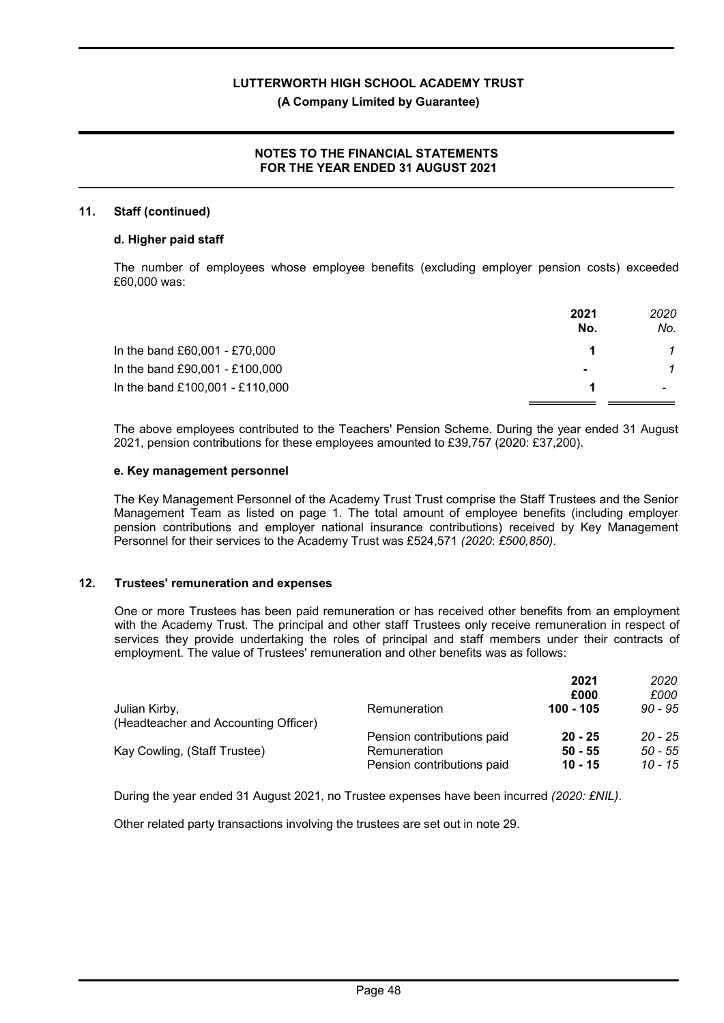# NOTES TO THE FINANCIAL STATEMENTS FOR THE YEAR ENDED 31 AUGUST 2021

#### 11. Staff (continued)

#### d. Higher paid staff

The number of employees whose employee benefits (excluding employer pension costs) exceeded £60,000 was:

|                                 | 2021<br>No.    | 2020<br>No. |
|---------------------------------|----------------|-------------|
| In the band £60,001 - £70,000   |                |             |
| In the band £90,001 - £100,000  | $\blacksquare$ |             |
| In the band £100,001 - £110,000 |                |             |

The above employees contributed to the Teachers' Pension Scheme. During the year ended 31 August 2021, pension contributions for these employees amounted to £39,757 (2020: £37,200).

### e. Key management personnel

The Key Management Personnel of the Academy Trust Trust comprise the Staff Trustees and the Senior Management Team as listed on page 1. The total amount of employee benefits (including employer pension contributions and employer national insurance contributions) received by Key Management Personnel for their services to the Academy Trust was £524,571 (2020: £500,850).

#### 12. Trustees' remuneration and expenses

One or more Trustees has been paid remuneration or has received other benefits from an employment with the Academy Trust. The principal and other staff Trustees only receive remuneration in respect of services they provide undertaking the roles of principal and staff members under their contracts of employment. The value of Trustees' remuneration and other benefits was as follows:

|                                                       |                            | 2021      | 2020      |
|-------------------------------------------------------|----------------------------|-----------|-----------|
|                                                       |                            | £000      | £000      |
| Julian Kirby,<br>(Headteacher and Accounting Officer) | Remuneration               | 100 - 105 | $90 - 95$ |
|                                                       | Pension contributions paid | $20 - 25$ | $20 - 25$ |
| Kay Cowling, (Staff Trustee)                          | Remuneration               | $50 - 55$ | $50 - 55$ |
|                                                       | Pension contributions paid | $10 - 15$ | 10 - 15   |

During the year ended 31 August 2021, no Trustee expenses have been incurred (2020: £NIL).

Other related party transactions involving the trustees are set out in note 29.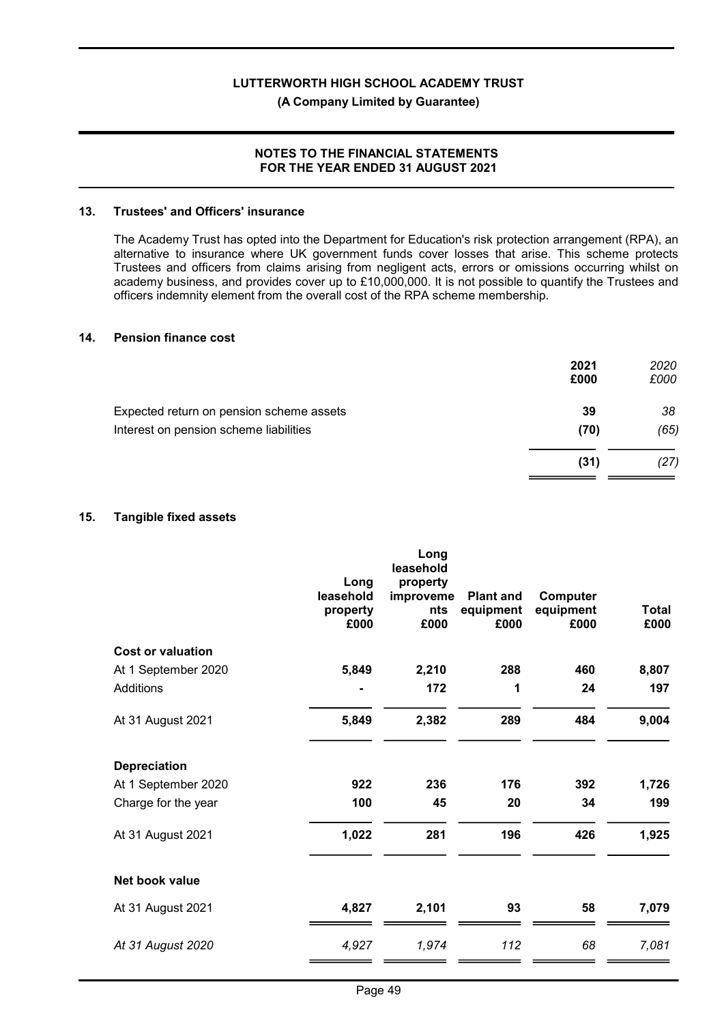### NOTES TO THE FINANCIAL STATEMENTS FOR THE YEAR ENDED 31 AUGUST 2021

#### 13. Trustees' and Officers' insurance

The Academy Trust has opted into the Department for Education's risk protection arrangement (RPA), an alternative to insurance where UK government funds cover losses that arise. This scheme protects Trustees and officers from claims arising from negligent acts, errors or omissions occurring whilst on academy business, and provides cover up to £10,000,000. It is not possible to quantify the Trustees and officers indemnity element from the overall cost of the RPA scheme membership.

#### 14. Pension finance cost

| 2021<br>£000 | 2020<br>£000 |
|--------------|--------------|
| 39           | 38           |
| (70)         | (65)         |
| (31)         | (27)         |
|              |              |

#### 15. Tangible fixed assets

|                          | Long<br>leasehold<br>property<br>£000 | Long<br>leasehold<br>property<br>improveme<br>nts<br>£000 | <b>Plant and</b><br>equipment<br>£000 | Computer<br>equipment<br>£000 | Total<br>£000 |
|--------------------------|---------------------------------------|-----------------------------------------------------------|---------------------------------------|-------------------------------|---------------|
| <b>Cost or valuation</b> |                                       |                                                           |                                       |                               |               |
| At 1 September 2020      | 5,849                                 | 2,210                                                     | 288                                   | 460                           | 8,807         |
| <b>Additions</b>         |                                       | 172                                                       | 1                                     | 24                            | 197           |
| At 31 August 2021        | 5,849                                 | 2,382                                                     | 289                                   | 484                           | 9,004         |
| <b>Depreciation</b>      |                                       |                                                           |                                       |                               |               |
| At 1 September 2020      | 922                                   | 236                                                       | 176                                   | 392                           | 1,726         |
| Charge for the year      | 100                                   | 45                                                        | 20                                    | 34                            | 199           |
| At 31 August 2021        | 1,022                                 | 281                                                       | 196                                   | 426                           | 1,925         |
| Net book value           |                                       |                                                           |                                       |                               |               |
| At 31 August 2021        | 4,827                                 | 2,101                                                     | 93                                    | 58                            | 7,079         |
| At 31 August 2020        | 4,927                                 | 1,974                                                     | 112                                   | 68                            | 7,081         |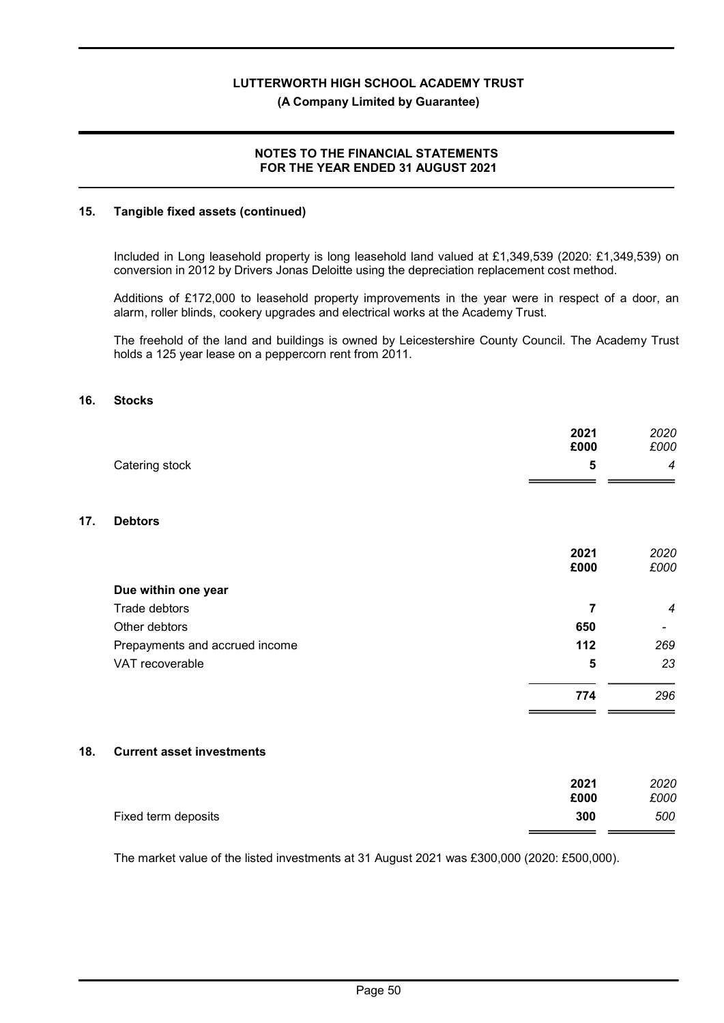### NOTES TO THE FINANCIAL STATEMENTS FOR THE YEAR ENDED 31 AUGUST 2021

#### 15. Tangible fixed assets (continued)

Included in Long leasehold property is long leasehold land valued at £1,349,539 (2020: £1,349,539) on conversion in 2012 by Drivers Jonas Deloitte using the depreciation replacement cost method.

Additions of £172,000 to leasehold property improvements in the year were in respect of a door, an alarm, roller blinds, cookery upgrades and electrical works at the Academy Trust.

The freehold of the land and buildings is owned by Leicestershire County Council. The Academy Trust holds a 125 year lease on a peppercorn rent from 2011.

#### 16. Stocks

 $17.$ 

|     |                                  | 2021<br>£000            | 2020<br>£000   |
|-----|----------------------------------|-------------------------|----------------|
|     | Catering stock                   | 5                       | 4              |
|     |                                  |                         |                |
| 17. | <b>Debtors</b>                   |                         |                |
|     |                                  | 2021<br>£000            | 2020<br>£000   |
|     | Due within one year              |                         |                |
|     | Trade debtors                    | $\overline{\mathbf{r}}$ | $\overline{4}$ |
|     | Other debtors                    | 650                     |                |
|     | Prepayments and accrued income   | 112                     | 269            |
|     | VAT recoverable                  | 5                       | 23             |
|     |                                  | 774                     | 296            |
|     |                                  |                         |                |
| 18. | <b>Current asset investments</b> |                         |                |
|     |                                  | 2021<br>£000            | 2020<br>£000   |
|     | Fixed term deposits              | 300                     | 500            |
|     |                                  |                         |                |

The market value of the listed investments at 31 August 2021 was £300,000 (2020: £500,000).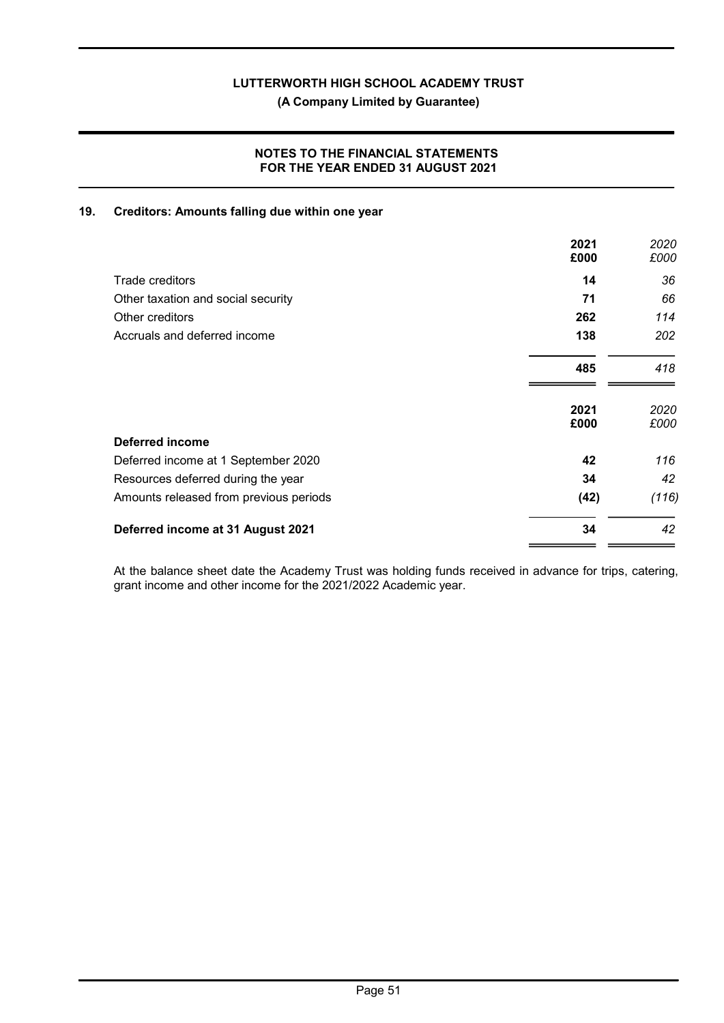(A Company Limited by Guarantee)

### NOTES TO THE FINANCIAL STATEMENTS FOR THE YEAR ENDED 31 AUGUST 2021

#### 19. Creditors: Amounts falling due within one year

|                                        | 2021<br>£000 | 2020<br>£000 |
|----------------------------------------|--------------|--------------|
| Trade creditors                        | 14           | 36           |
| Other taxation and social security     | 71           | 66           |
| Other creditors                        | 262          | 114          |
| Accruals and deferred income           | 138          | 202          |
|                                        | 485          | 418          |
|                                        | 2021<br>£000 | 2020<br>£000 |
| <b>Deferred income</b>                 |              |              |
| Deferred income at 1 September 2020    | 42           | 116          |
| Resources deferred during the year     | 34           | 42           |
| Amounts released from previous periods | (42)         | (116)        |
| Deferred income at 31 August 2021      | 34           | 42           |

At the balance sheet date the Academy Trust was holding funds received in advance for trips, catering, grant income and other income for the 2021/2022 Academic year.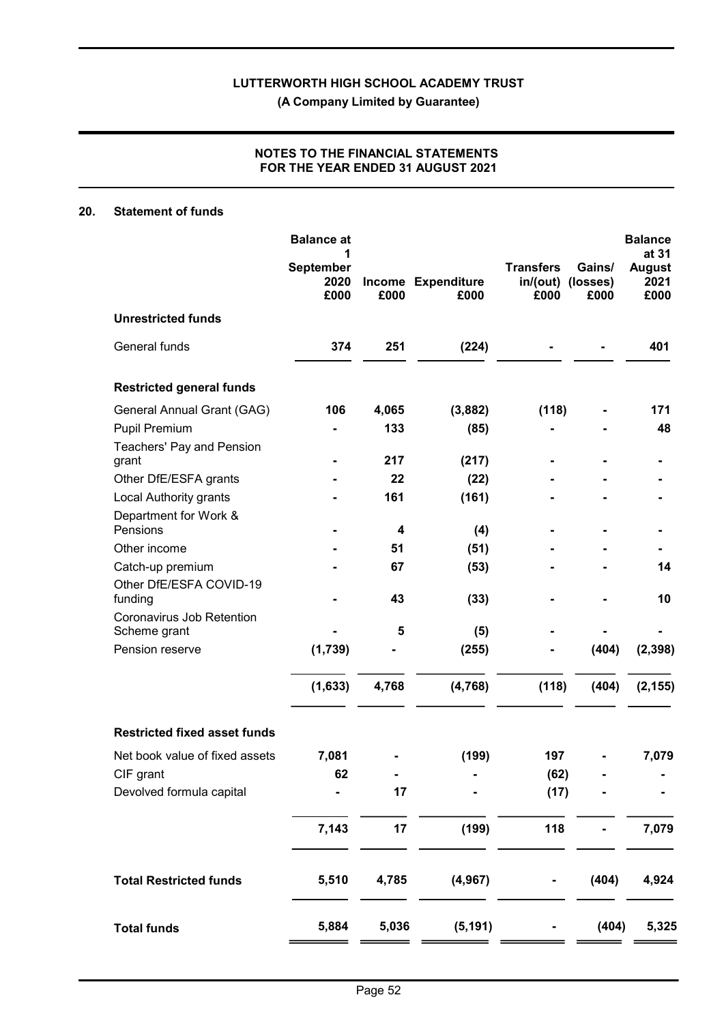### NOTES TO THE FINANCIAL STATEMENTS FOR THE YEAR ENDED 31 AUGUST 2021

# 20. Statement of funds

|                                           | <b>Balance at</b>         |       |                            |                                       |                            | <b>Balance</b><br>at 31       |
|-------------------------------------------|---------------------------|-------|----------------------------|---------------------------------------|----------------------------|-------------------------------|
|                                           | September<br>2020<br>£000 | £000  | Income Expenditure<br>£000 | <b>Transfers</b><br>in/ (out)<br>£000 | Gains/<br>(losses)<br>£000 | <b>August</b><br>2021<br>£000 |
| <b>Unrestricted funds</b>                 |                           |       |                            |                                       |                            |                               |
| General funds                             | 374                       | 251   | (224)                      |                                       |                            | 401                           |
| <b>Restricted general funds</b>           |                           |       |                            |                                       |                            |                               |
| General Annual Grant (GAG)                | 106                       | 4,065 | (3,882)                    | (118)                                 |                            | 171                           |
| <b>Pupil Premium</b>                      |                           | 133   | (85)                       |                                       |                            | 48                            |
| Teachers' Pay and Pension<br>grant        |                           | 217   | (217)                      |                                       |                            |                               |
| Other DfE/ESFA grants                     |                           | 22    | (22)                       |                                       |                            |                               |
| Local Authority grants                    |                           | 161   | (161)                      |                                       |                            |                               |
| Department for Work &                     |                           |       |                            |                                       |                            |                               |
| Pensions                                  |                           | 4     | (4)                        |                                       |                            |                               |
| Other income                              |                           | 51    | (51)                       |                                       |                            |                               |
| Catch-up premium                          |                           | 67    | (53)                       |                                       |                            | 14                            |
| Other DfE/ESFA COVID-19<br>funding        |                           | 43    | (33)                       |                                       |                            | 10                            |
| Coronavirus Job Retention<br>Scheme grant |                           | 5     | (5)                        |                                       |                            |                               |
| Pension reserve                           | (1,739)                   |       | (255)                      |                                       | (404)                      | (2, 398)                      |
|                                           | (1,633)                   | 4,768 | (4, 768)                   | (118)                                 | (404)                      | (2, 155)                      |
| <b>Restricted fixed asset funds</b>       |                           |       |                            |                                       |                            |                               |
| Net book value of fixed assets            | 7,081                     |       | (199)                      | 197                                   |                            | 7,079                         |
| CIF grant                                 | 62                        |       |                            | (62)                                  |                            |                               |
| Devolved formula capital                  |                           | 17    |                            | (17)                                  |                            |                               |
|                                           | 7,143                     | 17    | (199)                      | 118                                   |                            | 7,079                         |
| <b>Total Restricted funds</b>             | 5,510                     | 4,785 | (4, 967)                   |                                       | (404)                      | 4,924                         |
| <b>Total funds</b>                        | 5,884                     | 5,036 | (5, 191)                   |                                       | (404)                      | 5,325                         |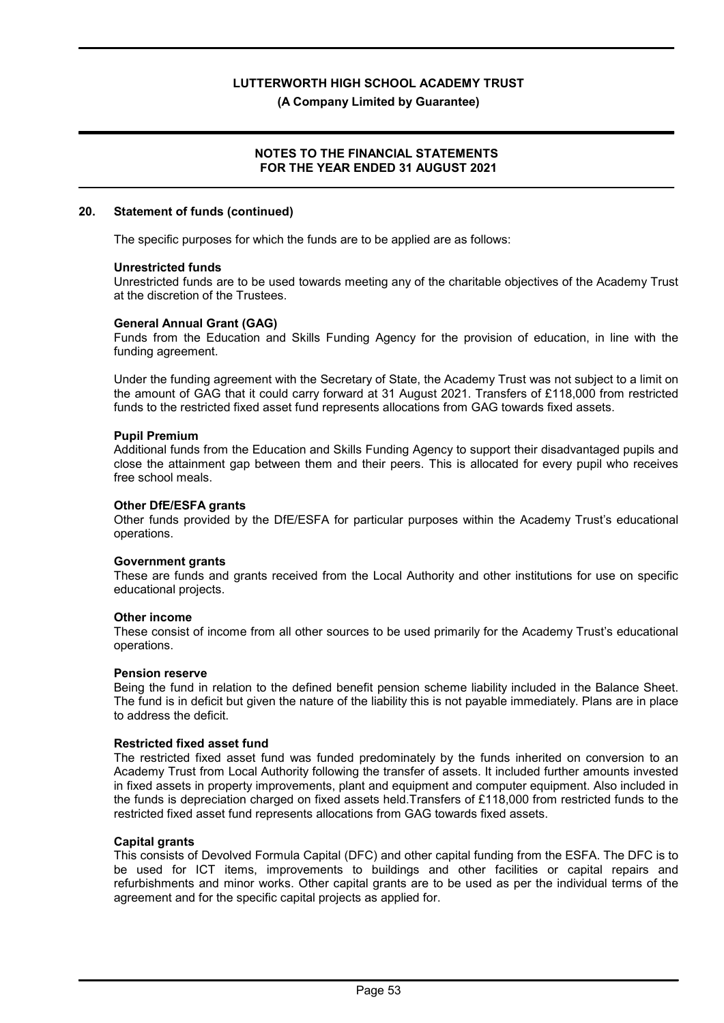(A Company Limited by Guarantee)

#### NOTES TO THE FINANCIAL STATEMENTS FOR THE YEAR ENDED 31 AUGUST 2021

#### 20. Statement of funds (continued)

The specific purposes for which the funds are to be applied are as follows:

#### Unrestricted funds

Unrestricted funds are to be used towards meeting any of the charitable objectives of the Academy Trust at the discretion of the Trustees.

#### General Annual Grant (GAG)

Funds from the Education and Skills Funding Agency for the provision of education, in line with the funding agreement.

Under the funding agreement with the Secretary of State, the Academy Trust was not subject to a limit on the amount of GAG that it could carry forward at 31 August 2021. Transfers of £118,000 from restricted funds to the restricted fixed asset fund represents allocations from GAG towards fixed assets.

#### Pupil Premium

Additional funds from the Education and Skills Funding Agency to support their disadvantaged pupils and close the attainment gap between them and their peers. This is allocated for every pupil who receives free school meals.

#### Other DfE/ESFA grants

Other funds provided by the DfE/ESFA for particular purposes within the Academy Trust's educational operations.

#### Government grants

These are funds and grants received from the Local Authority and other institutions for use on specific educational projects.

#### Other income

These consist of income from all other sources to be used primarily for the Academy Trust's educational operations.

#### Pension reserve

Being the fund in relation to the defined benefit pension scheme liability included in the Balance Sheet. The fund is in deficit but given the nature of the liability this is not payable immediately. Plans are in place to address the deficit.

#### Restricted fixed asset fund

The restricted fixed asset fund was funded predominately by the funds inherited on conversion to an Academy Trust from Local Authority following the transfer of assets. It included further amounts invested in fixed assets in property improvements, plant and equipment and computer equipment. Also included in the funds is depreciation charged on fixed assets held.Transfers of £118,000 from restricted funds to the restricted fixed asset fund represents allocations from GAG towards fixed assets.

#### Capital grants

This consists of Devolved Formula Capital (DFC) and other capital funding from the ESFA. The DFC is to be used for ICT items, improvements to buildings and other facilities or capital repairs and refurbishments and minor works. Other capital grants are to be used as per the individual terms of the agreement and for the specific capital projects as applied for.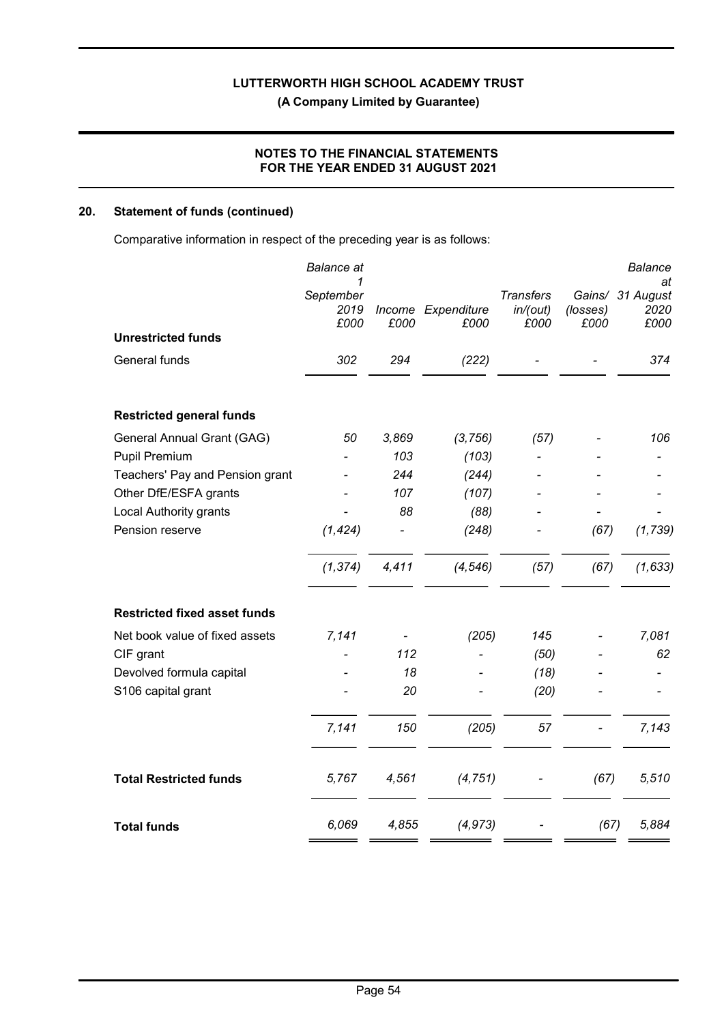# NOTES TO THE FINANCIAL STATEMENTS FOR THE YEAR ENDED 31 AUGUST 2021

# 20. Statement of funds (continued)

Comparative information in respect of the preceding year is as follows:

|                                     | <b>Balance</b> at              |                |                     |                                      |                  | <b>Balance</b>                         |
|-------------------------------------|--------------------------------|----------------|---------------------|--------------------------------------|------------------|----------------------------------------|
| <b>Unrestricted funds</b>           | 1<br>September<br>2019<br>£000 | Income<br>£000 | Expenditure<br>£000 | <b>Transfers</b><br>in/(out)<br>£000 | (losses)<br>£000 | at<br>Gains/ 31 August<br>2020<br>£000 |
|                                     |                                |                |                     |                                      |                  |                                        |
| General funds                       | 302                            | 294            | (222)               |                                      |                  | 374                                    |
| <b>Restricted general funds</b>     |                                |                |                     |                                      |                  |                                        |
| General Annual Grant (GAG)          | 50                             | 3,869          | (3, 756)            | (57)                                 |                  | 106                                    |
| <b>Pupil Premium</b>                |                                | 103            | (103)               |                                      |                  |                                        |
| Teachers' Pay and Pension grant     |                                | 244            | (244)               |                                      |                  |                                        |
| Other DfE/ESFA grants               |                                | 107            | (107)               |                                      |                  |                                        |
| Local Authority grants              |                                | 88             | (88)                |                                      |                  |                                        |
| Pension reserve                     | (1, 424)                       |                | (248)               |                                      | (67)             | (1, 739)                               |
|                                     | (1, 374)                       | 4,411          | (4, 546)            | (57)                                 | (67)             | (1, 633)                               |
| <b>Restricted fixed asset funds</b> |                                |                |                     |                                      |                  |                                        |
| Net book value of fixed assets      | 7,141                          |                | (205)               | 145                                  |                  | 7,081                                  |
| CIF grant                           |                                | 112            |                     | (50)                                 |                  | 62                                     |
| Devolved formula capital            |                                | 18             |                     | (18)                                 |                  |                                        |
| S106 capital grant                  |                                | 20             |                     | (20)                                 |                  |                                        |
|                                     | 7,141                          | 150            | (205)               | 57                                   |                  | 7,143                                  |
| <b>Total Restricted funds</b>       | 5,767                          | 4,561          | (4, 751)            |                                      | (67)             | 5,510                                  |
| <b>Total funds</b>                  | 6,069                          | 4,855          | (4, 973)            |                                      | (67)             | 5,884                                  |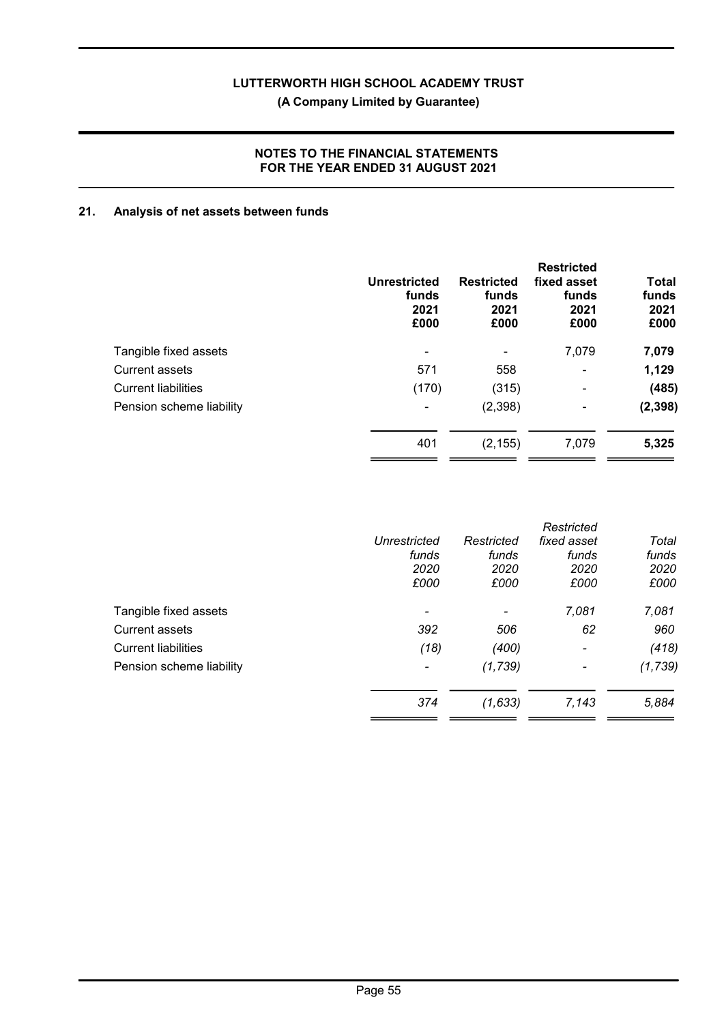(A Company Limited by Guarantee)

# NOTES TO THE FINANCIAL STATEMENTS FOR THE YEAR ENDED 31 AUGUST 2021

# 21. Analysis of net assets between funds

| Unrestricted<br>funds<br>2021<br>£000 | <b>Restricted</b><br>funds<br>2021<br>£000 | <b>Restricted</b><br>fixed asset<br>funds<br>2021<br>£000 | Total<br>funds<br>2021<br>£000 |
|---------------------------------------|--------------------------------------------|-----------------------------------------------------------|--------------------------------|
| ۰                                     |                                            | 7,079                                                     | 7,079                          |
| 571                                   | 558                                        | $\blacksquare$                                            | 1,129                          |
| (170)                                 | (315)                                      | ۰                                                         | (485)                          |
| ٠                                     | (2,398)                                    | ۰                                                         | (2, 398)                       |
| 401                                   | (2, 155)                                   | 7,079                                                     | 5,325                          |
|                                       |                                            |                                                           |                                |

|                          |            | Restricted               |          |
|--------------------------|------------|--------------------------|----------|
| Unrestricted             | Restricted | fixed asset              | Total    |
| funds                    | funds      | funds                    | funds    |
| 2020                     | 2020       | 2020                     | 2020     |
| £000                     | £000       | £000                     | £000     |
| $\overline{\phantom{a}}$ |            | 7,081                    | 7,081    |
| 392                      | 506        | 62                       | 960      |
| (18)                     | (400)      | $\overline{\phantom{a}}$ | (418)    |
| $\overline{\phantom{a}}$ | (1,739)    | -                        | (1, 739) |
| 374                      | (1,633)    | 7,143                    | 5,884    |
|                          |            |                          |          |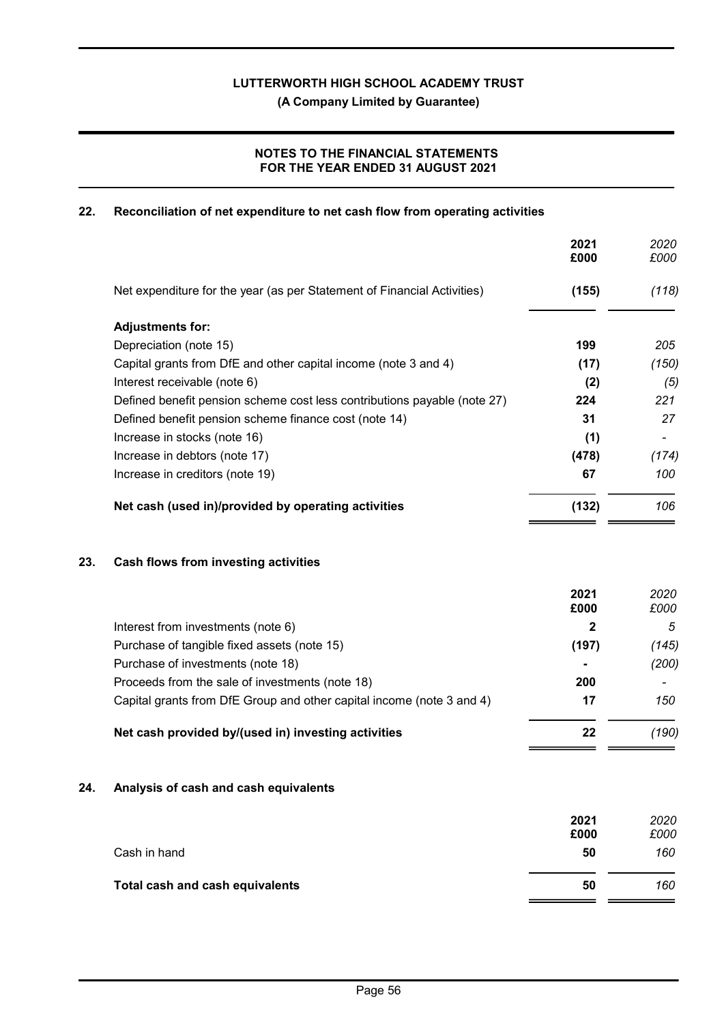(A Company Limited by Guarantee)

# NOTES TO THE FINANCIAL STATEMENTS FOR THE YEAR ENDED 31 AUGUST 2021

# 22. Reconciliation of net expenditure to net cash flow from operating activities

|     |                                                                          | 2021<br>£000 | 2020<br>£000 |
|-----|--------------------------------------------------------------------------|--------------|--------------|
|     | Net expenditure for the year (as per Statement of Financial Activities)  | (155)        | (118)        |
|     | <b>Adjustments for:</b>                                                  |              |              |
|     | Depreciation (note 15)                                                   | 199          | 205          |
|     | Capital grants from DfE and other capital income (note 3 and 4)          | (17)         | (150)        |
|     | Interest receivable (note 6)                                             | (2)          | (5)          |
|     | Defined benefit pension scheme cost less contributions payable (note 27) | 224          | 221          |
|     | Defined benefit pension scheme finance cost (note 14)                    | 31           | 27           |
|     | Increase in stocks (note 16)                                             | (1)          |              |
|     | Increase in debtors (note 17)                                            | (478)        | (174)        |
|     | Increase in creditors (note 19)                                          | 67           | 100          |
|     | Net cash (used in)/provided by operating activities                      | (132)        | 106          |
| 23. | Cash flows from investing activities                                     |              |              |
|     |                                                                          | 2021<br>£000 | 2020<br>£000 |
|     | Interest from investments (note 6)                                       | 2            | 5            |
|     | Purchase of tangible fixed assets (note 15)                              | (197)        | (145)        |
|     | Purchase of investments (note 18)                                        |              | (200)        |
|     | Proceeds from the sale of investments (note 18)                          | 200          |              |
|     | Capital grants from DfE Group and other capital income (note 3 and 4)    | 17           | 150          |
|     | Net cash provided by/(used in) investing activities                      | 22           | (190)        |
| 24. | Analysis of cash and cash equivalents                                    |              |              |
|     |                                                                          | 2021<br>£000 | 2020<br>£000 |
|     | Cash in hand                                                             | 50           | 160          |

| Total cash and cash equivalents | 50 | 160 |
|---------------------------------|----|-----|
|---------------------------------|----|-----|

 $\overline{\phantom{a}}$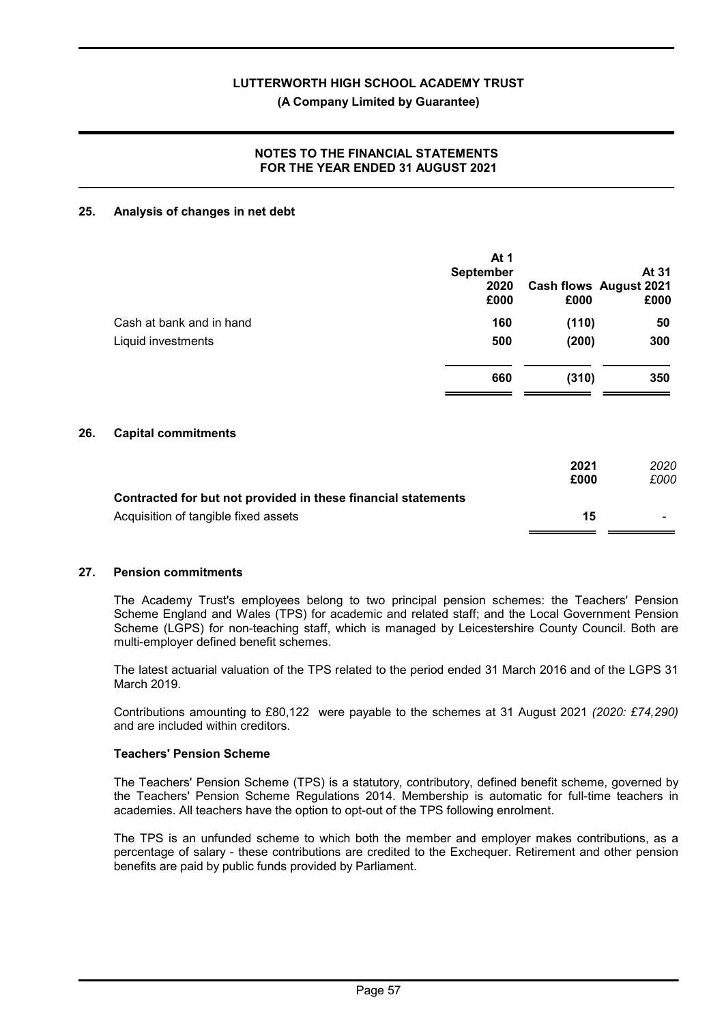### (A Company Limited by Guarantee)

# NOTES TO THE FINANCIAL STATEMENTS FOR THE YEAR ENDED 31 AUGUST 2021

### 25. Analysis of changes in net debt

|                          | At 1<br><b>September</b><br>2020<br>£000 | £000           | At 31<br><b>Cash flows August 2021</b><br>£000 |
|--------------------------|------------------------------------------|----------------|------------------------------------------------|
| Cash at bank and in hand | 160                                      | (110)          | 50                                             |
| Liquid investments       | 500<br>660                               | (200)<br>(310) | 300<br>350                                     |
|                          |                                          |                |                                                |

# 26. Capital commitments

|                                                               | 2021 | 2020 |
|---------------------------------------------------------------|------|------|
|                                                               | £000 | £000 |
| Contracted for but not provided in these financial statements |      |      |
| Acquisition of tangible fixed assets                          | 15   |      |
|                                                               |      |      |

#### 27. Pension commitments

The Academy Trust's employees belong to two principal pension schemes: the Teachers' Pension Scheme England and Wales (TPS) for academic and related staff; and the Local Government Pension Scheme (LGPS) for non-teaching staff, which is managed by Leicestershire County Council. Both are multi-employer defined benefit schemes.

The latest actuarial valuation of the TPS related to the period ended 31 March 2016 and of the LGPS 31 March 2019.

Contributions amounting to £80,122 were payable to the schemes at 31 August 2021 (2020: £74,290) and are included within creditors.

#### Teachers' Pension Scheme

The Teachers' Pension Scheme (TPS) is a statutory, contributory, defined benefit scheme, governed by the Teachers' Pension Scheme Regulations 2014. Membership is automatic for full-time teachers in academies. All teachers have the option to opt-out of the TPS following enrolment.

The TPS is an unfunded scheme to which both the member and employer makes contributions, as a percentage of salary - these contributions are credited to the Exchequer. Retirement and other pension benefits are paid by public funds provided by Parliament.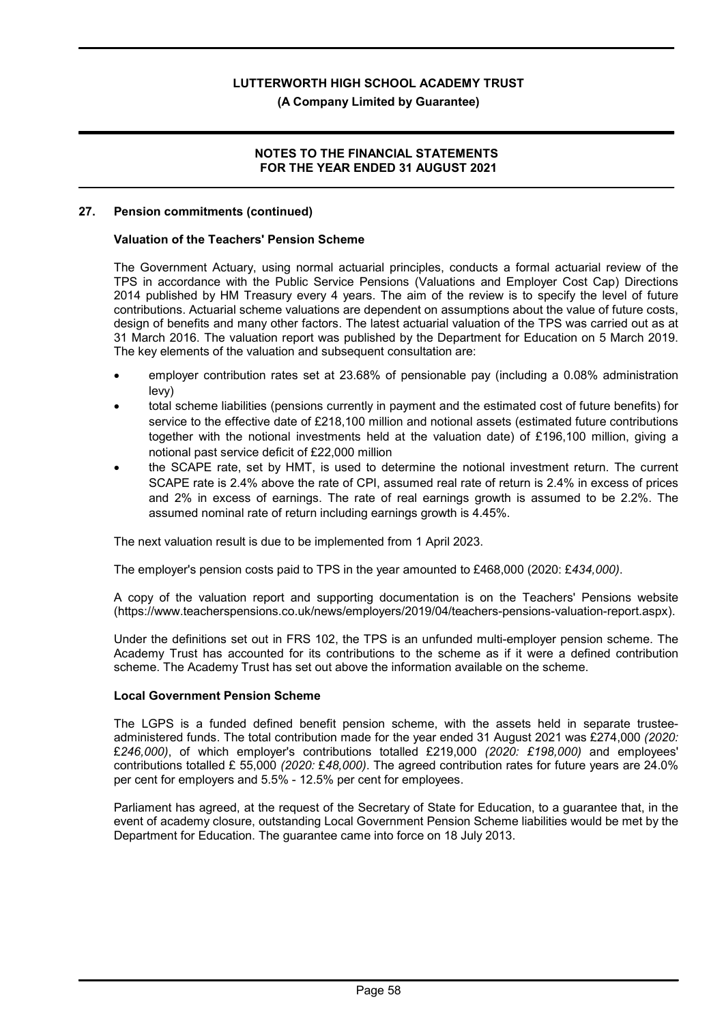#### (A Company Limited by Guarantee)

#### NOTES TO THE FINANCIAL STATEMENTS FOR THE YEAR ENDED 31 AUGUST 2021

#### 27. Pension commitments (continued)

#### Valuation of the Teachers' Pension Scheme

The Government Actuary, using normal actuarial principles, conducts a formal actuarial review of the TPS in accordance with the Public Service Pensions (Valuations and Employer Cost Cap) Directions 2014 published by HM Treasury every 4 years. The aim of the review is to specify the level of future contributions. Actuarial scheme valuations are dependent on assumptions about the value of future costs, design of benefits and many other factors. The latest actuarial valuation of the TPS was carried out as at 31 March 2016. The valuation report was published by the Department for Education on 5 March 2019. The key elements of the valuation and subsequent consultation are:

- employer contribution rates set at 23.68% of pensionable pay (including a 0.08% administration levy)
- total scheme liabilities (pensions currently in payment and the estimated cost of future benefits) for service to the effective date of £218,100 million and notional assets (estimated future contributions together with the notional investments held at the valuation date) of £196,100 million, giving a notional past service deficit of £22,000 million
- the SCAPE rate, set by HMT, is used to determine the notional investment return. The current SCAPE rate is 2.4% above the rate of CPI, assumed real rate of return is 2.4% in excess of prices and 2% in excess of earnings. The rate of real earnings growth is assumed to be 2.2%. The assumed nominal rate of return including earnings growth is 4.45%.

The next valuation result is due to be implemented from 1 April 2023.

The employer's pension costs paid to TPS in the year amounted to £468,000 (2020: £434,000).

A copy of the valuation report and supporting documentation is on the Teachers' Pensions website (https://www.teacherspensions.co.uk/news/employers/2019/04/teachers-pensions-valuation-report.aspx).

Under the definitions set out in FRS 102, the TPS is an unfunded multi-employer pension scheme. The Academy Trust has accounted for its contributions to the scheme as if it were a defined contribution scheme. The Academy Trust has set out above the information available on the scheme.

#### Local Government Pension Scheme

The LGPS is a funded defined benefit pension scheme, with the assets held in separate trusteeadministered funds. The total contribution made for the year ended 31 August 2021 was £274,000 (2020: £246,000), of which employer's contributions totalled £219,000 (2020: £198,000) and employees' contributions totalled £ 55,000 (2020: £48,000). The agreed contribution rates for future years are 24.0% per cent for employers and 5.5% - 12.5% per cent for employees.

Parliament has agreed, at the request of the Secretary of State for Education, to a guarantee that, in the event of academy closure, outstanding Local Government Pension Scheme liabilities would be met by the Department for Education. The guarantee came into force on 18 July 2013.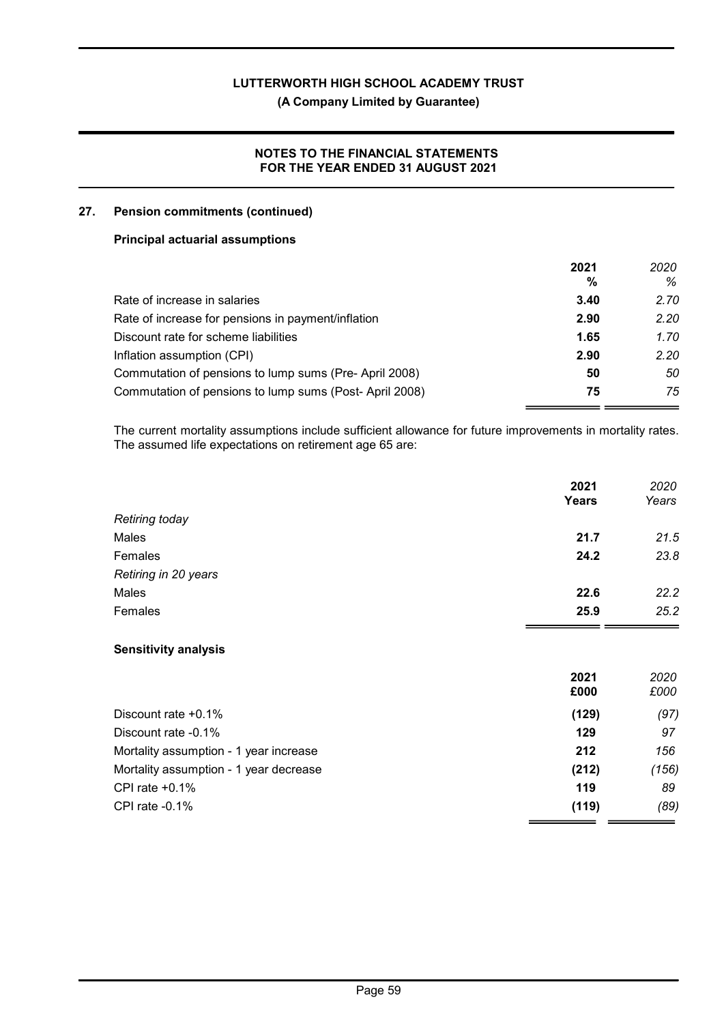(A Company Limited by Guarantee)

# NOTES TO THE FINANCIAL STATEMENTS FOR THE YEAR ENDED 31 AUGUST 2021

### 27. Pension commitments (continued)

#### Principal actuarial assumptions

|                                                        | 2021 | 2020 |
|--------------------------------------------------------|------|------|
|                                                        | %    | %    |
| Rate of increase in salaries                           | 3.40 | 2.70 |
| Rate of increase for pensions in payment/inflation     | 2.90 | 2.20 |
| Discount rate for scheme liabilities                   | 1.65 | 1.70 |
| Inflation assumption (CPI)                             | 2.90 | 2.20 |
| Commutation of pensions to lump sums (Pre-April 2008)  | 50   | 50   |
| Commutation of pensions to lump sums (Post-April 2008) | 75   | 75   |

The current mortality assumptions include sufficient allowance for future improvements in mortality rates. The assumed life expectations on retirement age 65 are:

|                       | 2021<br>Years | 2020<br>Years |
|-----------------------|---------------|---------------|
| <b>Retiring today</b> |               |               |
| Males                 | 21.7          | 21.5          |
| Females               | 24.2          | 23.8          |
| Retiring in 20 years  |               |               |
| Males                 | 22.6          | 22.2          |
| Females               | 25.9          | 25.2          |

# Sensitivity analysis

|                                        | 2021<br>£000 | 2020<br>£000 |
|----------------------------------------|--------------|--------------|
| Discount rate $+0.1\%$                 | (129)        | (97)         |
| Discount rate -0.1%                    | 129          | 97           |
| Mortality assumption - 1 year increase | 212          | 156          |
| Mortality assumption - 1 year decrease | (212)        | (156)        |
| CPI rate $+0.1\%$                      | 119          | 89           |
| CPI rate $-0.1\%$                      | (119)        | (89)         |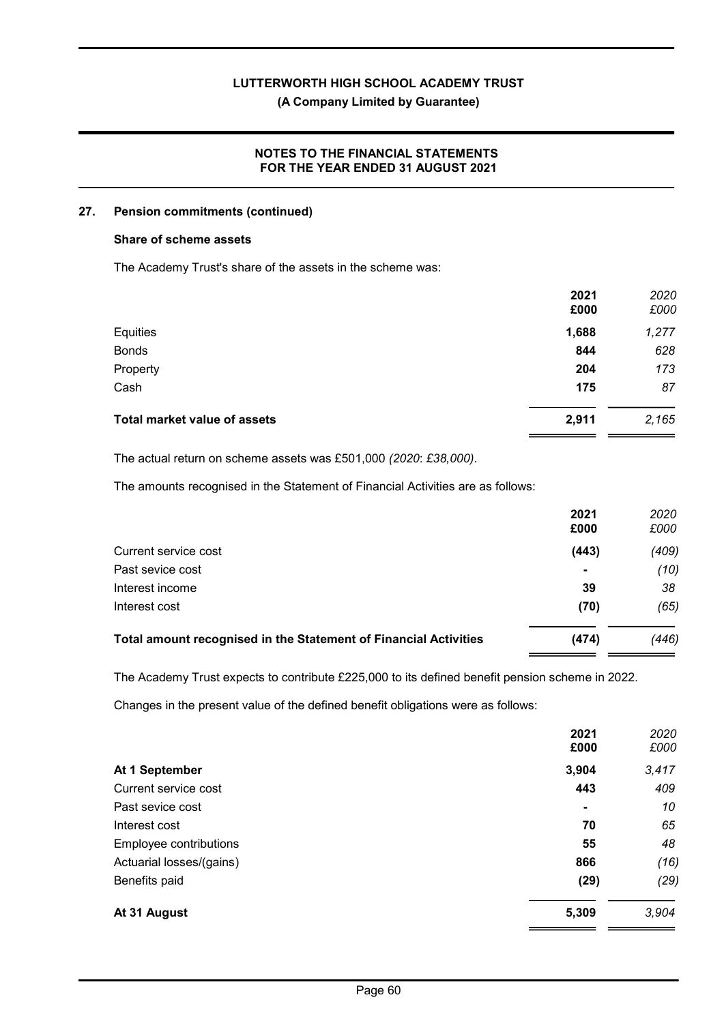# (A Company Limited by Guarantee)

# NOTES TO THE FINANCIAL STATEMENTS FOR THE YEAR ENDED 31 AUGUST 2021

#### 27. Pension commitments (continued)

#### Share of scheme assets

The Academy Trust's share of the assets in the scheme was:

|                                     | 2021<br>£000 | 2020<br>£000 |
|-------------------------------------|--------------|--------------|
| Equities                            | 1,688        | 1,277        |
| <b>Bonds</b>                        | 844          | 628          |
| Property                            | 204          | 173          |
| Cash                                | 175          | 87           |
| <b>Total market value of assets</b> | 2,911        | 2,165        |

The actual return on scheme assets was £501,000 (2020: £38,000).

The amounts recognised in the Statement of Financial Activities are as follows:

|                                                                  | 2021<br>£000   | 2020<br>£000 |
|------------------------------------------------------------------|----------------|--------------|
| Current service cost                                             | (443)          | (409)        |
| Past sevice cost                                                 | $\blacksquare$ | (10)         |
| Interest income                                                  | 39             | 38           |
| Interest cost                                                    | (70)           | (65)         |
| Total amount recognised in the Statement of Financial Activities | (474)          | (446)        |

The Academy Trust expects to contribute £225,000 to its defined benefit pension scheme in 2022.

Changes in the present value of the defined benefit obligations were as follows:

|                          | 2021<br>£000 | 2020<br>£000 |
|--------------------------|--------------|--------------|
| At 1 September           | 3,904        | 3,417        |
| Current service cost     | 443          | 409          |
| Past sevice cost         | ۰            | 10           |
| Interest cost            | 70           | 65           |
| Employee contributions   | 55           | 48           |
| Actuarial losses/(gains) | 866          | (16)         |
| Benefits paid            | (29)         | (29)         |
| At 31 August             | 5,309        | 3,904        |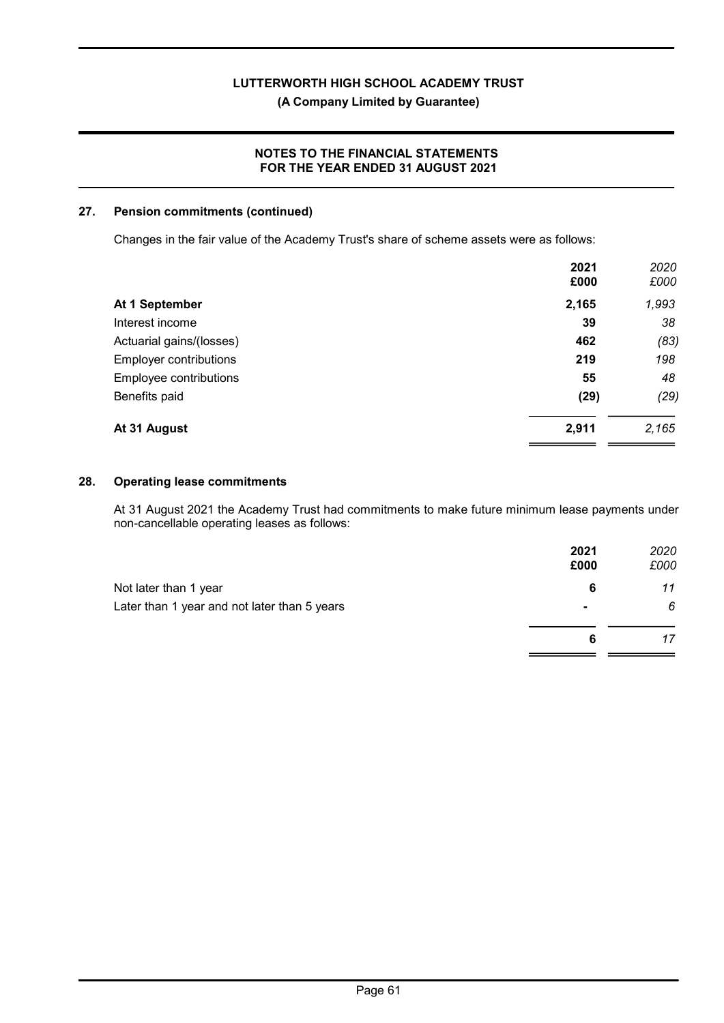# (A Company Limited by Guarantee)

# NOTES TO THE FINANCIAL STATEMENTS FOR THE YEAR ENDED 31 AUGUST 2021

# 27. Pension commitments (continued)

Changes in the fair value of the Academy Trust's share of scheme assets were as follows:

| 2021<br>£000 | 2020<br>£000 |
|--------------|--------------|
| 2,165        | 1,993        |
| 39           | 38           |
| 462          | (83)         |
| 219          | 198          |
| 55           | 48           |
| (29)         | (29)         |
| 2,911        | 2,165        |
|              |              |

#### 28. Operating lease commitments

At 31 August 2021 the Academy Trust had commitments to make future minimum lease payments under non-cancellable operating leases as follows:

|                                              | 2021<br>£000   | 2020<br>£000 |
|----------------------------------------------|----------------|--------------|
| Not later than 1 year                        | 6              | 11           |
| Later than 1 year and not later than 5 years | $\blacksquare$ | 6            |
|                                              | 6              | 17           |
|                                              |                |              |